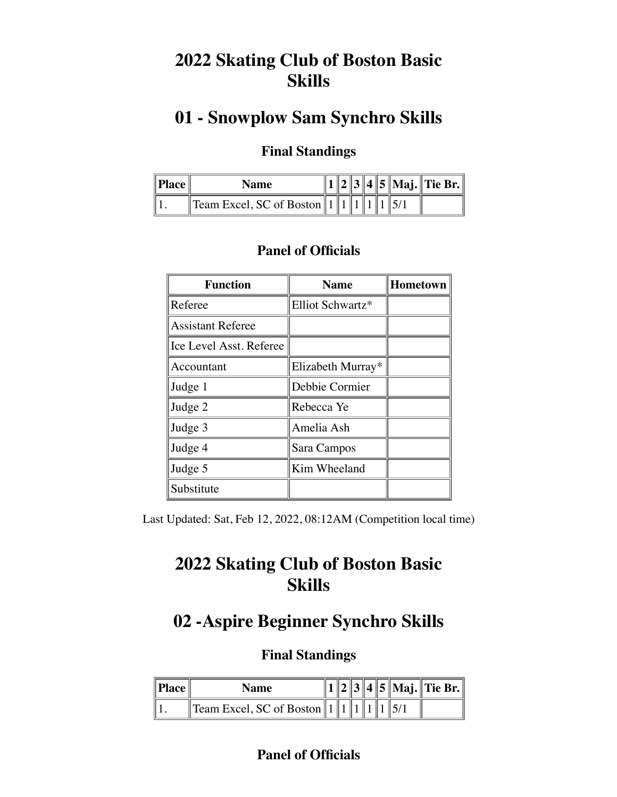# **2022 Skating Club of Boston Basic Skills**

## **01 - Snowplow Sam Synchro Skills**

## **Final Standings**

| $^{\text{II}}$ Place $_{\text{II}}$ | <b>Name</b>                       |  |  |  | 3    4    5    Maj.    Tie Br. |
|-------------------------------------|-----------------------------------|--|--|--|--------------------------------|
|                                     | Team Excel, SC of Boston $  1  1$ |  |  |  |                                |

### **Panel of Officials**

| <b>Function</b>          | <b>Name</b>       | Hometown |
|--------------------------|-------------------|----------|
| Referee                  | Elliot Schwartz*  |          |
| <b>Assistant Referee</b> |                   |          |
| Ice Level Asst. Referee  |                   |          |
| Accountant               | Elizabeth Murray* |          |
| Judge 1                  | Debbie Cormier    |          |
| Judge 2                  | Rebecca Ye        |          |
| Judge 3                  | Amelia Ash        |          |
| Judge 4                  | Sara Campos       |          |
| Judge 5                  | Kim Wheeland      |          |
| Substitute               |                   |          |

Last Updated: Sat, Feb 12, 2022, 08:12AM (Competition local time)

# **2022 Skating Club of Boston Basic Skills**

## **02 -Aspire Beginner Synchro Skills**

### **Final Standings**

| <sup>  </sup> Place | Name                             |  |  |  | 4  5  Maj.  Tie Br. |
|---------------------|----------------------------------|--|--|--|---------------------|
|                     | Team Excel, SC of Boston $\ 1\ $ |  |  |  |                     |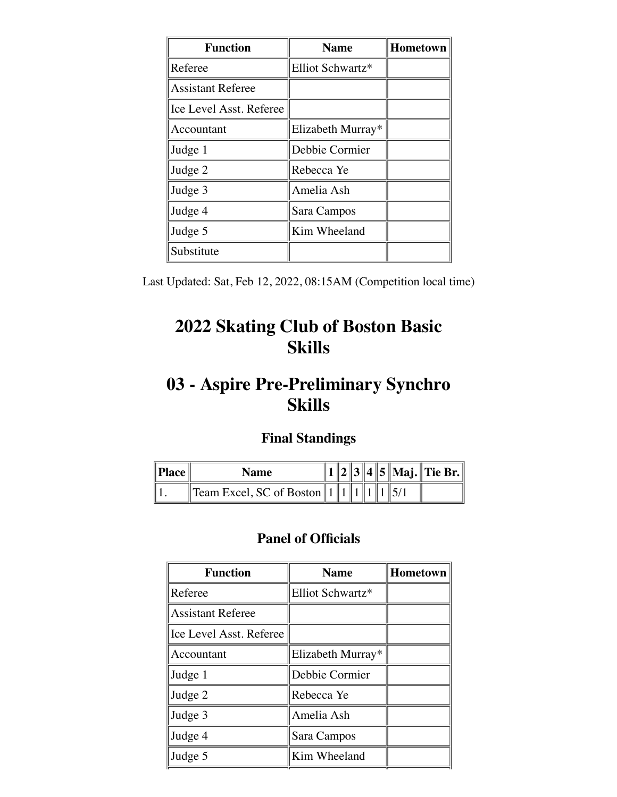| <b>Function</b>          | <b>Name</b>       | <b>Hometown</b> |
|--------------------------|-------------------|-----------------|
| Referee                  | Elliot Schwartz*  |                 |
| <b>Assistant Referee</b> |                   |                 |
| Ice Level Asst. Referee  |                   |                 |
| Accountant               | Elizabeth Murray* |                 |
| Judge 1                  | Debbie Cormier    |                 |
| Judge 2                  | Rebecca Ye        |                 |
| Judge 3                  | Amelia Ash        |                 |
| Judge 4                  | Sara Campos       |                 |
| Judge 5                  | Kim Wheeland      |                 |
| Substitute               |                   |                 |

Last Updated: Sat, Feb 12, 2022, 08:15AM (Competition local time)

# **2022 Skating Club of Boston Basic Skills**

# **03 - Aspire Pre-Preliminary Synchro Skills**

### **Final Standings**

| $\ $ Place $\ $ | <b>Name</b>                          |  |  |  | 3  4  5  Maj.  Tie Br. |
|-----------------|--------------------------------------|--|--|--|------------------------|
|                 | <b>Team Excel, SC of Boston</b> $11$ |  |  |  |                        |

| <b>Function</b>          | <b>Name</b>       | Hometown |
|--------------------------|-------------------|----------|
| Referee                  | Elliot Schwartz*  |          |
| <b>Assistant Referee</b> |                   |          |
| Ice Level Asst. Referee  |                   |          |
| Accountant               | Elizabeth Murray* |          |
| Judge 1                  | Debbie Cormier    |          |
| Judge 2                  | Rebecca Ye        |          |
| Judge 3                  | Amelia Ash        |          |
| Judge 4                  | Sara Campos       |          |
| Judge 5                  | Kim Wheeland      |          |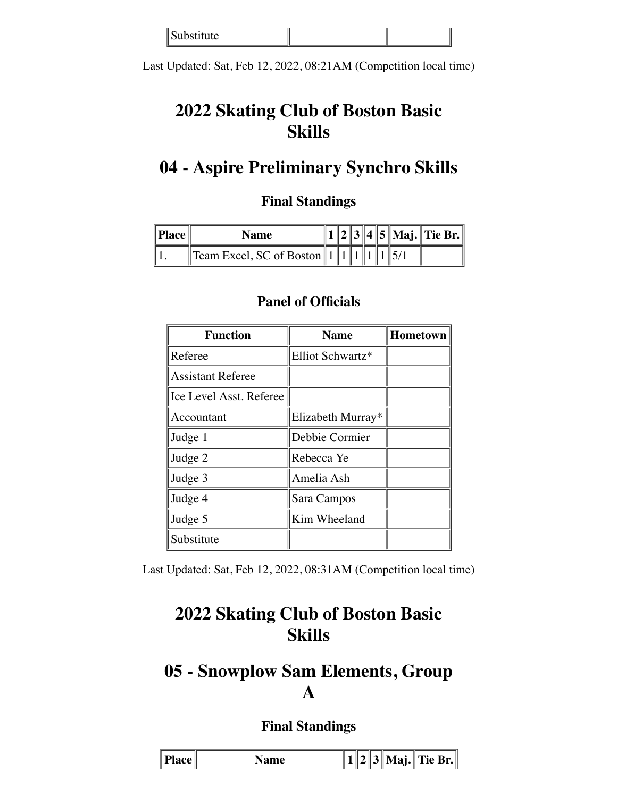| Substitute |
|------------|
|------------|

Last Updated: Sat, Feb 12, 2022, 08:21AM (Competition local time)

# **2022 Skating Club of Boston Basic Skills**

## **04 - Aspire Preliminary Synchro Skills**

### **Final Standings**

| Place | Name                              |  |  |  | 2 3 4 5 Maj. Tie Br. |
|-------|-----------------------------------|--|--|--|----------------------|
|       | Team Excel, SC of Boston $  1  1$ |  |  |  |                      |

| <b>Function</b>          | <b>Name</b>       | Hometown |
|--------------------------|-------------------|----------|
| Referee                  | Elliot Schwartz*  |          |
| <b>Assistant Referee</b> |                   |          |
| Ice Level Asst. Referee  |                   |          |
| Accountant               | Elizabeth Murray* |          |
| Judge 1                  | Debbie Cormier    |          |
| Judge 2                  | Rebecca Ye        |          |
| Judge 3                  | Amelia Ash        |          |
| Judge 4                  | Sara Campos       |          |
| Judge 5                  | Kim Wheeland      |          |
| Substitute               |                   |          |

#### **Panel of Officials**

Last Updated: Sat, Feb 12, 2022, 08:31AM (Competition local time)

## **2022 Skating Club of Boston Basic Skills**

## **05 - Snowplow Sam Elements, Group A**

| тясе | <b>lame</b> |  |  |  | Mai. | $\ $ Tie Br. $\ $ |
|------|-------------|--|--|--|------|-------------------|
|------|-------------|--|--|--|------|-------------------|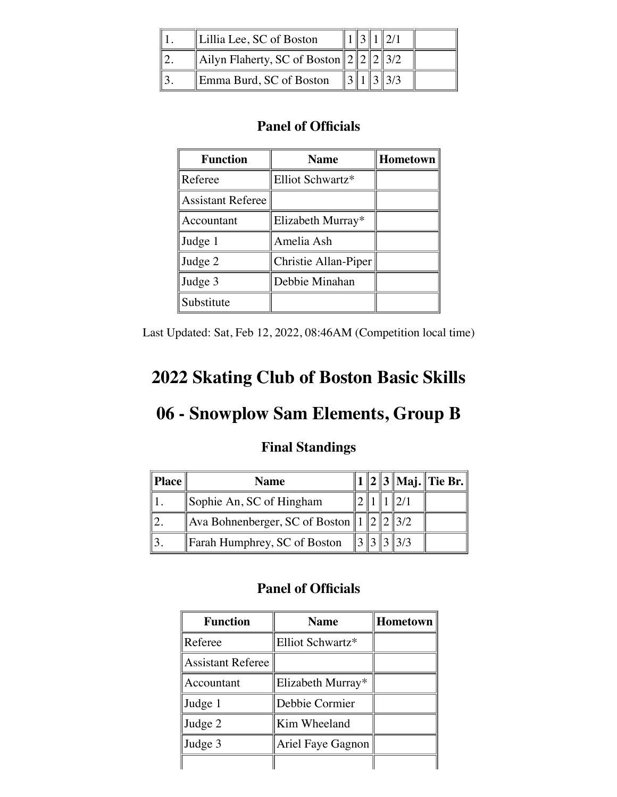| Lillia Lee, SC of Boston              |  |  |  |
|---------------------------------------|--|--|--|
| Ailyn Flaherty, SC of Boston $222232$ |  |  |  |
| Emma Burd, SC of Boston               |  |  |  |

| <b>Function</b>          | <b>Name</b>          | <b>Hometown</b> |
|--------------------------|----------------------|-----------------|
| Referee                  | Elliot Schwartz*     |                 |
| <b>Assistant Referee</b> |                      |                 |
| Accountant               | Elizabeth Murray*    |                 |
| Judge 1                  | Amelia Ash           |                 |
| Judge 2                  | Christie Allan-Piper |                 |
| Judge 3                  | Debbie Minahan       |                 |
| Substitute               |                      |                 |

Last Updated: Sat, Feb 12, 2022, 08:46AM (Competition local time)

## **2022 Skating Club of Boston Basic Skills**

# **06 - Snowplow Sam Elements, Group B**

### **Final Standings**

| <b>Place</b> | <b>Name</b>                                     |  |  |                   | 1   2   3    Maj.    Tie Br. |
|--------------|-------------------------------------------------|--|--|-------------------|------------------------------|
|              | Sophie An, SC of Hingham                        |  |  |                   |                              |
|              | Ava Bohnenberger, SC of Boston $  1  2  2  3/2$ |  |  |                   |                              |
|              | Farah Humphrey, SC of Boston                    |  |  | $3\, 3\, 3\, 3/3$ |                              |

| <b>Function</b>          | <b>Name</b>       | <b>Hometown</b> |
|--------------------------|-------------------|-----------------|
| Referee                  | Elliot Schwartz*  |                 |
| <b>Assistant Referee</b> |                   |                 |
| Accountant               | Elizabeth Murray* |                 |
| Judge 1                  | Debbie Cormier    |                 |
| Judge 2                  | Kim Wheeland      |                 |
| Judge 3                  | Ariel Faye Gagnon |                 |
|                          |                   |                 |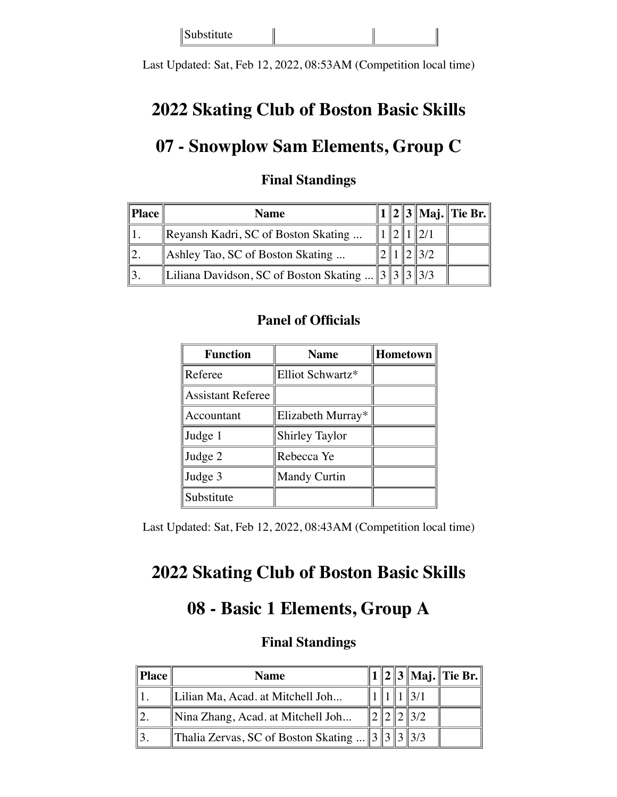Substitute

Last Updated: Sat, Feb 12, 2022, 08:53AM (Competition local time)

## **2022 Skating Club of Boston Basic Skills**

## **07 - Snowplow Sam Elements, Group C**

| <b>Place</b> | <b>Name</b>                                      |  |  | 2    3    Maj.    Tie Br. |
|--------------|--------------------------------------------------|--|--|---------------------------|
|              | $\mathbb{R}$ Reyansh Kadri, SC of Boston Skating |  |  |                           |
|              | Ashley Tao, SC of Boston Skating                 |  |  |                           |
|              | Liliana Davidson, SC of Boston Skating    3      |  |  |                           |

#### **Final Standings**

#### **Panel of Officials**

| <b>Function</b>          | <b>Name</b>           | Hometown |
|--------------------------|-----------------------|----------|
| Referee                  | Elliot Schwartz*      |          |
| <b>Assistant Referee</b> |                       |          |
| Accountant               | Elizabeth Murray*     |          |
| Judge 1                  | <b>Shirley Taylor</b> |          |
| Judge 2                  | Rebecca Ye            |          |
| Judge 3                  | <b>Mandy Curtin</b>   |          |
| Substitute               |                       |          |

Last Updated: Sat, Feb 12, 2022, 08:43AM (Competition local time)

## **2022 Skating Club of Boston Basic Skills**

## **08 - Basic 1 Elements, Group A**

| Place | <b>Name</b>                                                   |  |  | 1    2    3    Maj.    Tie Br. |
|-------|---------------------------------------------------------------|--|--|--------------------------------|
|       | Lilian Ma, Acad. at Mitchell Joh                              |  |  |                                |
|       | Nina Zhang, Acad. at Mitchell Joh                             |  |  |                                |
|       | Thalia Zervas, SC of Boston Skating     3    3    3    3    3 |  |  |                                |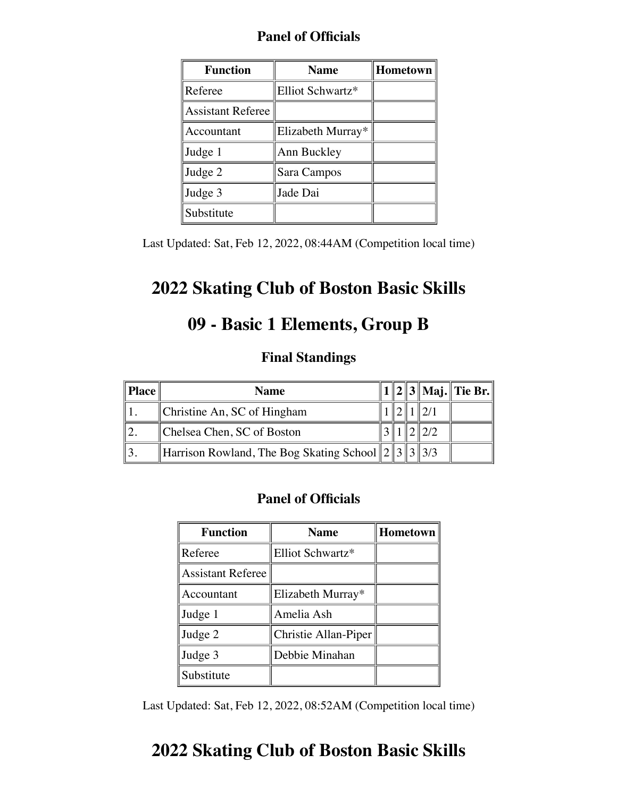|  | <b>Panel of Officials</b> |  |
|--|---------------------------|--|
|  |                           |  |

| <b>Function</b>          | <b>Name</b>       | Hometown |
|--------------------------|-------------------|----------|
| Referee                  | Elliot Schwartz*  |          |
| <b>Assistant Referee</b> |                   |          |
| Accountant               | Elizabeth Murray* |          |
| Judge 1                  | Ann Buckley       |          |
| Judge 2                  | Sara Campos       |          |
| Judge 3                  | Jade Dai          |          |
| Substitute               |                   |          |

Last Updated: Sat, Feb 12, 2022, 08:44AM (Competition local time)

# **2022 Skating Club of Boston Basic Skills**

# **09 - Basic 1 Elements, Group B**

### **Final Standings**

| <b>Place</b> | <b>Name</b>                                               |  |  | . 1    2    3    Maj.    Tie Br. |
|--------------|-----------------------------------------------------------|--|--|----------------------------------|
|              | Christine An, SC of Hingham                               |  |  |                                  |
|              | Chelsea Chen, SC of Boston                                |  |  |                                  |
|              | Harrison Rowland, The Bog Skating School $\ 2\ 3\ 3\ 3/3$ |  |  |                                  |

### **Panel of Officials**

| <b>Function</b>          | <b>Name</b>          | Hometown |  |  |
|--------------------------|----------------------|----------|--|--|
| Referee                  | Elliot Schwartz*     |          |  |  |
| <b>Assistant Referee</b> |                      |          |  |  |
| Accountant               | Elizabeth Murray*    |          |  |  |
| Judge 1                  | Amelia Ash           |          |  |  |
| Judge 2                  | Christie Allan-Piper |          |  |  |
| Judge 3                  | Debbie Minahan       |          |  |  |
| Substitute               |                      |          |  |  |

Last Updated: Sat, Feb 12, 2022, 08:52AM (Competition local time)

# **2022 Skating Club of Boston Basic Skills**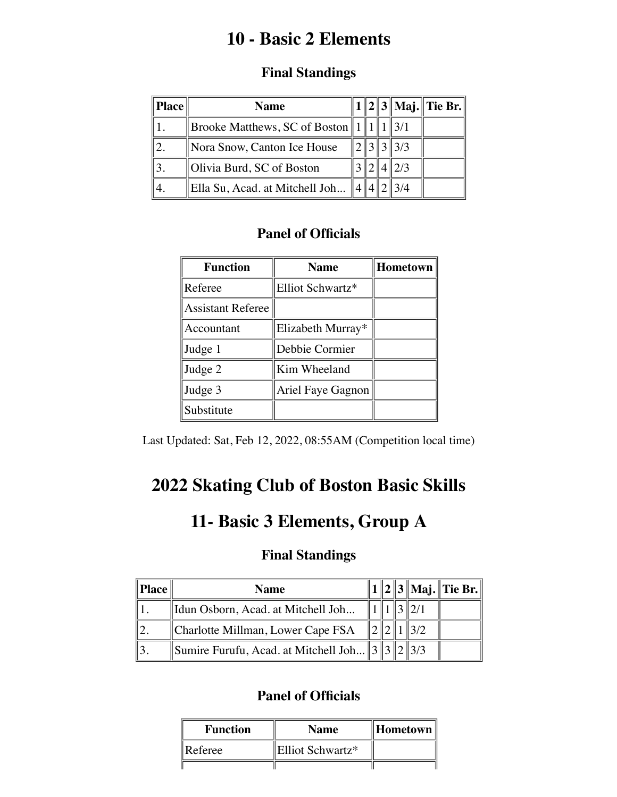# **10 - Basic 2 Elements**

### **Final Standings**

| <b>Place</b> | <b>Name</b>                                     |  |                 | $1  2  3  $ Maj. Tie Br. |
|--------------|-------------------------------------------------|--|-----------------|--------------------------|
|              | Brooke Matthews, SC of Boston   $1 \parallel 1$ |  | $\parallel$ 3/1 |                          |
|              | Nora Snow, Canton Ice House                     |  | 3  3/3          |                          |
|              | Olivia Burd, SC of Boston                       |  | $\parallel$ 2/3 |                          |
|              | Ella Su, Acad. at Mitchell Joh                  |  |                 |                          |

### **Panel of Officials**

| <b>Function</b>          | <b>Name</b>       | Hometown |
|--------------------------|-------------------|----------|
| Referee                  | Elliot Schwartz*  |          |
| <b>Assistant Referee</b> |                   |          |
| Accountant               | Elizabeth Murray* |          |
| Judge 1                  | Debbie Cormier    |          |
| Judge 2                  | Kim Wheeland      |          |
| Judge 3                  | Ariel Faye Gagnon |          |
| Substitute               |                   |          |

Last Updated: Sat, Feb 12, 2022, 08:55AM (Competition local time)

# **2022 Skating Club of Boston Basic Skills**

## **11- Basic 3 Elements, Group A**

### **Final Standings**

| Place | <b>Name</b>                                    |  |  | $1  2  3  $ Maj. Tie Br. |
|-------|------------------------------------------------|--|--|--------------------------|
|       | Idun Osborn, Acad. at Mitchell Joh             |  |  |                          |
|       | Charlotte Millman, Lower Cape FSA              |  |  |                          |
|       | Sumire Furufu, Acad. at Mitchell Joh 3 3 2 3/3 |  |  |                          |

| <b>Function</b> | <b>Name</b>      |  |
|-----------------|------------------|--|
| Referee         | Elliot Schwartz* |  |
|                 |                  |  |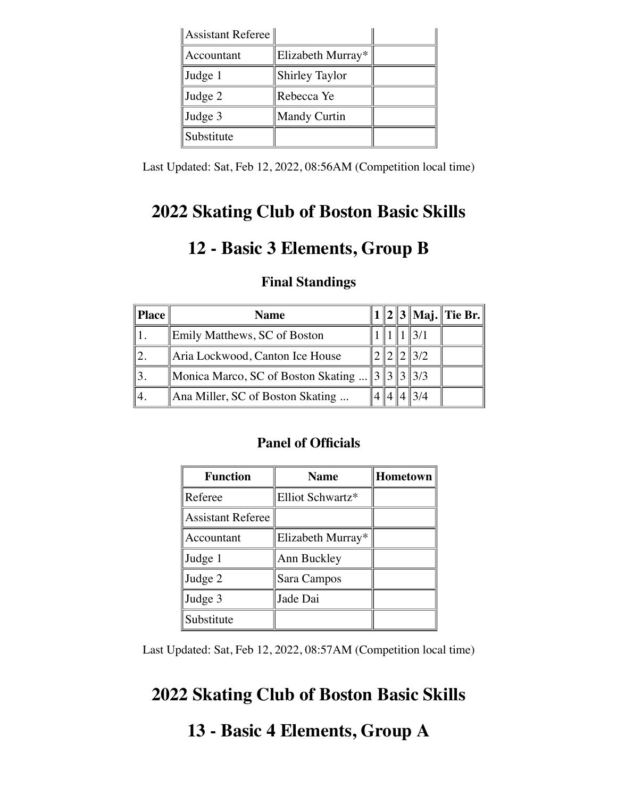| Assistant Referee |                       |  |
|-------------------|-----------------------|--|
| Accountant        | Elizabeth Murray*     |  |
| Judge 1           | <b>Shirley Taylor</b> |  |
| Judge 2           | Rebecca Ye            |  |
| Judge 3           | <b>Mandy Curtin</b>   |  |
| Substitute        |                       |  |

Last Updated: Sat, Feb 12, 2022, 08:56AM (Competition local time)

## **2022 Skating Club of Boston Basic Skills**

## **12 - Basic 3 Elements, Group B**

| <b>Place</b> | <b>Name</b>                        |  |                 | $1  2  3  $ Maj. Tie Br. |
|--------------|------------------------------------|--|-----------------|--------------------------|
|              | Emily Matthews, SC of Boston       |  |                 |                          |
|              | Aria Lockwood, Canton Ice House    |  | $\frac{13}{2}$  |                          |
|              | Monica Marco, SC of Boston Skating |  | $\frac{313}{3}$ |                          |
|              | Ana Miller, SC of Boston Skating   |  |                 |                          |

#### **Final Standings**

#### **Panel of Officials**

| <b>Function</b>          | <b>Name</b>       | Hometown |
|--------------------------|-------------------|----------|
| Referee                  | Elliot Schwartz*  |          |
| <b>Assistant Referee</b> |                   |          |
| Accountant               | Elizabeth Murray* |          |
| Judge 1                  | Ann Buckley       |          |
| Judge 2                  | Sara Campos       |          |
| Judge 3                  | Jade Dai          |          |
| Substitute               |                   |          |

Last Updated: Sat, Feb 12, 2022, 08:57AM (Competition local time)

## **2022 Skating Club of Boston Basic Skills**

## **13 - Basic 4 Elements, Group A**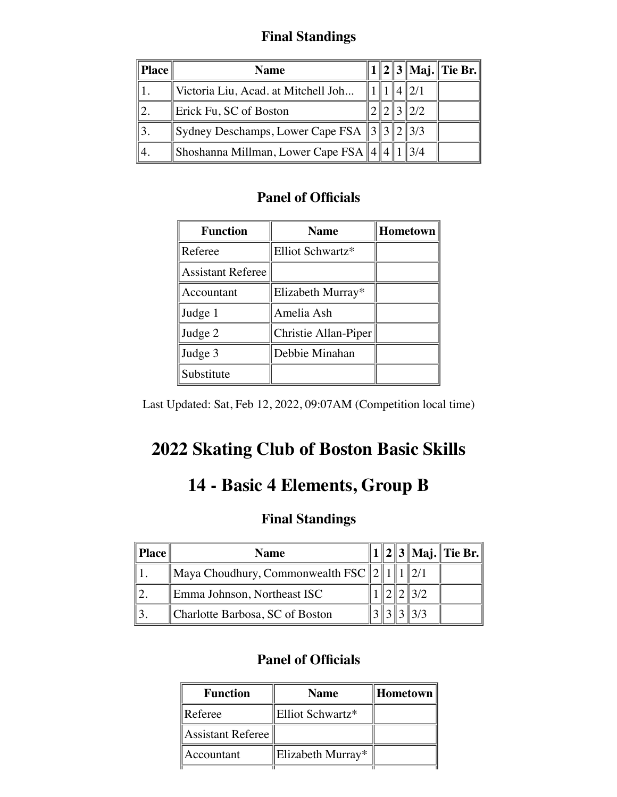### **Final Standings**

| Place | <b>Name</b>                                                               |  |      | $1  2  3  $ Maj. Tie Br. |
|-------|---------------------------------------------------------------------------|--|------|--------------------------|
|       | Victoria Liu, Acad. at Mitchell Joh                                       |  | 2/1  |                          |
|       | Erick Fu, SC of Boston                                                    |  | 12/2 |                          |
|       | $\left\ $ Sydney Deschamps, Lower Cape FSA $\left\ 3\right\ 2\right\ 2/3$ |  |      |                          |
|       | Shoshanna Millman, Lower Cape FSA $\ 4\ 4\ 1$                             |  | 3/4  |                          |

### **Panel of Officials**

| <b>Function</b>          | <b>Name</b>          | <b>Hometown</b> |
|--------------------------|----------------------|-----------------|
| Referee                  | Elliot Schwartz*     |                 |
| <b>Assistant Referee</b> |                      |                 |
| Accountant               | Elizabeth Murray*    |                 |
| Judge 1                  | Amelia Ash           |                 |
| Judge 2                  | Christie Allan-Piper |                 |
| Judge 3                  | Debbie Minahan       |                 |
| Substitute               |                      |                 |

Last Updated: Sat, Feb 12, 2022, 09:07AM (Competition local time)

# **2022 Skating Club of Boston Basic Skills**

# **14 - Basic 4 Elements, Group B**

### **Final Standings**

| <b>Place</b> | <b>Name</b>                                   |  |  | $\ 2\ 3\ $ Maj. Tie Br. |
|--------------|-----------------------------------------------|--|--|-------------------------|
|              | Maya Choudhury, Commonwealth FSC $ 2 \rangle$ |  |  |                         |
|              | Emma Johnson, Northeast ISC                   |  |  |                         |
|              | Charlotte Barbosa, SC of Boston               |  |  |                         |

| <b>Function</b>   | <b>Name</b>       | Hometown |
|-------------------|-------------------|----------|
| Referee           | Elliot Schwartz*  |          |
| Assistant Referee |                   |          |
| Accountant        | Elizabeth Murray* |          |
|                   |                   |          |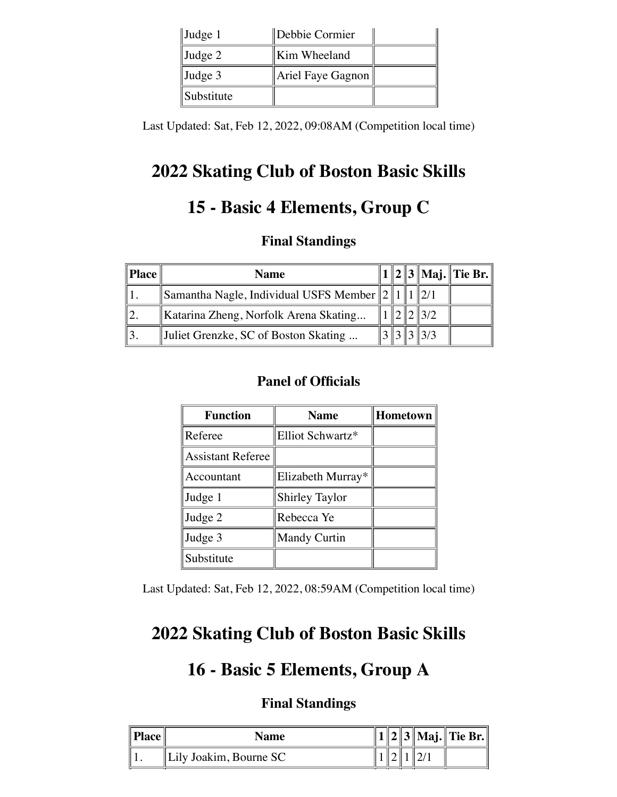| $\vert$ Judge 1 | Debbie Cormier    |  |
|-----------------|-------------------|--|
| $\vert$ Judge 2 | Kim Wheeland      |  |
| $\vert$ Judge 3 | Ariel Faye Gagnon |  |
| Substitute      |                   |  |

Last Updated: Sat, Feb 12, 2022, 09:08AM (Competition local time)

# **2022 Skating Club of Boston Basic Skills**

# **15 - Basic 4 Elements, Group C**

### **Final Standings**

| Place | <b>Name</b>                                     |  |  | 1    2    3    Maj.    Tie Br. |
|-------|-------------------------------------------------|--|--|--------------------------------|
|       | Samantha Nagle, Individual USFS Member $  2  1$ |  |  |                                |
|       | Katarina Zheng, Norfolk Arena Skating           |  |  |                                |
|       | Juliet Grenzke, SC of Boston Skating            |  |  |                                |

### **Panel of Officials**

| <b>Function</b>          | <b>Name</b>           | <b>Hometown</b> |
|--------------------------|-----------------------|-----------------|
| Referee                  | Elliot Schwartz*      |                 |
| <b>Assistant Referee</b> |                       |                 |
| Accountant               | Elizabeth Murray*     |                 |
| Judge 1                  | <b>Shirley Taylor</b> |                 |
| Judge 2                  | Rebecca Ye            |                 |
| Judge 3                  | <b>Mandy Curtin</b>   |                 |
| Substitute               |                       |                 |

Last Updated: Sat, Feb 12, 2022, 08:59AM (Competition local time)

## **2022 Skating Club of Boston Basic Skills**

## **16 - Basic 5 Elements, Group A**

| $\ $ Place | Name                     |  |  | $  3  $ Maj. Tie Br. |
|------------|--------------------------|--|--|----------------------|
|            | Lily Joakim, Bourne $SC$ |  |  |                      |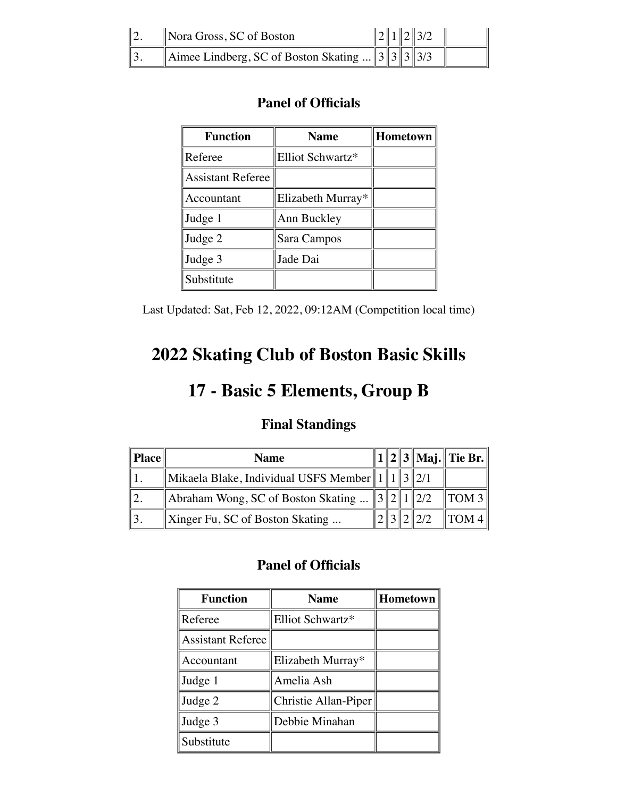| $\ 2.$         | Nora Gross, SC of Boston                         |  | $\ 2\ 1\ 2\ 3/2$ |  |
|----------------|--------------------------------------------------|--|------------------|--|
| $\parallel$ 3. | Aimee Lindberg, SC of Boston Skating $3 3 3 3/3$ |  |                  |  |

| <b>Function</b>          | <b>Name</b>       | Hometown |
|--------------------------|-------------------|----------|
| Referee                  | Elliot Schwartz*  |          |
| <b>Assistant Referee</b> |                   |          |
| Accountant               | Elizabeth Murray* |          |
| Judge 1                  | Ann Buckley       |          |
| Judge 2                  | Sara Campos       |          |
| Judge 3                  | Jade Dai          |          |
| Substitute               |                   |          |

Last Updated: Sat, Feb 12, 2022, 09:12AM (Competition local time)

# **2022 Skating Club of Boston Basic Skills**

# **17 - Basic 5 Elements, Group B**

### **Final Standings**

| Place | <b>Name</b>                                            |  |  | 1    2    3    Maj.    Tie Br. |
|-------|--------------------------------------------------------|--|--|--------------------------------|
|       | Mikaela Blake, Individual USFS Member $\ 1\ 1\ 3\ 2/1$ |  |  |                                |
|       | Abraham Wong, SC of Boston Skating $\ 3\ 2\ 1\ 2/2$    |  |  | TOM 3                          |
|       | $\parallel$ Xinger Fu, SC of Boston Skating            |  |  | $\parallel$ TOM 4 $\parallel$  |

| <b>Function</b>          | Hometown $\parallel$<br><b>Name</b> |  |  |  |
|--------------------------|-------------------------------------|--|--|--|
| Referee                  | Elliot Schwartz*                    |  |  |  |
| <b>Assistant Referee</b> |                                     |  |  |  |
| Accountant               | Elizabeth Murray*                   |  |  |  |
| Judge 1                  | Amelia Ash                          |  |  |  |
| Judge 2                  | Christie Allan-Piper                |  |  |  |
| Judge 3                  | Debbie Minahan                      |  |  |  |
| Substitute               |                                     |  |  |  |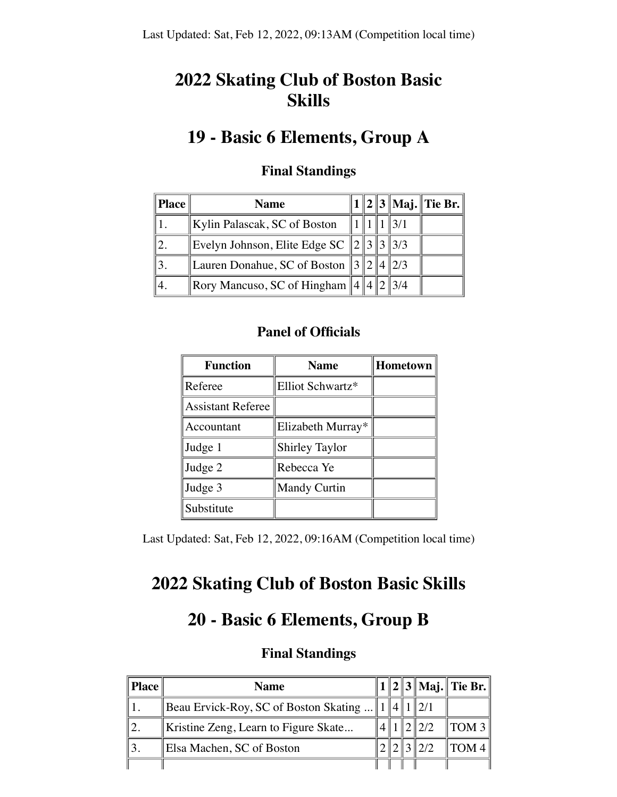# **2022 Skating Club of Boston Basic Skills**

## **19 - Basic 6 Elements, Group A**

| <b>Place</b> | <b>Name</b>                                    |  |                 | 1    2    3    Maj.    Tie Br. |
|--------------|------------------------------------------------|--|-----------------|--------------------------------|
|              | Kylin Palascak, SC of Boston                   |  | $\parallel$ 3/1 |                                |
|              | Evelyn Johnson, Elite Edge SC $\ 2\ 3\ 3\ 3/3$ |  |                 |                                |
|              | Lauren Donahue, SC of Boston $\ 3\ 2\ 4\ 2/3$  |  |                 |                                |
|              | Rory Mancuso, SC of Hingham $\ 4\ 4\ 2\ 3/4$   |  |                 |                                |

#### **Final Standings**

#### **Panel of Officials**

| <b>Function</b>          | <b>Name</b>           | Hometown |
|--------------------------|-----------------------|----------|
| Referee                  | Elliot Schwartz*      |          |
| <b>Assistant Referee</b> |                       |          |
| Accountant               | Elizabeth Murray*     |          |
| Judge 1                  | <b>Shirley Taylor</b> |          |
| Judge 2                  | Rebecca Ye            |          |
| Judge 3                  | Mandy Curtin          |          |
| Substitute               |                       |          |

Last Updated: Sat, Feb 12, 2022, 09:16AM (Competition local time)

# **2022 Skating Club of Boston Basic Skills**

## **20 - Basic 6 Elements, Group B**

| Place | <b>Name</b>                               |  |  | $\ 1\ 2\ 3\ $ Maj. $\ $ Tie Br. $\ $ |
|-------|-------------------------------------------|--|--|--------------------------------------|
|       | ∥Beau Ervick-Roy, SC of Boston Skating  1 |  |  |                                      |
|       | Kristine Zeng, Learn to Figure Skate      |  |  | $\parallel$ TOM 3 $\parallel$        |
|       | Elsa Machen, SC of Boston                 |  |  | TOM4                                 |
|       |                                           |  |  |                                      |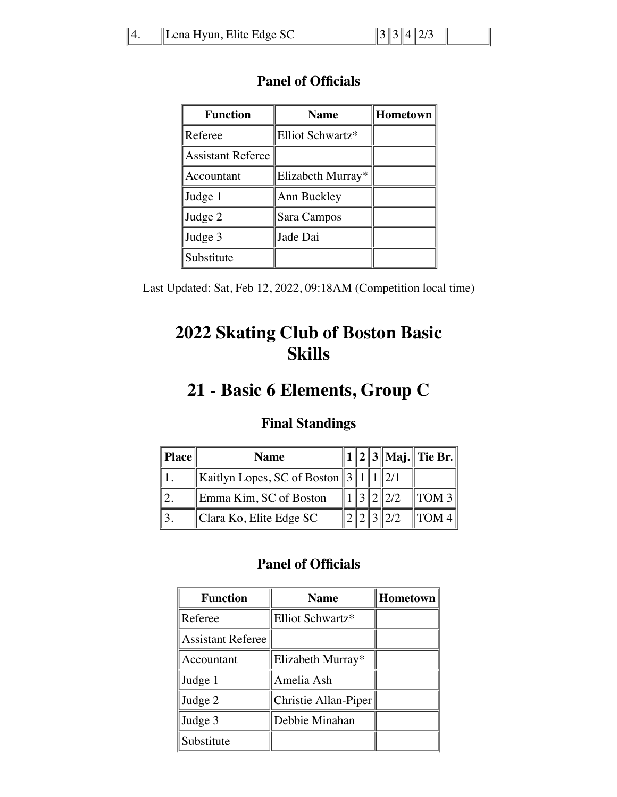| <b>Function</b>          | <b>Hometown</b><br><b>Name</b> |  |  |
|--------------------------|--------------------------------|--|--|
| Referee                  | Elliot Schwartz*               |  |  |
| <b>Assistant Referee</b> |                                |  |  |
| Accountant               | Elizabeth Murray*              |  |  |
| Judge 1                  | Ann Buckley                    |  |  |
| Judge 2                  | Sara Campos                    |  |  |
| Judge 3                  | Jade Dai                       |  |  |
| Substitute               |                                |  |  |

Last Updated: Sat, Feb 12, 2022, 09:18AM (Competition local time)

# **2022 Skating Club of Boston Basic Skills**

# **21 - Basic 6 Elements, Group C**

### **Final Standings**

| <b>Place</b> | <b>Name</b>                                  |  |                 | $\ 1\ 2\ 3\ $ Maj. $\ $ Tie Br. $\ $ |
|--------------|----------------------------------------------|--|-----------------|--------------------------------------|
|              | Kaitlyn Lopes, SC of Boston $  3  1  1  2/1$ |  |                 |                                      |
|              | Emma Kim, SC of Boston                       |  | 3 2 2/2         | TOM <sub>3</sub>                     |
|              | Clara Ko, Elite Edge SC                      |  | $\parallel$ 2/2 | $\parallel$ TOM 4                    |

| <b>Function</b>          | <b>Name</b>          | Hometown |
|--------------------------|----------------------|----------|
| Referee                  | Elliot Schwartz*     |          |
| <b>Assistant Referee</b> |                      |          |
| Accountant               | Elizabeth Murray*    |          |
| Judge 1                  | Amelia Ash           |          |
| Judge 2                  | Christie Allan-Piper |          |
| Judge 3                  | Debbie Minahan       |          |
| Substitute               |                      |          |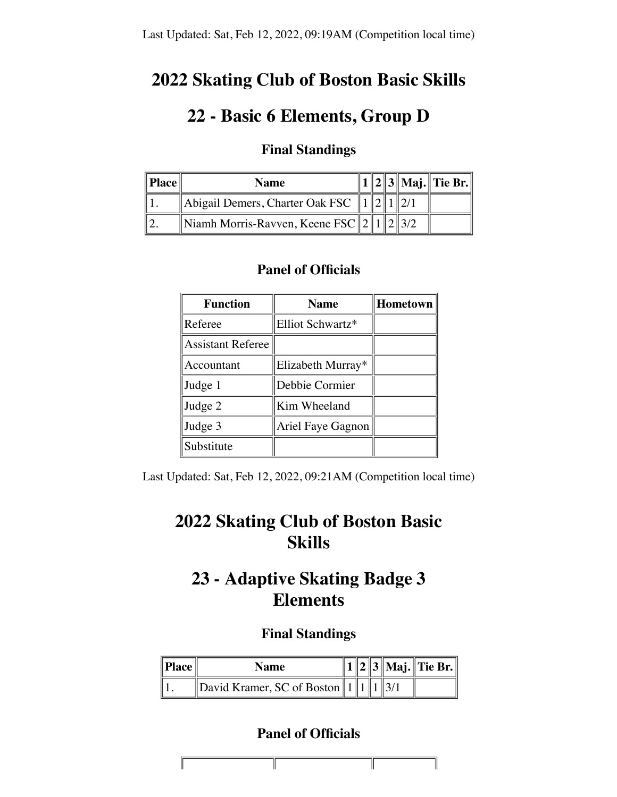## **2022 Skating Club of Boston Basic Skills**

## **22 - Basic 6 Elements, Group D**

### **Final Standings**

| $\parallel$ Place $\parallel$ | <b>Name</b>                                                                         |  |  | $1  2  3  $ Maj. Tie Br. |
|-------------------------------|-------------------------------------------------------------------------------------|--|--|--------------------------|
|                               | $\parallel$ Abigail Demers, Charter Oak FSC $\parallel$ 1 $\parallel$ 2 $\parallel$ |  |  |                          |
|                               | Niamh Morris-Ravven, Keene FSC $  2  1  $                                           |  |  |                          |

#### **Panel of Officials**

| <b>Function</b>          | <b>Name</b>       | Hometown |
|--------------------------|-------------------|----------|
| Referee                  | Elliot Schwartz*  |          |
| <b>Assistant Referee</b> |                   |          |
| Accountant               | Elizabeth Murray* |          |
| Judge 1                  | Debbie Cormier    |          |
| Judge 2                  | Kim Wheeland      |          |
| Judge 3                  | Ariel Faye Gagnon |          |
| Substitute               |                   |          |

Last Updated: Sat, Feb 12, 2022, 09:21AM (Competition local time)

## **2022 Skating Club of Boston Basic Skills**

## **23 - Adaptive Skating Badge 3 Elements**

#### **Final Standings**

| $\ $ <b>Place</b> $\ $ | <b>Name</b>                                 |  |  | 1  2  3  Maj.  Tie Br. |
|------------------------|---------------------------------------------|--|--|------------------------|
|                        | David Kramer, SC of Boston $\ 1\ 1\ 1\ 3/1$ |  |  |                        |

| $\mathcal{L}(\mathcal{L})$ and $\mathcal{L}(\mathcal{L})$ and $\mathcal{L}(\mathcal{L})$ and $\mathcal{L}(\mathcal{L})$<br>the contract of the contract of the contract of the contract of the contract of the contract of the contract of | the contract of the contract of the contract of the contract of the contract of the contract of the contract of | the contract of the contract of the contract of the contract of the contract of |
|--------------------------------------------------------------------------------------------------------------------------------------------------------------------------------------------------------------------------------------------|-----------------------------------------------------------------------------------------------------------------|---------------------------------------------------------------------------------|
|                                                                                                                                                                                                                                            |                                                                                                                 |                                                                                 |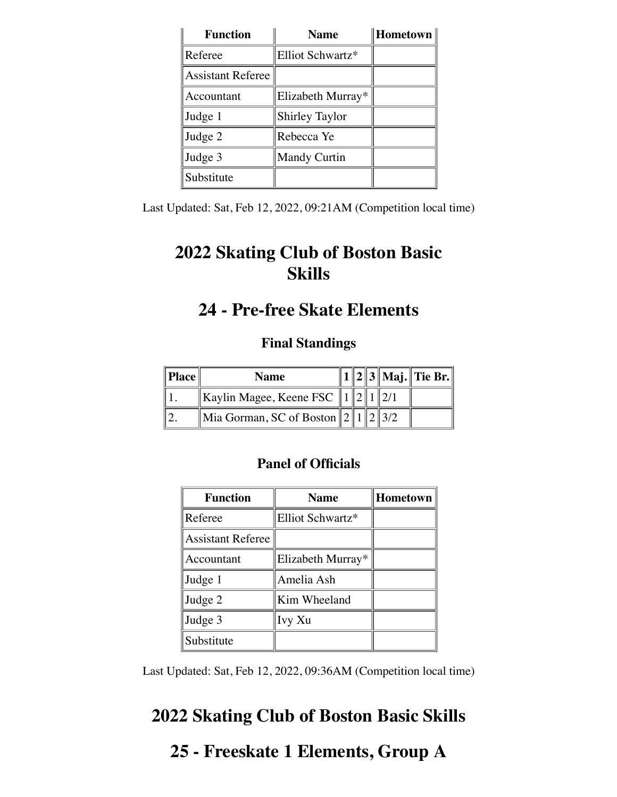| <b>Function</b>   | <b>Name</b>           | Hometown |
|-------------------|-----------------------|----------|
| Referee           | Elliot Schwartz*      |          |
| Assistant Referee |                       |          |
| Accountant        | Elizabeth Murray*     |          |
| Judge 1           | <b>Shirley Taylor</b> |          |
| Judge 2           | Rebecca Ye            |          |
| Judge 3           | <b>Mandy Curtin</b>   |          |
| Substitute        |                       |          |

Last Updated: Sat, Feb 12, 2022, 09:21AM (Competition local time)

# **2022 Skating Club of Boston Basic Skills**

## **24 - Pre-free Skate Elements**

### **Final Standings**

| $\parallel$ Place | <b>Name</b>                |  |  | '    2    3    Maj.    Tie Br. |
|-------------------|----------------------------|--|--|--------------------------------|
|                   | Kaylin Magee, Keene FSC    |  |  |                                |
|                   | Mia Gorman, SC of Boston 2 |  |  |                                |

### **Panel of Officials**

| <b>Function</b>          | <b>Name</b>       | Hometown |
|--------------------------|-------------------|----------|
| Referee                  | Elliot Schwartz*  |          |
| <b>Assistant Referee</b> |                   |          |
| Accountant               | Elizabeth Murray* |          |
| Judge 1                  | Amelia Ash        |          |
| Judge 2                  | Kim Wheeland      |          |
| Judge 3                  | Ivy Xu            |          |
| Substitute               |                   |          |

Last Updated: Sat, Feb 12, 2022, 09:36AM (Competition local time)

# **2022 Skating Club of Boston Basic Skills**

# **25 - Freeskate 1 Elements, Group A**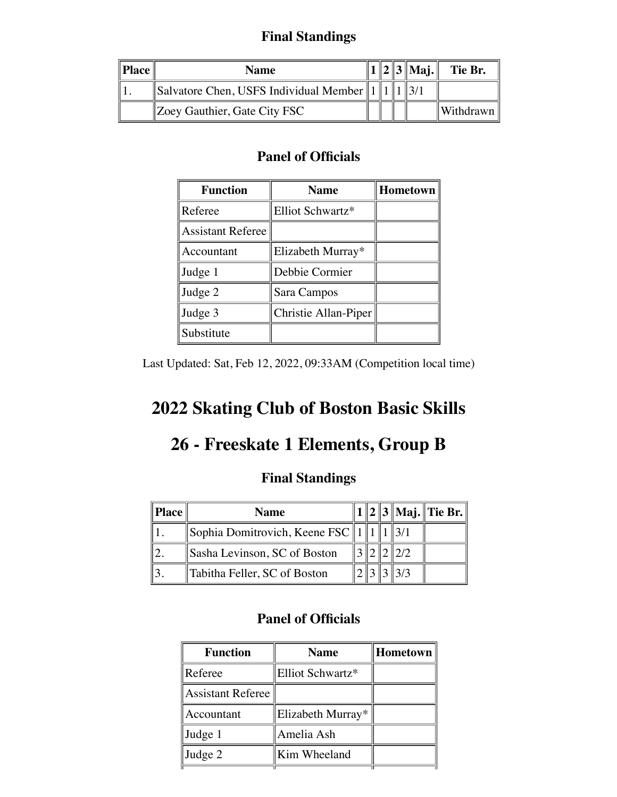### **Final Standings**

| Place | Name                                           |  | $\ 2\ 3\ $ Maj. | Tie Br.              |
|-------|------------------------------------------------|--|-----------------|----------------------|
|       | Salvatore Chen, USFS Individual Member $  1  $ |  |                 |                      |
|       | Zoey Gauthier, Gate City FSC                   |  |                 | $\ W\$ ithdrawn $\ $ |

### **Panel of Officials**

| <b>Function</b>          | <b>Name</b>          | Hometown |
|--------------------------|----------------------|----------|
| Referee                  | Elliot Schwartz*     |          |
| <b>Assistant Referee</b> |                      |          |
| Accountant               | Elizabeth Murray*    |          |
| Judge 1                  | Debbie Cormier       |          |
| Judge 2                  | Sara Campos          |          |
| Judge 3                  | Christie Allan-Piper |          |
| Substitute               |                      |          |

Last Updated: Sat, Feb 12, 2022, 09:33AM (Competition local time)

# **2022 Skating Club of Boston Basic Skills**

## **26 - Freeskate 1 Elements, Group B**

## **Final Standings**

| <b>Place</b> | <b>Name</b>                           |  |  | $1  2  3  $ Maj. Tie Br. |
|--------------|---------------------------------------|--|--|--------------------------|
|              | Sophia Domitrovich, Keene FSC $\ 1\ $ |  |  |                          |
|              | Sasha Levinson, SC of Boston          |  |  |                          |
|              | Tabitha Feller, SC of Boston          |  |  |                          |

| <b>Function</b>   | <b>Name</b>       | Hometown |
|-------------------|-------------------|----------|
| Referee           | Elliot Schwartz*  |          |
| Assistant Referee |                   |          |
| Accountant        | Elizabeth Murray* |          |
| Judge 1           | Amelia Ash        |          |
| Judge 2           | Kim Wheeland      |          |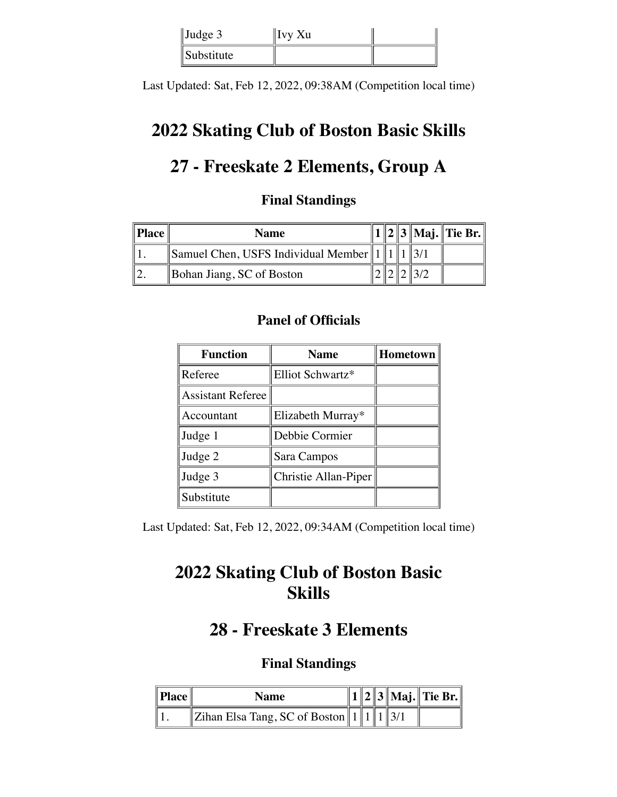| $\vert$ Judge 3 | ∥Ivy Xu |  |
|-----------------|---------|--|
| Substitute      |         |  |

Last Updated: Sat, Feb 12, 2022, 09:38AM (Competition local time)

## **2022 Skating Club of Boston Basic Skills**

# **27 - Freeskate 2 Elements, Group A**

### **Final Standings**

| $\ $ Place | <b>Name</b>                                  |  |  | 1    2    3    Maj.    Tie Br. |
|------------|----------------------------------------------|--|--|--------------------------------|
|            | Samuel Chen, USFS Individual Member $  1  1$ |  |  |                                |
|            | Bohan Jiang, SC of Boston                    |  |  |                                |

### **Panel of Officials**

| <b>Function</b>          | <b>Name</b>          | Hometown |
|--------------------------|----------------------|----------|
| Referee                  | Elliot Schwartz*     |          |
| <b>Assistant Referee</b> |                      |          |
| Accountant               | Elizabeth Murray*    |          |
| Judge 1                  | Debbie Cormier       |          |
| Judge 2                  | Sara Campos          |          |
| Judge 3                  | Christie Allan-Piper |          |
| Substitute               |                      |          |

Last Updated: Sat, Feb 12, 2022, 09:34AM (Competition local time)

# **2022 Skating Club of Boston Basic Skills**

## **28 - Freeskate 3 Elements**

| Place | <b>Name</b>                                    |  |  | $  1  2  3  $ Maj. Tie Br. $  $ |
|-------|------------------------------------------------|--|--|---------------------------------|
|       | Zihan Elsa Tang, SC of Boston    1    1    3/1 |  |  |                                 |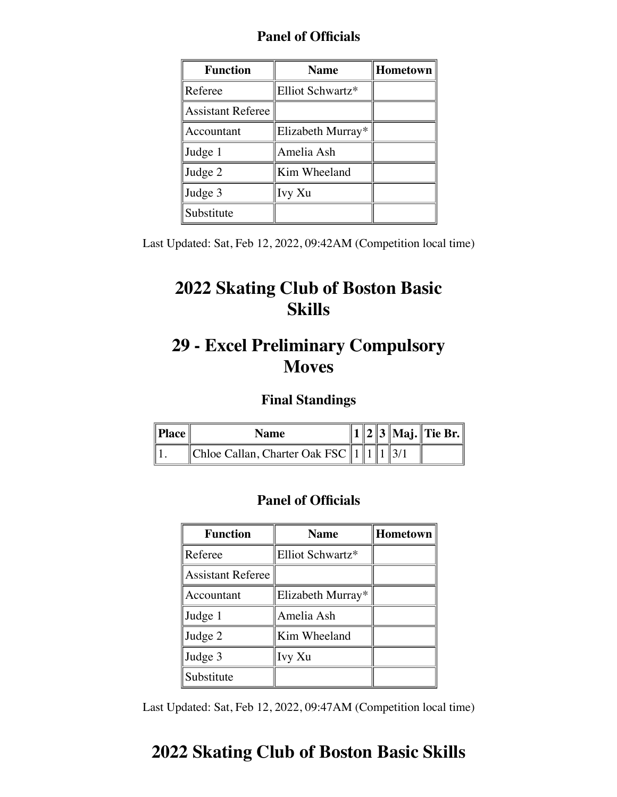| <b>Function</b>          | <b>Name</b>       | Hometown |
|--------------------------|-------------------|----------|
| Referee                  | Elliot Schwartz*  |          |
| <b>Assistant Referee</b> |                   |          |
| Accountant               | Elizabeth Murray* |          |
| Judge 1                  | Amelia Ash        |          |
| Judge 2                  | Kim Wheeland      |          |
| Judge 3                  | Ivy Xu            |          |
| Substitute               |                   |          |

Last Updated: Sat, Feb 12, 2022, 09:42AM (Competition local time)

# **2022 Skating Club of Boston Basic Skills**

## **29 - Excel Preliminary Compulsory Moves**

### **Final Standings**

| $\ $ <b>Place</b> $\ $ | Name                                           |  |  | 1    2    3    Maj.    Tie Br. |
|------------------------|------------------------------------------------|--|--|--------------------------------|
|                        | Chloe Callan, Charter Oak FSC    1    1    3/1 |  |  |                                |

### **Panel of Officials**

| <b>Function</b>          | <b>Name</b>       | <b>Hometown</b> |
|--------------------------|-------------------|-----------------|
| Referee                  | Elliot Schwartz*  |                 |
| <b>Assistant Referee</b> |                   |                 |
| Accountant               | Elizabeth Murray* |                 |
| Judge 1                  | Amelia Ash        |                 |
| Judge 2                  | Kim Wheeland      |                 |
| Judge 3                  | Ivy Xu            |                 |
| Substitute               |                   |                 |

Last Updated: Sat, Feb 12, 2022, 09:47AM (Competition local time)

## **2022 Skating Club of Boston Basic Skills**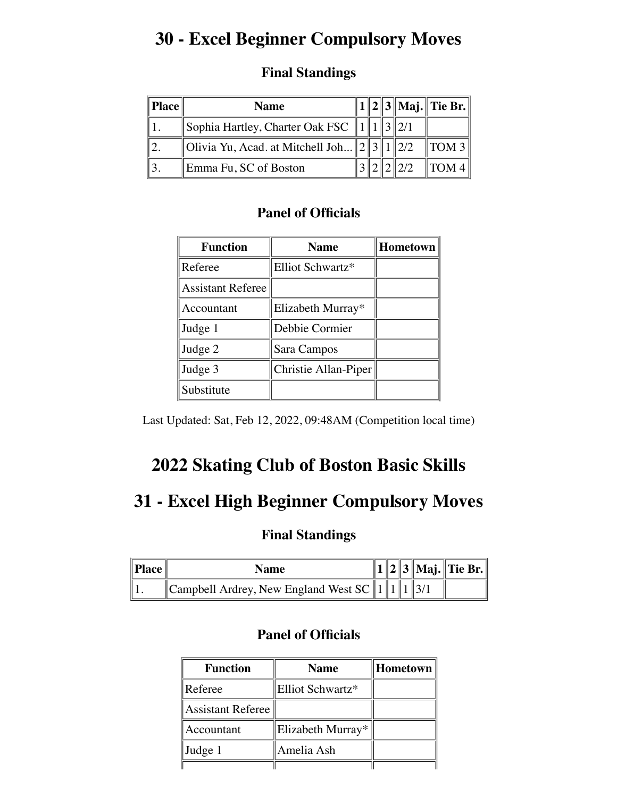## **30 - Excel Beginner Compulsory Moves**

| $\parallel$ Place | <b>Name</b>                                           |  |  | 1    2    3    Maj.    Tie Br. |
|-------------------|-------------------------------------------------------|--|--|--------------------------------|
|                   | Sophia Hartley, Charter Oak FSC    1    1    3    2/1 |  |  |                                |
|                   | Olivia Yu, Acad. at Mitchell Joh $  2  3  1  2/2$     |  |  | $\parallel$ TOM 3              |
|                   | Emma Fu, SC of Boston                                 |  |  | $\parallel$ TOM 4 $\parallel$  |

### **Final Standings**

### **Panel of Officials**

| <b>Function</b>          | <b>Name</b>          | Hometown |
|--------------------------|----------------------|----------|
| Referee                  | Elliot Schwartz*     |          |
| <b>Assistant Referee</b> |                      |          |
| Accountant               | Elizabeth Murray*    |          |
| Judge 1                  | Debbie Cormier       |          |
| Judge 2                  | Sara Campos          |          |
| Judge 3                  | Christie Allan-Piper |          |
| Substitute               |                      |          |

Last Updated: Sat, Feb 12, 2022, 09:48AM (Competition local time)

## **2022 Skating Club of Boston Basic Skills**

## **31 - Excel High Beginner Compulsory Moves**

### **Final Standings**

| $\ $ <b>Place</b> $\ $ | <b>Name</b>                                           |  |  | 1    2    3    Maj.    Tie Br. |
|------------------------|-------------------------------------------------------|--|--|--------------------------------|
|                        | Campbell Ardrey, New England West SC    1    1    3/1 |  |  |                                |

| <b>Function</b>   | <b>Name</b>       | Hometown |
|-------------------|-------------------|----------|
| Referee           | Elliot Schwartz*  |          |
| Assistant Referee |                   |          |
| Accountant        | Elizabeth Murray* |          |
| Judge 1           | Amelia Ash        |          |
|                   |                   |          |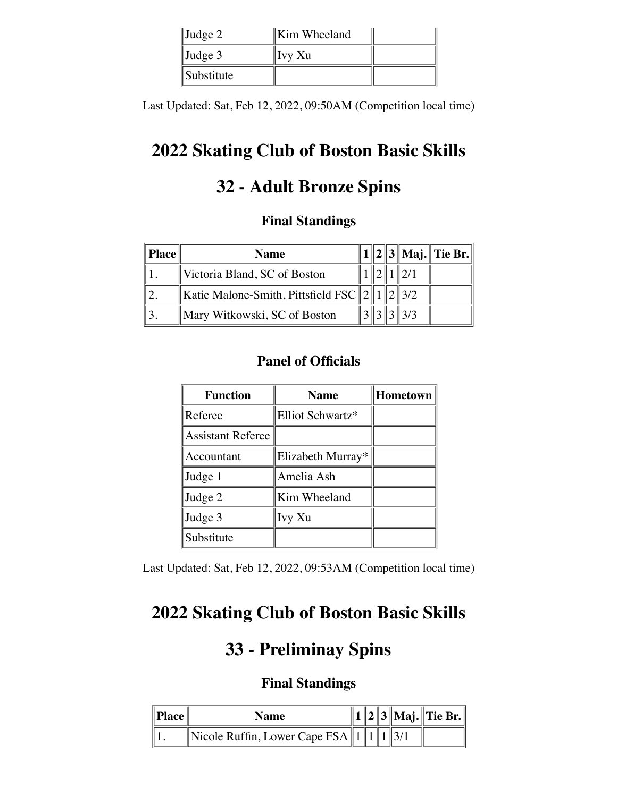| $\vert$ Judge 2 | Kim Wheeland |  |
|-----------------|--------------|--|
| $\vert$ Judge 3 | Ivy Xu       |  |
| $\ Substitute$  |              |  |

Last Updated: Sat, Feb 12, 2022, 09:50AM (Competition local time)

# **2022 Skating Club of Boston Basic Skills**

# **32 - Adult Bronze Spins**

### **Final Standings**

| Place | <b>Name</b>                                         |  |     | $\ 1\ 2\ 3\ $ Maj. $\ $ Tie Br. $\ $ |
|-------|-----------------------------------------------------|--|-----|--------------------------------------|
|       | Victoria Bland, SC of Boston                        |  |     |                                      |
|       | Katie Malone-Smith, Pittsfield FSC $\ 2\ 1\ 2\ 3/2$ |  |     |                                      |
|       | Mary Witkowski, SC of Boston                        |  | 3/3 |                                      |

## **Panel of Officials**

| <b>Function</b>          | <b>Name</b>       | Hometown |
|--------------------------|-------------------|----------|
| Referee                  | Elliot Schwartz*  |          |
| <b>Assistant Referee</b> |                   |          |
| Accountant               | Elizabeth Murray* |          |
| Judge 1                  | Amelia Ash        |          |
| Judge 2                  | Kim Wheeland      |          |
| Judge 3                  | Ivy Xu            |          |
| Substitute               |                   |          |

Last Updated: Sat, Feb 12, 2022, 09:53AM (Competition local time)

# **2022 Skating Club of Boston Basic Skills**

# **33 - Preliminay Spins**

| $\ $ Place $\ $ | Name                                        |  |  | $  1  2  3  $ Maj. Tie Br. $  $ |
|-----------------|---------------------------------------------|--|--|---------------------------------|
| Е               | Nicole Ruffin, Lower Cape FSA $\ 1\ 1\ 3/1$ |  |  |                                 |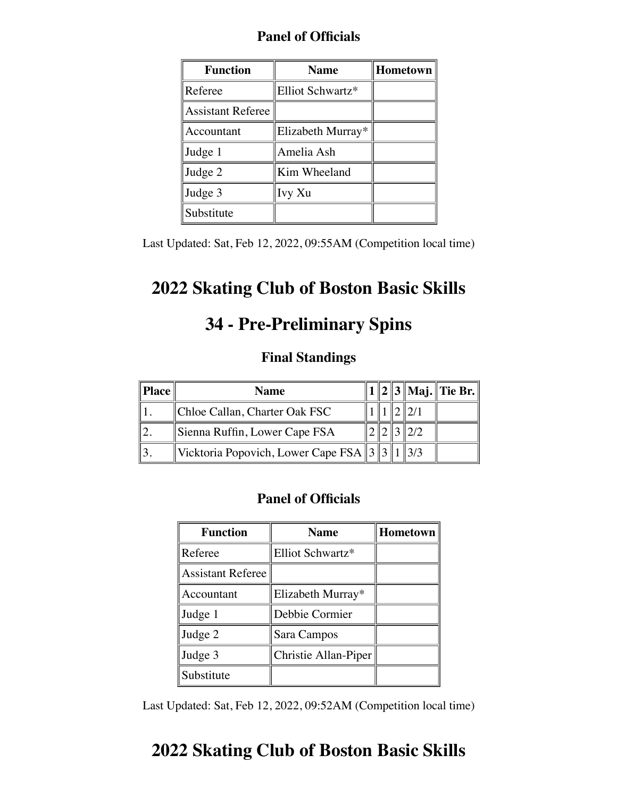| Fallel Of VIIICIAIS      |                   |          |  |  |
|--------------------------|-------------------|----------|--|--|
| <b>Function</b>          | <b>Name</b>       | Hometown |  |  |
| Referee                  | Elliot Schwartz*  |          |  |  |
| <b>Assistant Referee</b> |                   |          |  |  |
| Accountant               | Elizabeth Murray* |          |  |  |
| Judge 1                  | Amelia Ash        |          |  |  |
| Judge 2                  | Kim Wheeland      |          |  |  |
| Judge 3                  | Ivy Xu            |          |  |  |
| Substitute               |                   |          |  |  |

Last Updated: Sat, Feb 12, 2022, 09:55AM (Competition local time)

## **2022 Skating Club of Boston Basic Skills**

## **34 - Pre-Preliminary Spins**

### **Final Standings**

| Place | <b>Name</b>                                  |  |  | 2    3    Maj.    Tie Br. |
|-------|----------------------------------------------|--|--|---------------------------|
|       | Chloe Callan, Charter Oak FSC                |  |  |                           |
|       | Sienna Ruffin, Lower Cape FSA                |  |  |                           |
|       | Vicktoria Popovich, Lower Cape FSA 3 3 1 3/3 |  |  |                           |

#### **Panel of Officials**

| <b>Function</b>          | <b>Name</b>          | <b>Hometown</b> |
|--------------------------|----------------------|-----------------|
| Referee                  | Elliot Schwartz*     |                 |
| <b>Assistant Referee</b> |                      |                 |
| Accountant               | Elizabeth Murray*    |                 |
| Judge 1                  | Debbie Cormier       |                 |
| Judge 2                  | Sara Campos          |                 |
| Judge 3                  | Christie Allan-Piper |                 |
| Substitute               |                      |                 |

Last Updated: Sat, Feb 12, 2022, 09:52AM (Competition local time)

## **2022 Skating Club of Boston Basic Skills**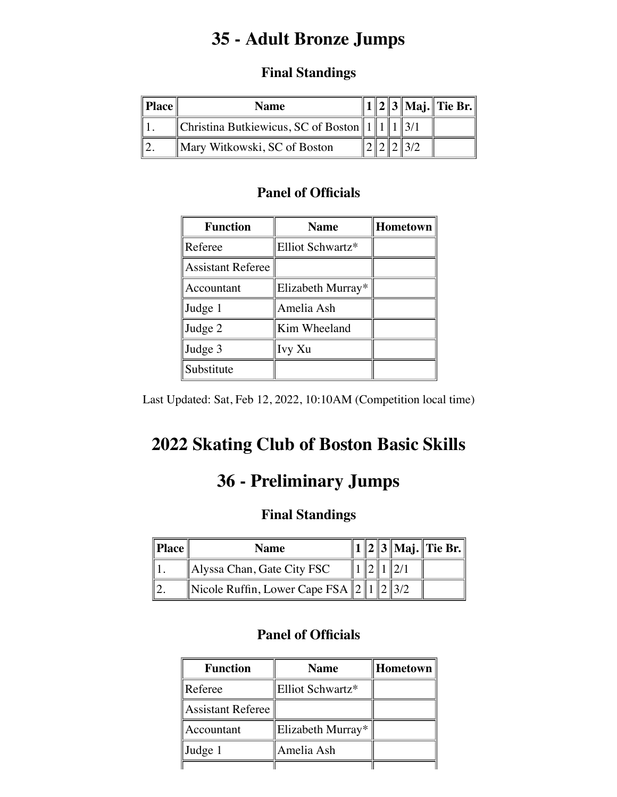# **35 - Adult Bronze Jumps**

### **Final Standings**

| $Place \parallel$ | <b>Name</b>                                            |  |  | 1    2    3    Maj.    Tie Br. |
|-------------------|--------------------------------------------------------|--|--|--------------------------------|
|                   | Christina Butkiewicus, SC of Boston    $1 \parallel 1$ |  |  |                                |
|                   | Mary Witkowski, SC of Boston                           |  |  |                                |

### **Panel of Officials**

| <b>Function</b>          | <b>Name</b>       | <b>Hometown</b> |
|--------------------------|-------------------|-----------------|
| Referee                  | Elliot Schwartz*  |                 |
| <b>Assistant Referee</b> |                   |                 |
| Accountant               | Elizabeth Murray* |                 |
| Judge 1                  | Amelia Ash        |                 |
| Judge 2                  | Kim Wheeland      |                 |
| Judge 3                  | Ivy Xu            |                 |
| Substitute               |                   |                 |

Last Updated: Sat, Feb 12, 2022, 10:10AM (Competition local time)

# **2022 Skating Club of Boston Basic Skills**

# **36 - Preliminary Jumps**

### **Final Standings**

| Place | <b>Name</b>                            |  |  | $\ 1\ 2\ 3\ $ Maj. $\ $ Tie Br. $\ $ |
|-------|----------------------------------------|--|--|--------------------------------------|
|       | $\parallel$ Alyssa Chan, Gate City FSC |  |  |                                      |
|       | Nicole Ruffin, Lower Cape FSA $ 2 $    |  |  |                                      |

| <b>Function</b>   | <b>Name</b>       | Hometown |
|-------------------|-------------------|----------|
| Referee           | Elliot Schwartz*  |          |
| Assistant Referee |                   |          |
| Accountant        | Elizabeth Murray* |          |
| Judge 1           | Amelia Ash        |          |
|                   |                   |          |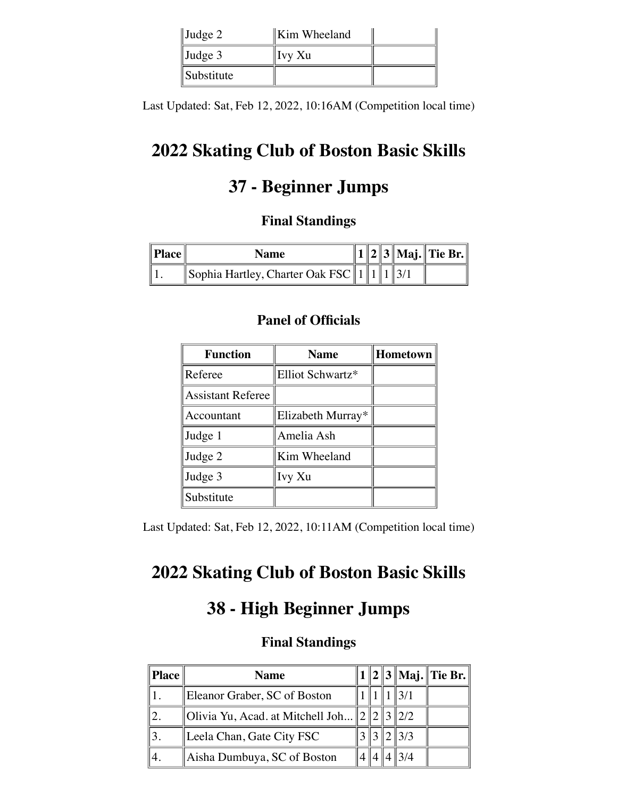| $\vert$ Judge 2   | Kim Wheeland |  |
|-------------------|--------------|--|
| $\vert$ Judge 3   | Ivy Xu       |  |
| <i>Substitute</i> |              |  |

Last Updated: Sat, Feb 12, 2022, 10:16AM (Competition local time)

# **2022 Skating Club of Boston Basic Skills**

# **37 - Beginner Jumps**

### **Final Standings**

| $\ $ Place $\ $ | <b>Name</b>                                         |  |  | $  1  2  3  $ Maj. Tie Br. |
|-----------------|-----------------------------------------------------|--|--|----------------------------|
|                 | $\ \$ Sophia Hartley, Charter Oak FSC $\ 1\ 1\ 3/1$ |  |  |                            |

#### **Panel of Officials**

| <b>Function</b>          | <b>Name</b>       | Hometown |
|--------------------------|-------------------|----------|
| Referee                  | Elliot Schwartz*  |          |
| <b>Assistant Referee</b> |                   |          |
| Accountant               | Elizabeth Murray* |          |
| Judge 1                  | Amelia Ash        |          |
| Judge 2                  | Kim Wheeland      |          |
| Judge 3                  | Ivy Xu            |          |
| Substitute               |                   |          |

Last Updated: Sat, Feb 12, 2022, 10:11AM (Competition local time)

# **2022 Skating Club of Boston Basic Skills**

## **38 - High Beginner Jumps**

| Place | <b>Name</b>                                       |  |                 | $1  2  3  $ Maj. Tie Br. |
|-------|---------------------------------------------------|--|-----------------|--------------------------|
|       | Eleanor Graber, SC of Boston                      |  |                 |                          |
|       | Olivia Yu, Acad. at Mitchell Joh $\ 2\ 2\ 3\ 2/2$ |  |                 |                          |
|       | Leela Chan, Gate City FSC                         |  | $\parallel$ 3/3 |                          |
|       | Aisha Dumbuya, SC of Boston                       |  |                 |                          |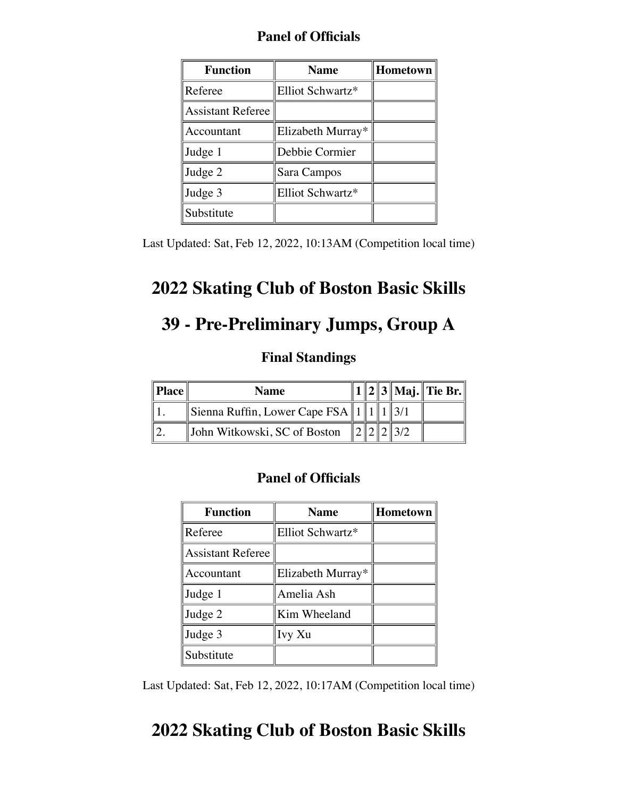|  | <b>Panel of Officials</b> |
|--|---------------------------|
|--|---------------------------|

| <b>Function</b>          | <b>Name</b>       | Hometown |
|--------------------------|-------------------|----------|
| Referee                  | Elliot Schwartz*  |          |
| <b>Assistant Referee</b> |                   |          |
| Accountant               | Elizabeth Murray* |          |
| Judge 1                  | Debbie Cormier    |          |
| Judge 2                  | Sara Campos       |          |
| Judge 3                  | Elliot Schwartz*  |          |
| Substitute               |                   |          |

Last Updated: Sat, Feb 12, 2022, 10:13AM (Competition local time)

# **2022 Skating Club of Boston Basic Skills**

# **39 - Pre-Preliminary Jumps, Group A**

### **Final Standings**

| Place | <b>Name</b>                               |  |  | 1    2    3    Maj.    Tie Br. |
|-------|-------------------------------------------|--|--|--------------------------------|
|       | Sienna Ruffin, Lower Cape FSA $  1  1  1$ |  |  |                                |
|       | John Witkowski, SC of Boston              |  |  |                                |

### **Panel of Officials**

| <b>Function</b>          | <b>Name</b>       | Hometown |
|--------------------------|-------------------|----------|
| Referee                  | Elliot Schwartz*  |          |
| <b>Assistant Referee</b> |                   |          |
| Accountant               | Elizabeth Murray* |          |
| Judge 1                  | Amelia Ash        |          |
| Judge 2                  | Kim Wheeland      |          |
| Judge 3                  | Ivy Xu            |          |
| Substitute               |                   |          |

Last Updated: Sat, Feb 12, 2022, 10:17AM (Competition local time)

## **2022 Skating Club of Boston Basic Skills**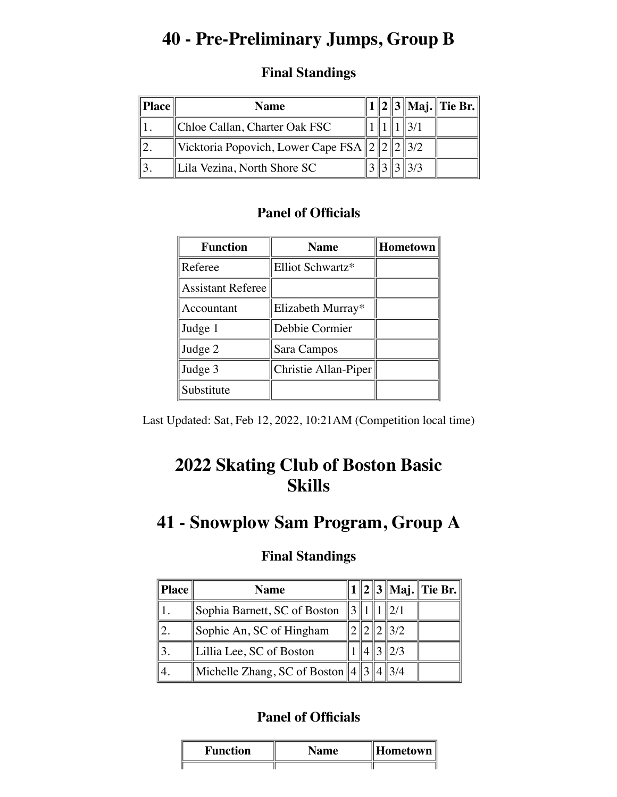## **40 - Pre-Preliminary Jumps, Group B**

### **Final Standings**

| $\ $ Place $\ $ | <b>Name</b>                                         |  |  | $1  2  3  $ Maj. Tie Br. |
|-----------------|-----------------------------------------------------|--|--|--------------------------|
|                 | Chloe Callan, Charter Oak FSC                       |  |  |                          |
|                 | Vicktoria Popovich, Lower Cape FSA $\ 2\ 2\ 2\ 3/2$ |  |  |                          |
|                 | Lila Vezina, North Shore SC                         |  |  |                          |

### **Panel of Officials**

| <b>Function</b>          | <b>Name</b>          | <b>Hometown</b> |
|--------------------------|----------------------|-----------------|
| Referee                  | Elliot Schwartz*     |                 |
| <b>Assistant Referee</b> |                      |                 |
| Accountant               | Elizabeth Murray*    |                 |
| Judge 1                  | Debbie Cormier       |                 |
| Judge 2                  | Sara Campos          |                 |
| Judge 3                  | Christie Allan-Piper |                 |
| Substitute               |                      |                 |

Last Updated: Sat, Feb 12, 2022, 10:21AM (Competition local time)

## **2022 Skating Club of Boston Basic Skills**

## **41 - Snowplow Sam Program, Group A**

### **Final Standings**

| <b>Place</b> | <b>Name</b>                                   |  |                 | $1  2  3  $ Maj. Tie Br. |
|--------------|-----------------------------------------------|--|-----------------|--------------------------|
|              | Sophia Barnett, SC of Boston                  |  |                 |                          |
|              | Sophie An, SC of Hingham                      |  | $\parallel$ 3/2 |                          |
|              | Lillia Lee, SC of Boston                      |  | 12/3            |                          |
|              | Michelle Zhang, SC of Boston $\ 4\ 3\ 4\ 3/4$ |  |                 |                          |

| Function | Name | Hometown |
|----------|------|----------|
|          |      |          |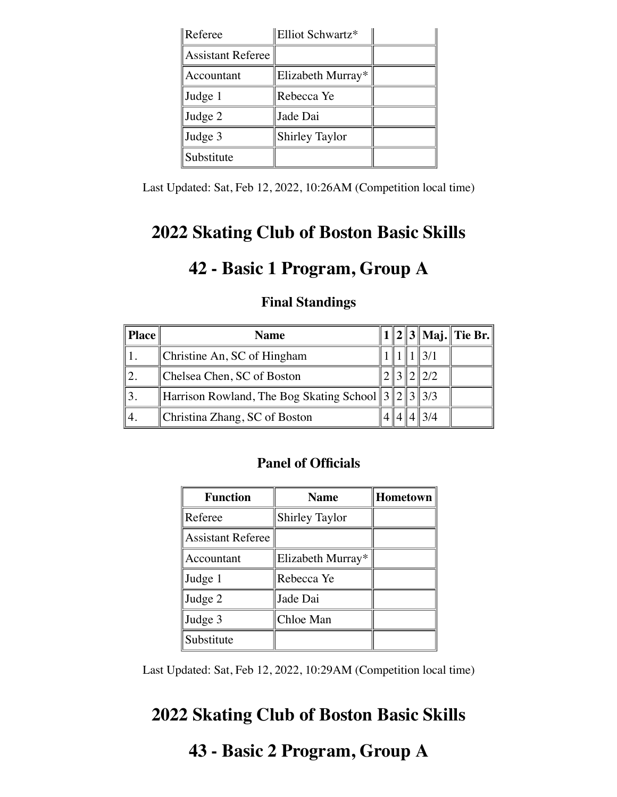| Referee                  | Elliot Schwartz*      |  |
|--------------------------|-----------------------|--|
| <b>Assistant Referee</b> |                       |  |
| Accountant               | Elizabeth Murray*     |  |
| Judge 1                  | Rebecca Ye            |  |
| Judge 2                  | Jade Dai              |  |
| Judge 3                  | <b>Shirley Taylor</b> |  |
| Substitute               |                       |  |

Last Updated: Sat, Feb 12, 2022, 10:26AM (Competition local time)

## **2022 Skating Club of Boston Basic Skills**

## **42 - Basic 1 Program, Group A**

### **Final Standings**

| <b>Place</b> | <b>Name</b>                                               |  |                 | 1    2    3    Maj.    Tie Br. |
|--------------|-----------------------------------------------------------|--|-----------------|--------------------------------|
|              | Christine An, SC of Hingham                               |  |                 |                                |
|              | Chelsea Chen, SC of Boston                                |  | $\parallel$ 2/2 |                                |
|              | Harrison Rowland, The Bog Skating School $  3  2  3  3/3$ |  |                 |                                |
|              | Christina Zhang, SC of Boston                             |  |                 |                                |

### **Panel of Officials**

| <b>Function</b>          | <b>Name</b>           | <b>Hometown</b> |
|--------------------------|-----------------------|-----------------|
| Referee                  | <b>Shirley Taylor</b> |                 |
| <b>Assistant Referee</b> |                       |                 |
| Accountant               | Elizabeth Murray*     |                 |
| Judge 1                  | Rebecca Ye            |                 |
| Judge 2                  | Jade Dai              |                 |
| Judge 3                  | Chloe Man             |                 |
| Substitute               |                       |                 |

Last Updated: Sat, Feb 12, 2022, 10:29AM (Competition local time)

# **2022 Skating Club of Boston Basic Skills**

# **43 - Basic 2 Program, Group A**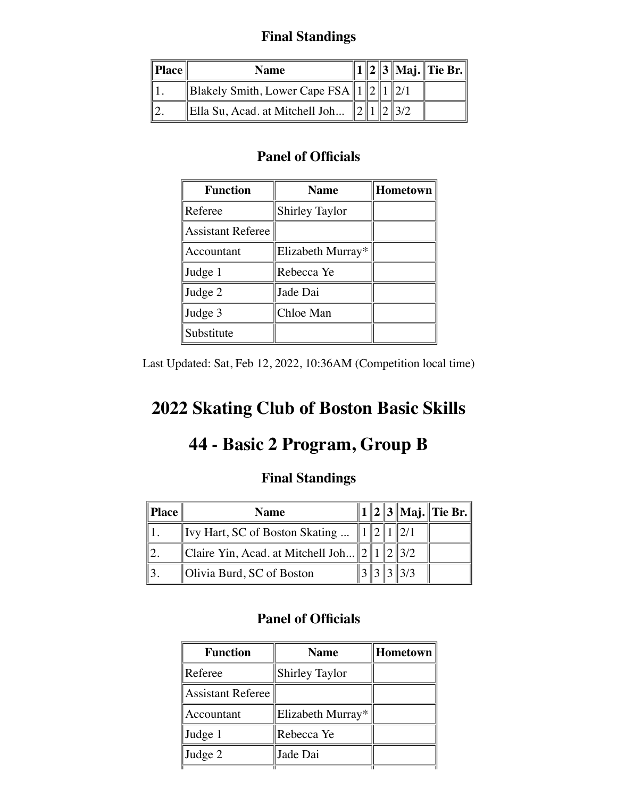### **Final Standings**

| $\ $ Place $\ $ | <b>Name</b>                              |  |  | $1  2  3  $ Maj. Tie Br. |
|-----------------|------------------------------------------|--|--|--------------------------|
|                 | Blakely Smith, Lower Cape FSA $\ 1\ 2\ $ |  |  |                          |
|                 | Ella Su, Acad. at Mitchell Joh           |  |  |                          |

### **Panel of Officials**

| <b>Function</b>          | <b>Name</b>           | Hometown |
|--------------------------|-----------------------|----------|
| Referee                  | <b>Shirley Taylor</b> |          |
| <b>Assistant Referee</b> |                       |          |
| Accountant               | Elizabeth Murray*     |          |
| Judge 1                  | Rebecca Ye            |          |
| Judge 2                  | Jade Dai              |          |
| Judge 3                  | Chloe Man             |          |
| Substitute               |                       |          |

Last Updated: Sat, Feb 12, 2022, 10:36AM (Competition local time)

# **2022 Skating Club of Boston Basic Skills**

## **44 - Basic 2 Program, Group B**

## **Final Standings**

| $\ $ Place | <b>Name</b>                                |  |        | $1  2  3  $ Maj. Tie Br. |
|------------|--------------------------------------------|--|--------|--------------------------|
|            | Ivy Hart, SC of Boston Skating             |  |        |                          |
|            | Claire Yin, Acad. at Mitchell Joh $\ 2\ 1$ |  | 1213/2 |                          |
|            | Olivia Burd, SC of Boston                  |  |        |                          |

| <b>Function</b>          | <b>Name</b>           | <b>Hometown</b> |
|--------------------------|-----------------------|-----------------|
| Referee                  | <b>Shirley Taylor</b> |                 |
| <b>Assistant Referee</b> |                       |                 |
| Accountant               | Elizabeth Murray*     |                 |
| Judge 1                  | Rebecca Ye            |                 |
| Judge 2                  | Jade Dai              |                 |
|                          |                       |                 |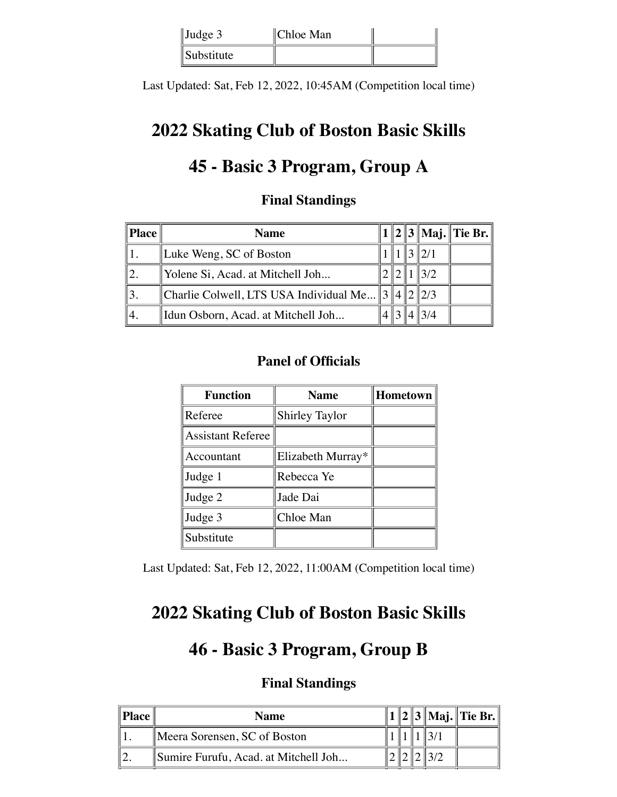| $\vert$ Judge 3   | Chloe Man |  |
|-------------------|-----------|--|
| <i>Substitute</i> |           |  |

Last Updated: Sat, Feb 12, 2022, 10:45AM (Competition local time)

## **2022 Skating Club of Boston Basic Skills**

# **45 - Basic 3 Program, Group A**

### **Final Standings**

| <b>Place</b> | <b>Name</b>                              |  |     | 1    2    3    Maj.    Tie Br. |
|--------------|------------------------------------------|--|-----|--------------------------------|
|              | Luke Weng, SC of Boston                  |  |     |                                |
|              | Yolene Si, Acad. at Mitchell Joh         |  | 3/2 |                                |
|              | Charlie Colwell, LTS USA Individual Me 3 |  | 2/3 |                                |
|              | Idun Osborn, Acad. at Mitchell Joh       |  |     |                                |

## **Panel of Officials**

| <b>Function</b>          | <b>Name</b>           | Hometown |
|--------------------------|-----------------------|----------|
| Referee                  | <b>Shirley Taylor</b> |          |
| <b>Assistant Referee</b> |                       |          |
| Accountant               | Elizabeth Murray*     |          |
| Judge 1                  | Rebecca Ye            |          |
| Judge 2                  | Jade Dai              |          |
| Judge 3                  | Chloe Man             |          |
| Substitute               |                       |          |

Last Updated: Sat, Feb 12, 2022, 11:00AM (Competition local time)

## **2022 Skating Club of Boston Basic Skills**

## **46 - Basic 3 Program, Group B**

| Place | <b>Name</b>                          |  |  | $  2  3  $ Maj. Tie Br. |
|-------|--------------------------------------|--|--|-------------------------|
|       | Meera Sorensen, SC of Boston         |  |  |                         |
|       | Sumire Furufu, Acad. at Mitchell Joh |  |  |                         |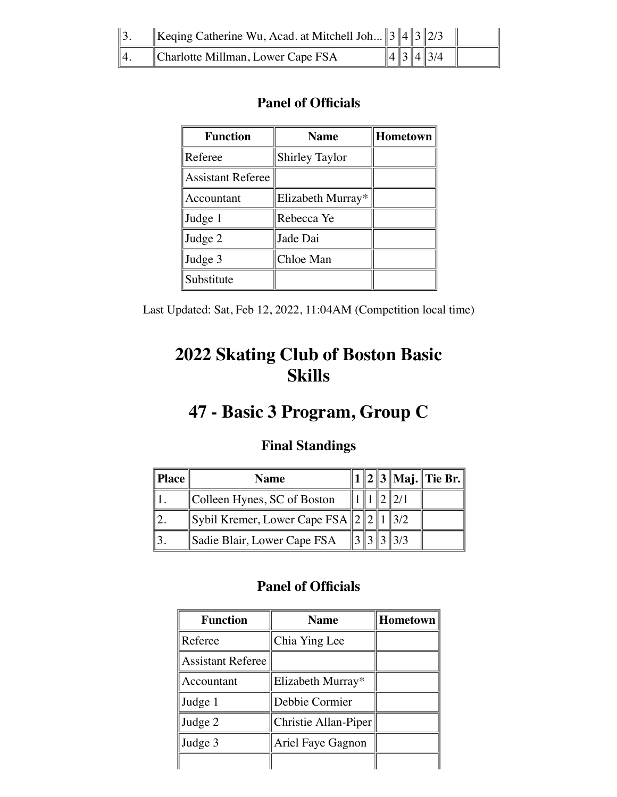| $\parallel$ 3. | Keqing Catherine Wu, Acad. at Mitchell Joh $  3  4  3  2/3$ |  |                  |  |
|----------------|-------------------------------------------------------------|--|------------------|--|
| $\parallel$ 4. | Charlotte Millman, Lower Cape FSA                           |  | $\ 4\ 3\ 4\ 3/4$ |  |

| <b>Function</b>          | <b>Name</b>           | Hometown $\parallel$ |
|--------------------------|-----------------------|----------------------|
| Referee                  | <b>Shirley Taylor</b> |                      |
| <b>Assistant Referee</b> |                       |                      |
| Accountant               | Elizabeth Murray*     |                      |
| Judge 1                  | Rebecca Ye            |                      |
| Judge 2                  | Jade Dai              |                      |
| Judge 3                  | Chloe Man             |                      |
| Substitute               |                       |                      |

Last Updated: Sat, Feb 12, 2022, 11:04AM (Competition local time)

# **2022 Skating Club of Boston Basic Skills**

# **47 - Basic 3 Program, Group C**

## **Final Standings**

| $\ $ Place $\ $ | <b>Name</b>                                   |  |            | $  1  2  3  $ Maj. Tie Br. |
|-----------------|-----------------------------------------------|--|------------|----------------------------|
|                 | Colleen Hynes, SC of Boston                   |  |            |                            |
|                 | Sybil Kremer, Lower Cape FSA $\ 2\ 2\ 1\ 3/2$ |  |            |                            |
|                 | Sadie Blair, Lower Cape FSA                   |  | $\ 3\ 3/3$ |                            |

| <b>Function</b>          | <b>Name</b>          | <b>Hometown</b> |
|--------------------------|----------------------|-----------------|
| Referee                  | Chia Ying Lee        |                 |
| <b>Assistant Referee</b> |                      |                 |
| Accountant               | Elizabeth Murray*    |                 |
| Judge 1                  | Debbie Cormier       |                 |
| Judge 2                  | Christie Allan-Piper |                 |
| Judge 3                  | Ariel Faye Gagnon    |                 |
|                          |                      |                 |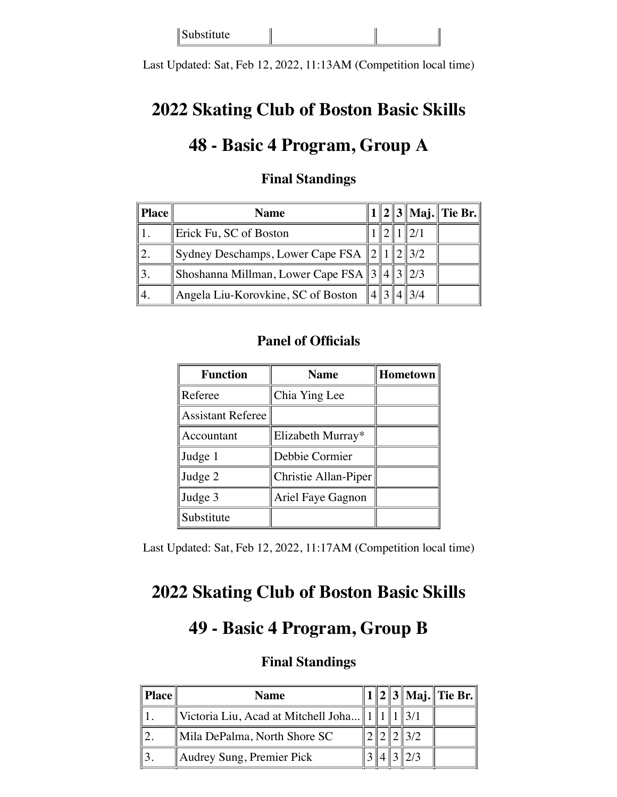Substitute

Last Updated: Sat, Feb 12, 2022, 11:13AM (Competition local time)

## **2022 Skating Club of Boston Basic Skills**

## **48 - Basic 4 Program, Group A**

| <b>Place</b> | <b>Name</b>                                   |  |                 | $1  2  3  $ Maj. Tie Br. |
|--------------|-----------------------------------------------|--|-----------------|--------------------------|
|              | Erick Fu, SC of Boston                        |  |                 |                          |
|              | Sydney Deschamps, Lower Cape FSA $  2  1  2$  |  | $\parallel$ 3/2 |                          |
|              | Shoshanna Millman, Lower Cape FSA $3/4/3/2/3$ |  |                 |                          |
|              | Angela Liu-Korovkine, SC of Boston            |  |                 |                          |

### **Final Standings**

#### **Panel of Officials**

| <b>Function</b>          | <b>Name</b>          | Hometown |
|--------------------------|----------------------|----------|
| Referee                  | Chia Ying Lee        |          |
| <b>Assistant Referee</b> |                      |          |
| Accountant               | Elizabeth Murray*    |          |
| Judge 1                  | Debbie Cormier       |          |
| Judge 2                  | Christie Allan-Piper |          |
| Judge 3                  | Ariel Faye Gagnon    |          |
| Substitute               |                      |          |

Last Updated: Sat, Feb 12, 2022, 11:17AM (Competition local time)

## **2022 Skating Club of Boston Basic Skills**

## **49 - Basic 4 Program, Group B**

| Place | <b>Name</b>                         |  |  | $1  2  3  $ Maj. Tie Br. |
|-------|-------------------------------------|--|--|--------------------------|
|       | Victoria Liu, Acad at Mitchell Joha |  |  |                          |
|       | Mila DePalma, North Shore SC        |  |  |                          |
|       | Audrey Sung, Premier Pick           |  |  |                          |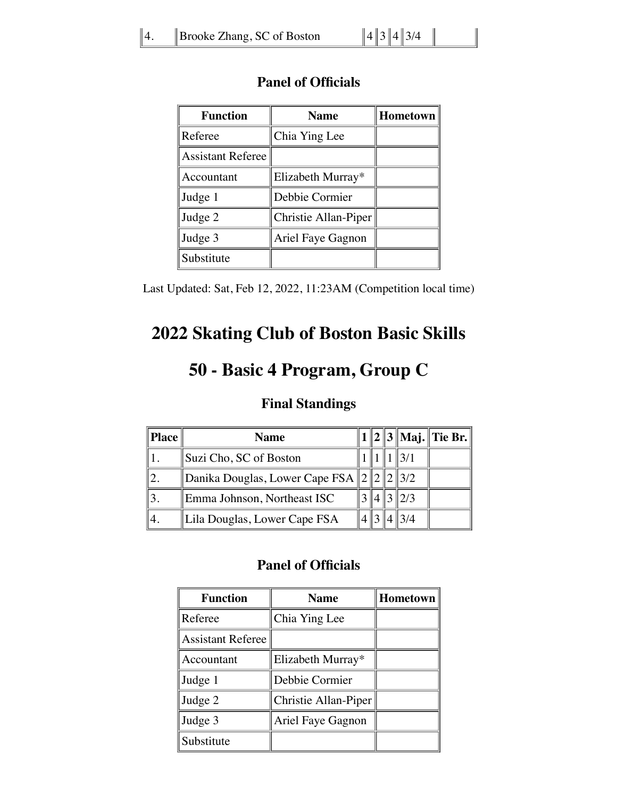| <b>Function</b>          | <b>Name</b>          | <b>Hometown</b> |
|--------------------------|----------------------|-----------------|
| Referee                  | Chia Ying Lee        |                 |
| <b>Assistant Referee</b> |                      |                 |
| Accountant               | Elizabeth Murray*    |                 |
| Judge 1                  | Debbie Cormier       |                 |
| Judge 2                  | Christie Allan-Piper |                 |
| Judge 3                  | Ariel Faye Gagnon    |                 |
| Substitute               |                      |                 |

Last Updated: Sat, Feb 12, 2022, 11:23AM (Competition local time)

# **2022 Skating Club of Boston Basic Skills**

## **50 - Basic 4 Program, Group C**

#### **Final Standings**

| <b>Place</b> | <b>Name</b>                           |  |                 | $1  2  3  $ Maj. Tie Br. |
|--------------|---------------------------------------|--|-----------------|--------------------------|
|              | Suzi Cho, SC of Boston                |  |                 |                          |
|              | Danika Douglas, Lower Cape FSA $ 2 2$ |  | $\parallel$ 3/2 |                          |
|              | Emma Johnson, Northeast ISC           |  | 2/3             |                          |
|              | Lila Douglas, Lower Cape FSA          |  |                 |                          |

| <b>Function</b>          | <b>Name</b>          | Hometown |
|--------------------------|----------------------|----------|
| Referee                  | Chia Ying Lee        |          |
| <b>Assistant Referee</b> |                      |          |
| Accountant               | Elizabeth Murray*    |          |
| Judge 1                  | Debbie Cormier       |          |
| Judge 2                  | Christie Allan-Piper |          |
| Judge 3                  | Ariel Faye Gagnon    |          |
| Substitute               |                      |          |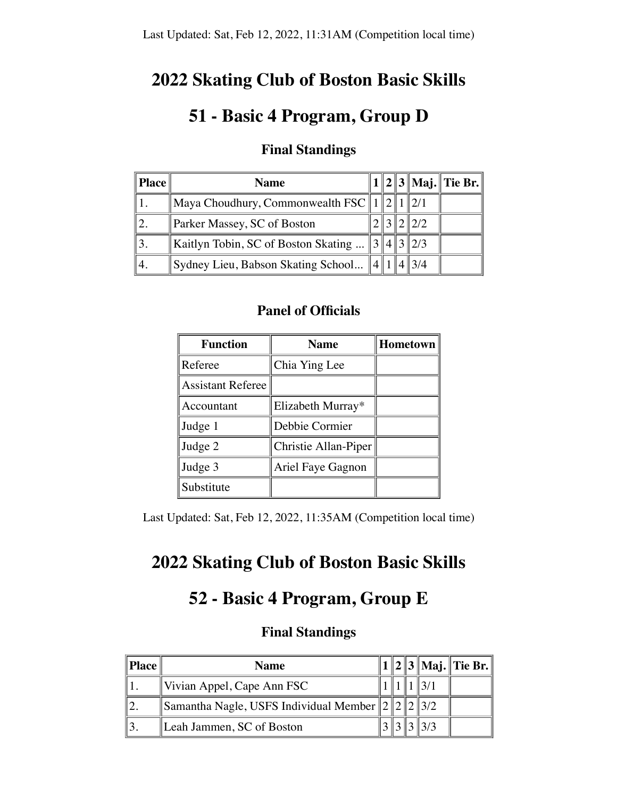## **2022 Skating Club of Boston Basic Skills**

# **51 - Basic 4 Program, Group D**

| Place | <b>Name</b>                                                                          |  |  |                  | 1    2    3    Maj.    Tie Br. |
|-------|--------------------------------------------------------------------------------------|--|--|------------------|--------------------------------|
|       | $\parallel$ Maya Choudhury, Commonwealth FSC $\parallel$ 1 $\parallel$ 2 $\parallel$ |  |  |                  |                                |
|       | Parker Massey, SC of Boston                                                          |  |  | $\parallel$ 2/2  |                                |
|       | Kaitlyn Tobin, SC of Boston Skating                                                  |  |  | $\ 3\ 4\ 3\ 2/3$ |                                |
|       | Sydney Lieu, Babson Skating School                                                   |  |  | $4\frac{3}{4}$   |                                |

### **Final Standings**

#### **Panel of Officials**

| <b>Function</b>          | <b>Name</b>          | Hometown |
|--------------------------|----------------------|----------|
| Referee                  | Chia Ying Lee        |          |
| <b>Assistant Referee</b> |                      |          |
| Accountant               | Elizabeth Murray*    |          |
| Judge 1                  | Debbie Cormier       |          |
| Judge 2                  | Christie Allan-Piper |          |
| Judge 3                  | Ariel Faye Gagnon    |          |
| Substitute               |                      |          |

Last Updated: Sat, Feb 12, 2022, 11:35AM (Competition local time)

# **2022 Skating Club of Boston Basic Skills**

## **52 - Basic 4 Program, Group E**

| <b>Place</b> | Name                                                    |  |  | 1    2    3    Maj.    Tie Br. |
|--------------|---------------------------------------------------------|--|--|--------------------------------|
|              | $\forall$ Vivian Appel, Cape Ann FSC                    |  |  |                                |
|              | Samantha Nagle, USFS Individual Member $\ 2\ 2\ 2\ 3/2$ |  |  |                                |
|              | Leah Jammen, SC of Boston                               |  |  |                                |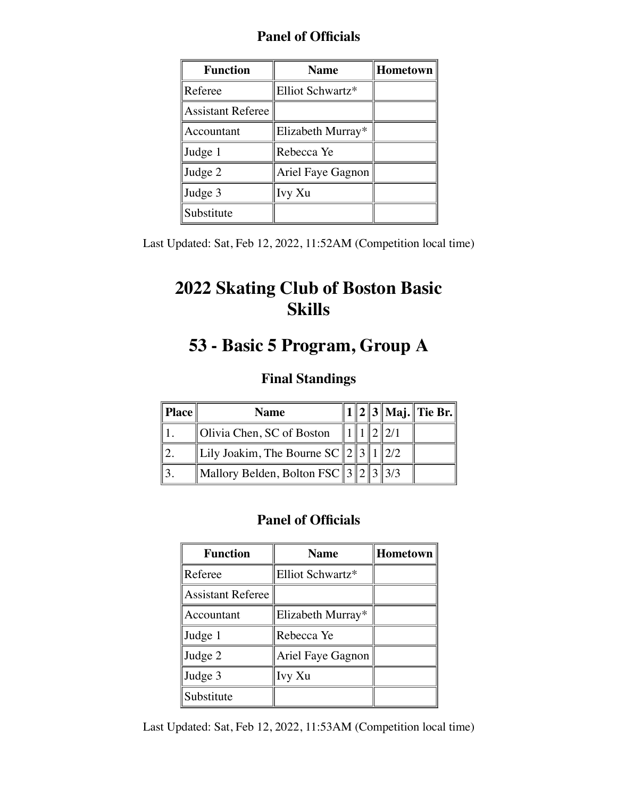| <b>Panel of Officials</b> |  |  |
|---------------------------|--|--|
|---------------------------|--|--|

| <b>Function</b><br><b>Name</b> |                   | Hometown |
|--------------------------------|-------------------|----------|
| Referee                        | Elliot Schwartz*  |          |
| <b>Assistant Referee</b>       |                   |          |
| Accountant                     | Elizabeth Murray* |          |
| Judge 1                        | Rebecca Ye        |          |
| Judge 2                        | Ariel Faye Gagnon |          |
| Judge 3                        | Ivy Xu            |          |
| Substitute                     |                   |          |

Last Updated: Sat, Feb 12, 2022, 11:52AM (Competition local time)

# **2022 Skating Club of Boston Basic Skills**

# **53 - Basic 5 Program, Group A**

### **Final Standings**

| Place | <b>Name</b>                                              |  |  | $\ 1\ 2\ 3\ $ Maj. $\ $ Tie Br. $\ $ |
|-------|----------------------------------------------------------|--|--|--------------------------------------|
|       | Olivia Chen, SC of Boston                                |  |  |                                      |
|       | Lily Joakim, The Bourne SC    2    3    1    2/2         |  |  |                                      |
|       | Mallory Belden, Bolton FSC    $3$    $2$    $3$    $3/3$ |  |  |                                      |

### **Panel of Officials**

| <b>Function</b>          | <b>Name</b>       | <b>Hometown</b> |
|--------------------------|-------------------|-----------------|
| Referee                  | Elliot Schwartz*  |                 |
| <b>Assistant Referee</b> |                   |                 |
| Accountant               | Elizabeth Murray* |                 |
| Judge 1                  | Rebecca Ye        |                 |
| Judge 2                  | Ariel Faye Gagnon |                 |
| Judge 3                  | Ivy Xu            |                 |
| Substitute               |                   |                 |

Last Updated: Sat, Feb 12, 2022, 11:53AM (Competition local time)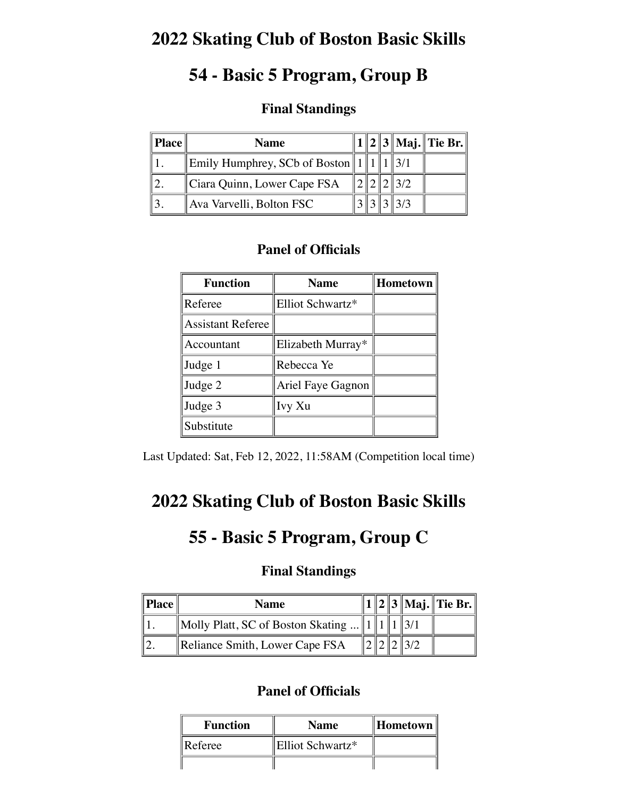## **2022 Skating Club of Boston Basic Skills**

## **54 - Basic 5 Program, Group B**

### **Final Standings**

| <b>Place</b> | <b>Name</b>                            |  |  |               | $1  2  3  $ Maj. Tie Br. |
|--------------|----------------------------------------|--|--|---------------|--------------------------|
|              | Emily Humphrey, SCb of Boston $  1  1$ |  |  |               |                          |
|              | Ciara Quinn, Lower Cape FSA            |  |  |               |                          |
|              | Ava Varvelli, Bolton FSC               |  |  | $\frac{3}{3}$ |                          |

### **Panel of Officials**

| <b>Function</b>          | <b>Name</b>       | Hometown |
|--------------------------|-------------------|----------|
| Referee                  | Elliot Schwartz*  |          |
| <b>Assistant Referee</b> |                   |          |
| Accountant               | Elizabeth Murray* |          |
| Judge 1                  | Rebecca Ye        |          |
| Judge 2                  | Ariel Faye Gagnon |          |
| Judge 3                  | Ivy Xu            |          |
| Substitute               |                   |          |

Last Updated: Sat, Feb 12, 2022, 11:58AM (Competition local time)

## **2022 Skating Club of Boston Basic Skills**

## **55 - Basic 5 Program, Group C**

#### **Final Standings**

| $\ $ <b>Place</b> $\ $ | <b>Name</b>                                         |  |  | 1    2    3    Maj.    Tie Br. |
|------------------------|-----------------------------------------------------|--|--|--------------------------------|
|                        | Molly Platt, SC of Boston Skating     1    1    3/1 |  |  |                                |
|                        | Reliance Smith, Lower Cape FSA                      |  |  |                                |

| <b>Function</b> | <b>Name</b>      |  |
|-----------------|------------------|--|
| Referee         | Elliot Schwartz* |  |
|                 |                  |  |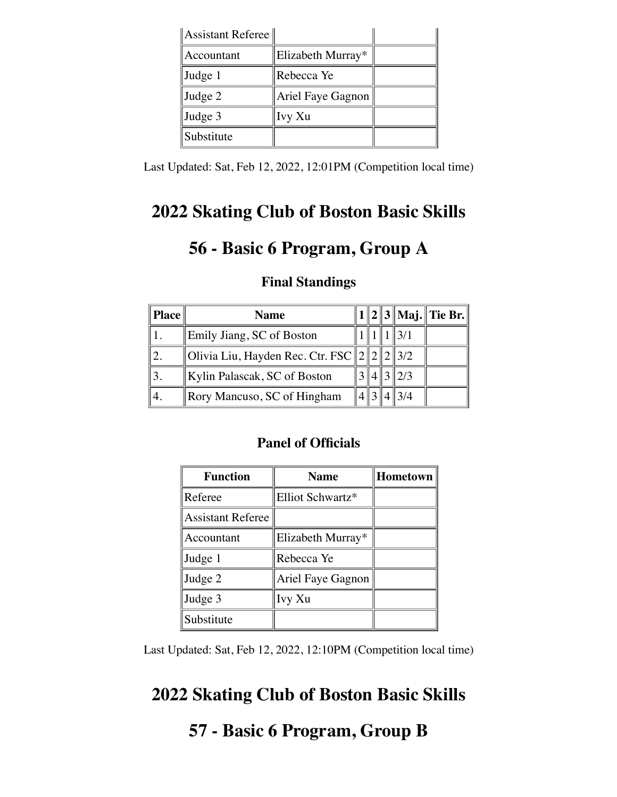| Assistant Referee |                   |  |
|-------------------|-------------------|--|
| Accountant        | Elizabeth Murray* |  |
| Judge 1           | Rebecca Ye        |  |
| Judge 2           | Ariel Faye Gagnon |  |
| Judge 3           | Ivy Xu            |  |
| Substitute        |                   |  |

Last Updated: Sat, Feb 12, 2022, 12:01PM (Competition local time)

## **2022 Skating Club of Boston Basic Skills**

# **56 - Basic 6 Program, Group A**

| Place | <b>Name</b>                                       |  |                | $1  2  3  $ Maj. Tie Br. |
|-------|---------------------------------------------------|--|----------------|--------------------------|
|       | Emily Jiang, SC of Boston                         |  | 3/1            |                          |
|       | Olivia Liu, Hayden Rec. Ctr. FSC    2    2    3/2 |  |                |                          |
|       | Kylin Palascak, SC of Boston                      |  | $3\frac{2}{3}$ |                          |
|       | Rory Mancuso, SC of Hingham                       |  | 3/4            |                          |

#### **Final Standings**

#### **Panel of Officials**

| <b>Function</b>          | <b>Name</b>       | Hometown |
|--------------------------|-------------------|----------|
| Referee                  | Elliot Schwartz*  |          |
| <b>Assistant Referee</b> |                   |          |
| Accountant               | Elizabeth Murray* |          |
| Judge 1                  | Rebecca Ye        |          |
| Judge 2                  | Ariel Faye Gagnon |          |
| Judge 3                  | Ivy Xu            |          |
| Substitute               |                   |          |

Last Updated: Sat, Feb 12, 2022, 12:10PM (Competition local time)

## **2022 Skating Club of Boston Basic Skills**

## **57 - Basic 6 Program, Group B**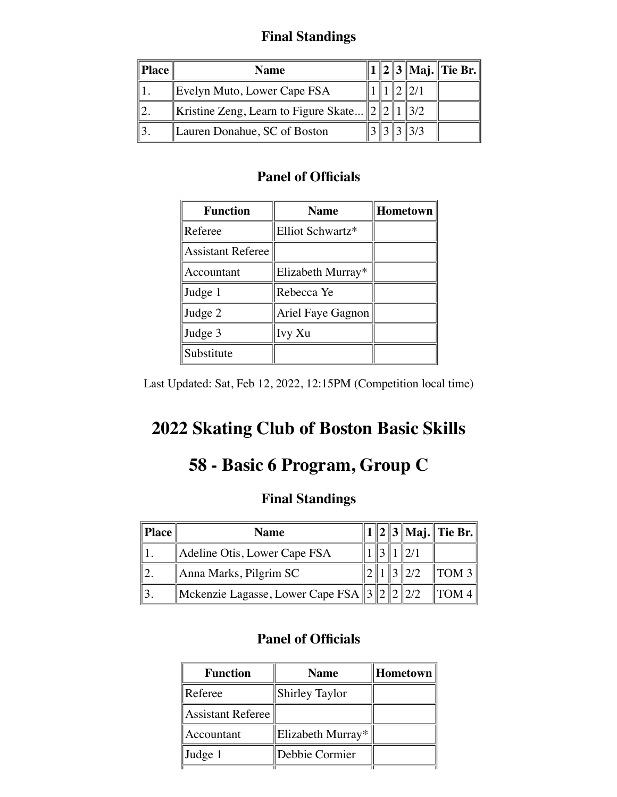## **Final Standings**

| Place | Name                                         |  |  | 1    2    3    Maj.    Tie Br. |
|-------|----------------------------------------------|--|--|--------------------------------|
|       | Evelyn Muto, Lower Cape FSA                  |  |  |                                |
|       | Kristine Zeng, Learn to Figure Skate $\ 2\ $ |  |  |                                |
|       | Lauren Donahue, SC of Boston                 |  |  |                                |

#### **Panel of Officials**

| <b>Function</b>          | <b>Name</b>       | <b>Hometown</b> |
|--------------------------|-------------------|-----------------|
| Referee                  | Elliot Schwartz*  |                 |
| <b>Assistant Referee</b> |                   |                 |
| Accountant               | Elizabeth Murray* |                 |
| Judge 1                  | Rebecca Ye        |                 |
| Judge 2                  | Ariel Faye Gagnon |                 |
| Judge 3                  | Ivy Xu            |                 |
| Substitute               |                   |                 |

Last Updated: Sat, Feb 12, 2022, 12:15PM (Competition local time)

# **2022 Skating Club of Boston Basic Skills**

# **58 - Basic 6 Program, Group C**

### **Final Standings**

| $\ $ Place $\ $ | <b>Name</b>                                       |  |  | 1    2    3    Maj.    Tie Br. |
|-----------------|---------------------------------------------------|--|--|--------------------------------|
|                 | Adeline Otis, Lower Cape FSA                      |  |  |                                |
|                 | Anna Marks, Pilgrim SC                            |  |  | $\parallel$ TOM 3              |
|                 | Mckenzie Lagasse, Lower Cape FSA $\ 3\ 2\ 2\ 2/2$ |  |  | $\parallel$ TOM 4              |

| <b>Function</b>   | <b>Name</b>           | Hometown |
|-------------------|-----------------------|----------|
| Referee           | <b>Shirley Taylor</b> |          |
| Assistant Referee |                       |          |
| Accountant        | Elizabeth Murray*     |          |
| Judge 1           | Debbie Cormier        |          |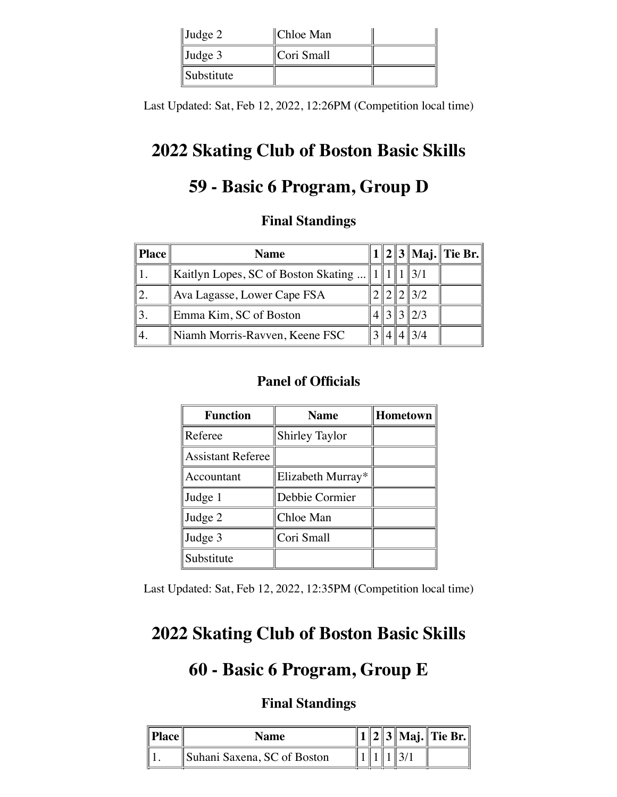| $\vert$ Judge 2   | ∥Chloe Man |  |
|-------------------|------------|--|
| $\vert$ Judge 3   | Cori Small |  |
| <i>Substitute</i> |            |  |

Last Updated: Sat, Feb 12, 2022, 12:26PM (Competition local time)

## **2022 Skating Club of Boston Basic Skills**

# **59 - Basic 6 Program, Group D**

### **Final Standings**

| <b>Place</b> | <b>Name</b>                         |  |                 | $1  2  3  $ Maj. Tie Br. |
|--------------|-------------------------------------|--|-----------------|--------------------------|
|              | Kaitlyn Lopes, SC of Boston Skating |  |                 |                          |
|              | Ava Lagasse, Lower Cape FSA         |  | $\parallel$ 3/2 |                          |
|              | Emma Kim, SC of Boston              |  | 12/3            |                          |
|              | Niamh Morris-Ravven, Keene FSC      |  |                 |                          |

### **Panel of Officials**

| <b>Function</b>          | <b>Name</b>           | <b>Hometown</b> |
|--------------------------|-----------------------|-----------------|
| Referee                  | <b>Shirley Taylor</b> |                 |
| <b>Assistant Referee</b> |                       |                 |
| Accountant               | Elizabeth Murray*     |                 |
| Judge 1                  | Debbie Cormier        |                 |
| Judge 2                  | Chloe Man             |                 |
| Judge 3                  | Cori Small            |                 |
| Substitute               |                       |                 |

Last Updated: Sat, Feb 12, 2022, 12:35PM (Competition local time)

## **2022 Skating Club of Boston Basic Skills**

## **60 - Basic 6 Program, Group E**

| <b>Name</b>                 |  |  | $\ 1\ 2\ 3\ $ Maj. $\ $ Tie Br. $\ $ |
|-----------------------------|--|--|--------------------------------------|
| Suhani Saxena, SC of Boston |  |  |                                      |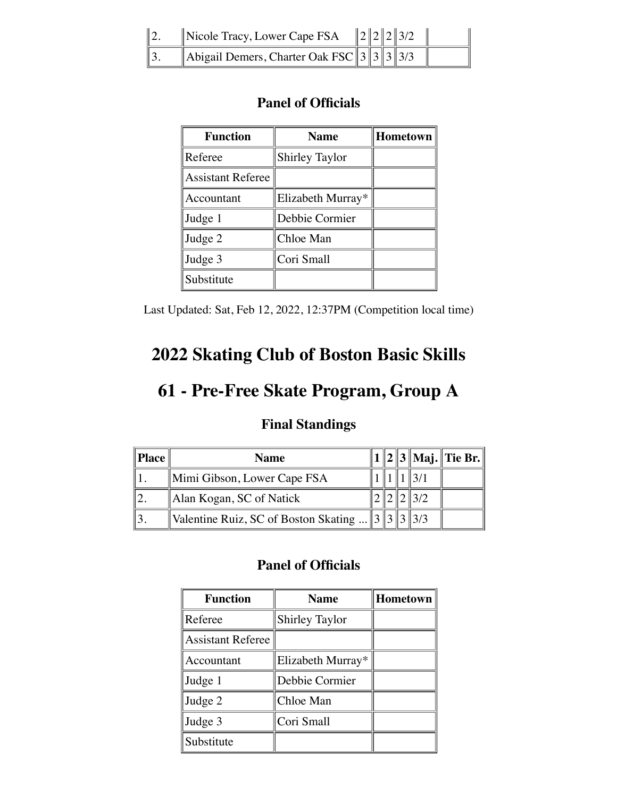| Nicole Tracy, Lower Cape FSA                     |  | $\ 2\ 2\ 2\ 3/2$ |  |
|--------------------------------------------------|--|------------------|--|
| Abigail Demers, Charter Oak FSC $\ 3\ 3\ 3\ 3/3$ |  |                  |  |

| <b>Function</b>          | <b>Name</b>           | Hometown |
|--------------------------|-----------------------|----------|
| Referee                  | <b>Shirley Taylor</b> |          |
| <b>Assistant Referee</b> |                       |          |
| Accountant               | Elizabeth Murray*     |          |
| Judge 1                  | Debbie Cormier        |          |
| Judge 2                  | Chloe Man             |          |
| Judge 3                  | Cori Small            |          |
| Substitute               |                       |          |

Last Updated: Sat, Feb 12, 2022, 12:37PM (Competition local time)

# **2022 Skating Club of Boston Basic Skills**

## **61 - Pre-Free Skate Program, Group A**

### **Final Standings**

| $\ $ Place | <b>Name</b>                                                    |  |  | $1  2  3  $ Maj. Tie Br. |
|------------|----------------------------------------------------------------|--|--|--------------------------|
|            | Mimi Gibson, Lower Cape FSA                                    |  |  |                          |
|            | Alan Kogan, SC of Natick                                       |  |  |                          |
|            | Valentine Ruiz, SC of Boston Skating     3    3    3    3    3 |  |  |                          |

| <b>Function</b>          | <b>Name</b>           | Hometown |
|--------------------------|-----------------------|----------|
| Referee                  | <b>Shirley Taylor</b> |          |
| <b>Assistant Referee</b> |                       |          |
| Accountant               | Elizabeth Murray*     |          |
| Judge 1                  | Debbie Cormier        |          |
| Judge 2                  | Chloe Man             |          |
| Judge 3                  | Cori Small            |          |
| Substitute               |                       |          |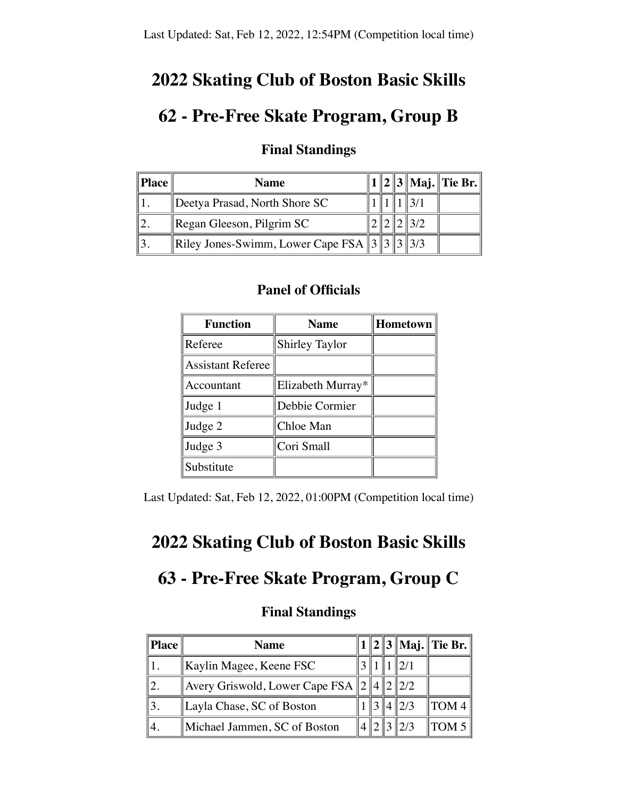## **2022 Skating Club of Boston Basic Skills**

## **62 - Pre-Free Skate Program, Group B**

| $\ $ Place $\ $ | <b>Name</b>                                        |  |  |  |
|-----------------|----------------------------------------------------|--|--|--|
|                 | Deetya Prasad, North Shore SC                      |  |  |  |
|                 | $\parallel$ Regan Gleeson, Pilgrim SC              |  |  |  |
|                 | Riley Jones-Swimm, Lower Cape FSA $\ 3\ 3\ 3\ 3/3$ |  |  |  |

### **Final Standings**

#### **Panel of Officials**

| <b>Function</b>   | <b>Name</b>           | Hometown |
|-------------------|-----------------------|----------|
| Referee           | <b>Shirley Taylor</b> |          |
| Assistant Referee |                       |          |
| Accountant        | Elizabeth Murray*     |          |
| Judge 1           | Debbie Cormier        |          |
| Judge 2           | Chloe Man             |          |
| Judge 3           | Cori Small            |          |
| Substitute        |                       |          |

Last Updated: Sat, Feb 12, 2022, 01:00PM (Competition local time)

## **2022 Skating Club of Boston Basic Skills**

## **63 - Pre-Free Skate Program, Group C**

| Place | <b>Name</b>                            |  |          | 1    2    3    Maj.    Tie Br. |
|-------|----------------------------------------|--|----------|--------------------------------|
|       | Kaylin Magee, Keene FSC                |  | 12/1     |                                |
|       | Avery Griswold, Lower Cape FSA $\ 2\ $ |  | 141212/2 |                                |
|       | Layla Chase, SC of Boston              |  | 2/3      | TOM 4                          |
|       | Michael Jammen, SC of Boston           |  | 2/3      | $\parallel$ TOM 5              |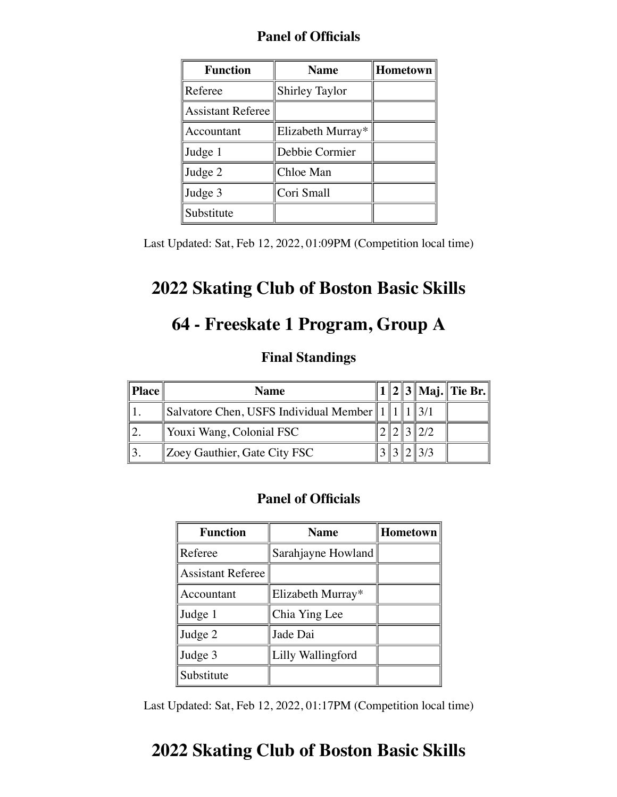| <b>Function</b>          | <b>Name</b>           | Hometown |
|--------------------------|-----------------------|----------|
| Referee                  | <b>Shirley Taylor</b> |          |
| <b>Assistant Referee</b> |                       |          |
| Accountant               | Elizabeth Murray*     |          |
| Judge 1                  | Debbie Cormier        |          |
| Judge 2                  | Chloe Man             |          |
| Judge 3                  | Cori Small            |          |
| Substitute               |                       |          |

Last Updated: Sat, Feb 12, 2022, 01:09PM (Competition local time)

## **2022 Skating Club of Boston Basic Skills**

# **64 - Freeskate 1 Program, Group A**

#### **Final Standings**

| $\ $ Place | <b>Name</b>                                     |  |  | $1  2  3  $ Maj. Tie Br. |
|------------|-------------------------------------------------|--|--|--------------------------|
|            | Salvatore Chen, USFS Individual Member $  1  1$ |  |  |                          |
|            | Youxi Wang, Colonial FSC                        |  |  |                          |
|            | Zoey Gauthier, Gate City FSC                    |  |  |                          |

#### **Panel of Officials**

| <b>Function</b>          | <b>Name</b>        | <b>Hometown</b> |
|--------------------------|--------------------|-----------------|
| Referee                  | Sarahjayne Howland |                 |
| <b>Assistant Referee</b> |                    |                 |
| Accountant               | Elizabeth Murray*  |                 |
| Judge 1                  | Chia Ying Lee      |                 |
| Judge 2                  | Jade Dai           |                 |
| Judge 3                  | Lilly Wallingford  |                 |
| Substitute               |                    |                 |

Last Updated: Sat, Feb 12, 2022, 01:17PM (Competition local time)

## **2022 Skating Club of Boston Basic Skills**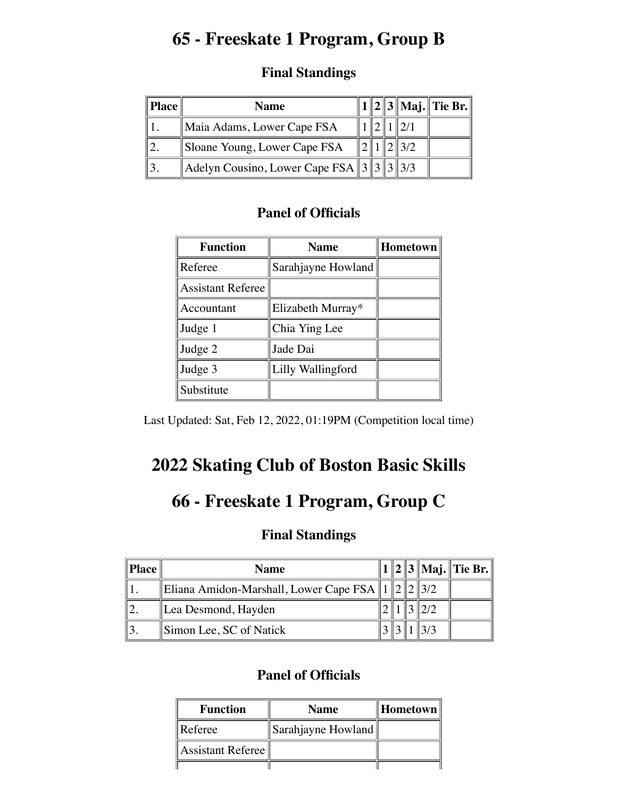# **65 - Freeskate 1 Program, Group B**

### **Final Standings**

| <b>Place</b> | <b>Name</b>                                     |  |  | 1    2    3    Maj.    Tie Br. |
|--------------|-------------------------------------------------|--|--|--------------------------------|
|              | Maia Adams, Lower Cape FSA                      |  |  |                                |
|              | Sloane Young, Lower Cape FSA                    |  |  |                                |
|              | Adelyn Cousino, Lower Cape FSA $\ 3\ 3\ 3\ 3/3$ |  |  |                                |

## **Panel of Officials**

| <b>Function</b>          | <b>Name</b>        | <b>Hometown</b> |
|--------------------------|--------------------|-----------------|
| Referee                  | Sarahjayne Howland |                 |
| <b>Assistant Referee</b> |                    |                 |
| Accountant               | Elizabeth Murray*  |                 |
| Judge 1                  | Chia Ying Lee      |                 |
| Judge 2                  | Jade Dai           |                 |
| Judge 3                  | Lilly Wallingford  |                 |
| Substitute               |                    |                 |

Last Updated: Sat, Feb 12, 2022, 01:19PM (Competition local time)

# **2022 Skating Club of Boston Basic Skills**

## **66 - Freeskate 1 Program, Group C**

### **Final Standings**

| $\ $ Place | <b>Name</b>                                             |  |     | $1  2  3  $ Maj. Tie Br. |
|------------|---------------------------------------------------------|--|-----|--------------------------|
|            | Eliana Amidon-Marshall, Lower Cape FSA    $\ 2\ 2\ 3/2$ |  |     |                          |
|            | Lea Desmond, Hayden                                     |  | 2/2 |                          |
|            | Simon Lee, SC of Natick                                 |  |     |                          |

| <b>Function</b>   | <b>Name</b>        | ∥Hometown |
|-------------------|--------------------|-----------|
| Referee           | Sarahjayne Howland |           |
| Assistant Referee |                    |           |
|                   |                    |           |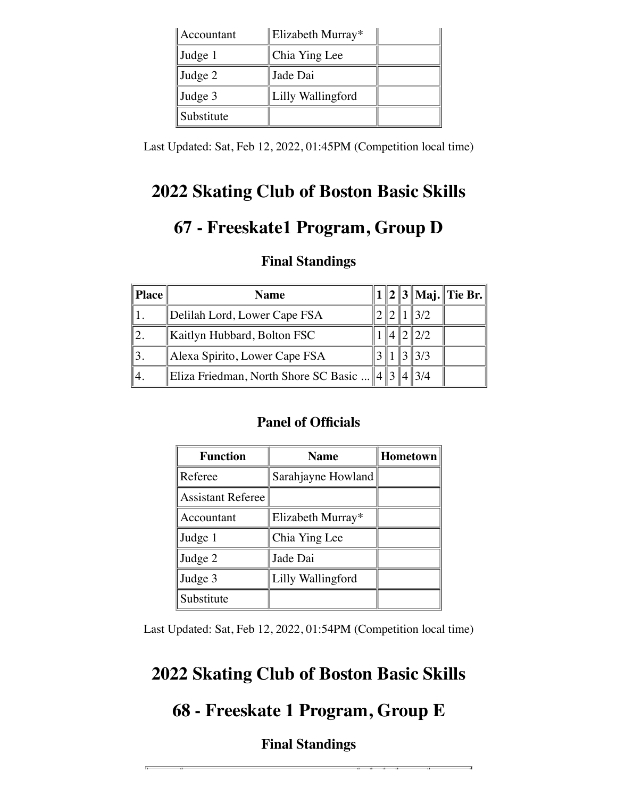| Accountant | Elizabeth Murray* |  |
|------------|-------------------|--|
| Judge 1    | Chia Ying Lee     |  |
| Judge 2    | Jade Dai          |  |
| Judge 3    | Lilly Wallingford |  |
| Substitute |                   |  |

Last Updated: Sat, Feb 12, 2022, 01:45PM (Competition local time)

# **2022 Skating Club of Boston Basic Skills**

# **67 - Freeskate1 Program, Group D**

### **Final Standings**

| Place | <b>Name</b>                                   |  |                 | $1  2  3  $ Maj. Tie Br. |
|-------|-----------------------------------------------|--|-----------------|--------------------------|
|       | Delilah Lord, Lower Cape FSA                  |  | $\parallel$ 3/2 |                          |
|       | Kaitlyn Hubbard, Bolton FSC                   |  | 2/2             |                          |
|       | Alexa Spirito, Lower Cape FSA                 |  | $3\frac{13}{3}$ |                          |
|       | Eliza Friedman, North Shore SC Basic $  4  3$ |  | 13/4            |                          |

### **Panel of Officials**

| <b>Function</b>          | <b>Name</b>        | <b>Hometown</b> |  |  |
|--------------------------|--------------------|-----------------|--|--|
| Referee                  | Sarahjayne Howland |                 |  |  |
| <b>Assistant Referee</b> |                    |                 |  |  |
| Accountant               | Elizabeth Murray*  |                 |  |  |
| Judge 1                  | Chia Ying Lee      |                 |  |  |
| Judge 2                  | Jade Dai           |                 |  |  |
| Judge 3                  | Lilly Wallingford  |                 |  |  |
| Substitute               |                    |                 |  |  |

Last Updated: Sat, Feb 12, 2022, 01:54PM (Competition local time)

## **2022 Skating Club of Boston Basic Skills**

## **68 - Freeskate 1 Program, Group E**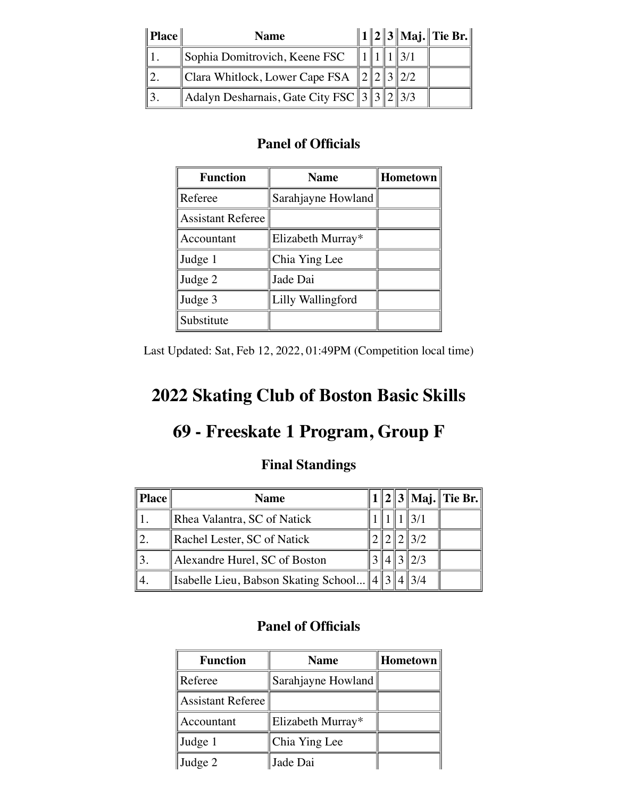| $\ $ Place | <b>Name</b>                                            |  |  | 1    2    3    Maj. Tie Br. |
|------------|--------------------------------------------------------|--|--|-----------------------------|
|            | Sophia Domitrovich, Keene FSC                          |  |  |                             |
|            | Clara Whitlock, Lower Cape FSA $  2  2  3  2/2$        |  |  |                             |
|            | $\ $ Adalyn Desharnais, Gate City FSC $\ 3\ 3\ 2\ 3/3$ |  |  |                             |

| <b>Function</b>          | <b>Name</b>        | <b>Hometown</b> |  |  |
|--------------------------|--------------------|-----------------|--|--|
| Referee                  | Sarahjayne Howland |                 |  |  |
| <b>Assistant Referee</b> |                    |                 |  |  |
| Accountant               | Elizabeth Murray*  |                 |  |  |
| Judge 1                  | Chia Ying Lee      |                 |  |  |
| Judge 2                  | Jade Dai           |                 |  |  |
| Judge 3                  | Lilly Wallingford  |                 |  |  |
| Substitute               |                    |                 |  |  |

Last Updated: Sat, Feb 12, 2022, 01:49PM (Competition local time)

# **2022 Skating Club of Boston Basic Skills**

## **69 - Freeskate 1 Program, Group F**

### **Final Standings**

| Place | <b>Name</b>                                 |  |               | $1  2  3  $ Maj. Tie Br. |
|-------|---------------------------------------------|--|---------------|--------------------------|
|       | Rhea Valantra, SC of Natick                 |  |               |                          |
|       | Rachel Lester, SC of Natick                 |  | 3/2           |                          |
|       | Alexandre Hurel, SC of Boston               |  | $\frac{2}{3}$ |                          |
|       | Isabelle Lieu, Babson Skating School   4  3 |  | 13/4          |                          |

| <b>Function</b>          | <b>Name</b>        | Hometown |
|--------------------------|--------------------|----------|
| Referee                  | Sarahjayne Howland |          |
| <b>Assistant Referee</b> |                    |          |
| Accountant               | Elizabeth Murray*  |          |
| Judge 1                  | Chia Ying Lee      |          |
| Judge 2                  | Jade Dai           |          |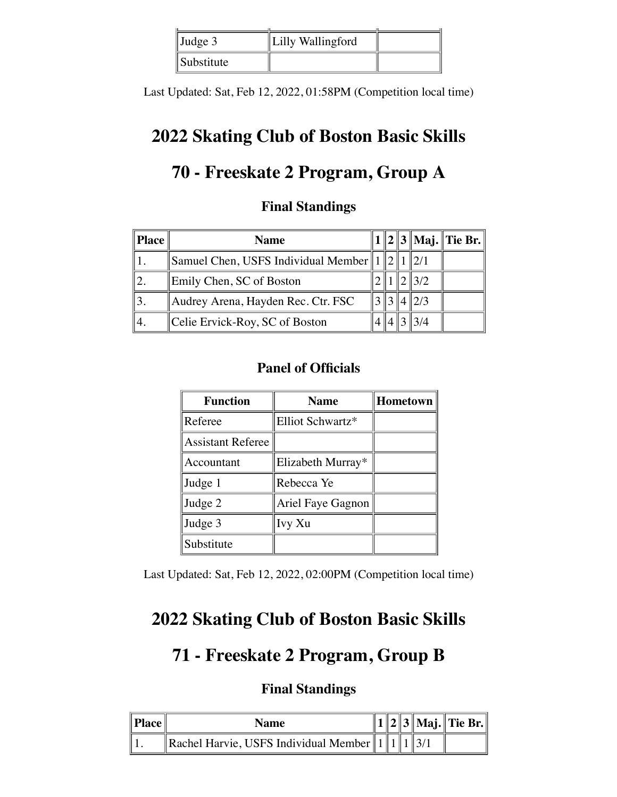| $\vert$ Judge 3 | Lilly Wallingford |  |
|-----------------|-------------------|--|
| Substitute      |                   |  |

Last Updated: Sat, Feb 12, 2022, 01:58PM (Competition local time)

## **2022 Skating Club of Boston Basic Skills**

# **70 - Freeskate 2 Program, Group A**

### **Final Standings**

|     | <b>Name</b>                                          |  |     | 1    2    3    Maj.    Tie Br. |
|-----|------------------------------------------------------|--|-----|--------------------------------|
|     | Samuel Chen, USFS Individual Member $\ 1\ 2\ 1\ 2/1$ |  |     |                                |
|     | Emily Chen, SC of Boston                             |  | 3/2 |                                |
|     | Audrey Arena, Hayden Rec. Ctr. FSC                   |  |     |                                |
| Ι4. | Celie Ervick-Roy, SC of Boston                       |  |     |                                |

### **Panel of Officials**

| <b>Function</b>          | <b>Name</b>       | <b>Hometown</b> |
|--------------------------|-------------------|-----------------|
| Referee                  | Elliot Schwartz*  |                 |
| <b>Assistant Referee</b> |                   |                 |
| Accountant               | Elizabeth Murray* |                 |
| Judge 1                  | Rebecca Ye        |                 |
| Judge 2                  | Ariel Faye Gagnon |                 |
| Judge 3                  | Ivy Xu            |                 |
| Substitute               |                   |                 |

Last Updated: Sat, Feb 12, 2022, 02:00PM (Competition local time)

## **2022 Skating Club of Boston Basic Skills**

## **71 - Freeskate 2 Program, Group B**

| $\ $ Place $\ $ | Name                                           |  |  | 1    2    3    Maj.    Tie Br. |
|-----------------|------------------------------------------------|--|--|--------------------------------|
| Ш               | Rachel Harvie, USFS Individual Member $  1  1$ |  |  |                                |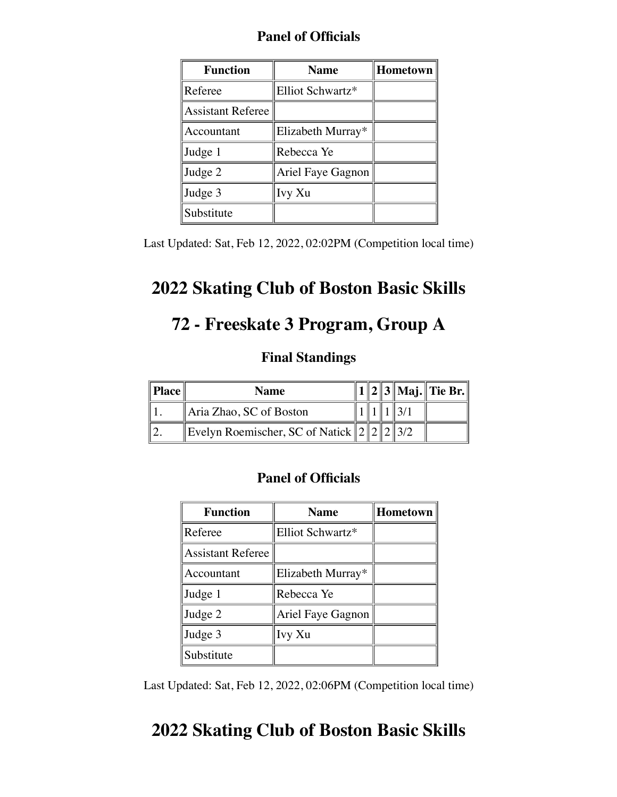| <b>Function</b>          | <b>Name</b>       | Hometown |
|--------------------------|-------------------|----------|
| Referee                  | Elliot Schwartz*  |          |
| <b>Assistant Referee</b> |                   |          |
| Accountant               | Elizabeth Murray* |          |
| Judge 1                  | Rebecca Ye        |          |
| Judge 2                  | Ariel Faye Gagnon |          |
| Judge 3                  | Ivy Xu            |          |
| Substitute               |                   |          |

Last Updated: Sat, Feb 12, 2022, 02:02PM (Competition local time)

## **2022 Skating Club of Boston Basic Skills**

# **72 - Freeskate 3 Program, Group A**

#### **Final Standings**

| Place | <b>Name</b>                                      |  |  | 1    2    3    Maj.    Tie Br. |
|-------|--------------------------------------------------|--|--|--------------------------------|
|       | Aria Zhao, SC of Boston                          |  |  |                                |
|       | Evelyn Roemischer, SC of Natick $  2  2  2  3/2$ |  |  |                                |

### **Panel of Officials**

| <b>Function</b>          | <b>Name</b>       | Hometown |
|--------------------------|-------------------|----------|
| Referee                  | Elliot Schwartz*  |          |
| <b>Assistant Referee</b> |                   |          |
| Accountant               | Elizabeth Murray* |          |
| Judge 1                  | Rebecca Ye        |          |
| Judge 2                  | Ariel Faye Gagnon |          |
| Judge 3                  | Ivy Xu            |          |
| Substitute               |                   |          |

Last Updated: Sat, Feb 12, 2022, 02:06PM (Competition local time)

## **2022 Skating Club of Boston Basic Skills**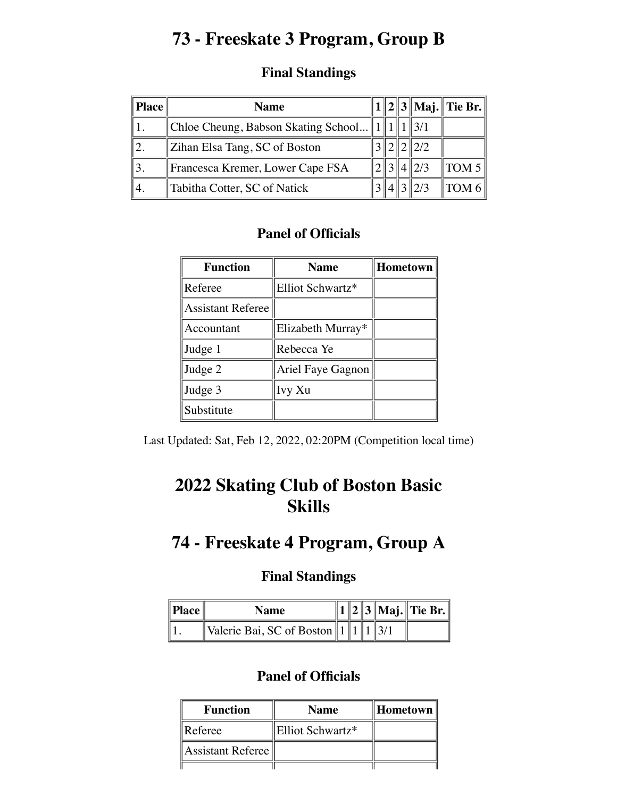# **73 - Freeskate 3 Program, Group B**

| <b>Place</b> | <b>Name</b>                                          |  |               | $1  2  3  $ Maj. Tie Br. |
|--------------|------------------------------------------------------|--|---------------|--------------------------|
|              | Chloe Cheung, Babson Skating School $  1  1  1  3/1$ |  |               |                          |
|              | Zihan Elsa Tang, SC of Boston                        |  | $\ 2/2$       |                          |
|              | Francesca Kremer, Lower Cape FSA                     |  | $4\sqrt{2}/3$ | TOM 5 $\parallel$        |
|              | Tabitha Cotter, SC of Natick                         |  |               | TOM 6                    |

### **Panel of Officials**

| <b>Function</b>          | <b>Name</b>       | <b>Hometown</b> |
|--------------------------|-------------------|-----------------|
| Referee                  | Elliot Schwartz*  |                 |
| <b>Assistant Referee</b> |                   |                 |
| Accountant               | Elizabeth Murray* |                 |
| Judge 1                  | Rebecca Ye        |                 |
| Judge 2                  | Ariel Faye Gagnon |                 |
| Judge 3                  | Ivy Xu            |                 |
| Substitute               |                   |                 |

Last Updated: Sat, Feb 12, 2022, 02:20PM (Competition local time)

# **2022 Skating Club of Boston Basic Skills**

## **74 - Freeskate 4 Program, Group A**

### **Final Standings**

| Place | <b>Name</b>                                |  |  | $\ 1\ 2\ 3\ $ Maj. Tie Br. $\ $ |
|-------|--------------------------------------------|--|--|---------------------------------|
|       | Valerie Bai, SC of Boston $\ 1\ 1\ 1\ 3/1$ |  |  |                                 |

| <b>Function</b>   | <b>Name</b>      | ∥Hometown |
|-------------------|------------------|-----------|
| Referee           | Elliot Schwartz* |           |
| Assistant Referee |                  |           |
|                   |                  |           |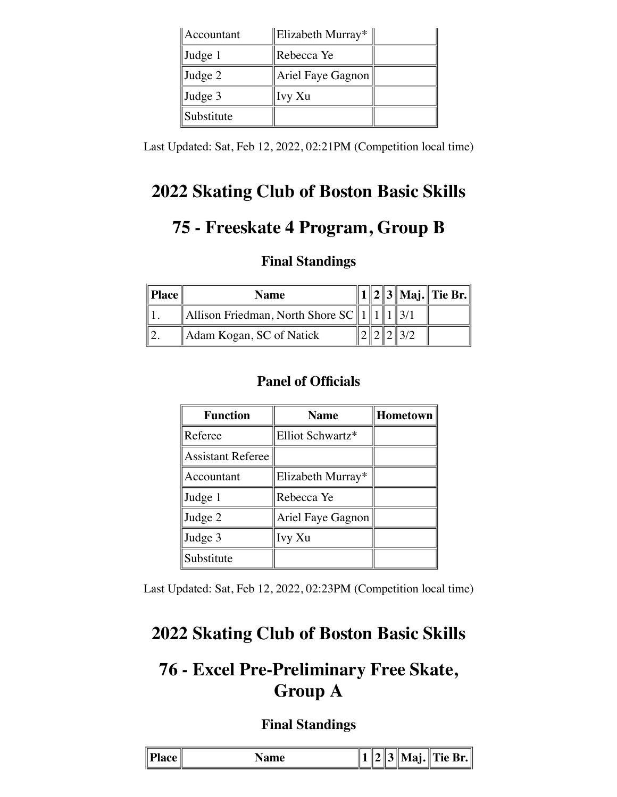| Accountant      | Elizabeth Murray* |  |
|-----------------|-------------------|--|
| Judge 1         | Rebecca Ye        |  |
| $\vert$ Judge 2 | Ariel Faye Gagnon |  |
| Judge 3         | Ivy Xu            |  |
| Substitute      |                   |  |

Last Updated: Sat, Feb 12, 2022, 02:21PM (Competition local time)

# **2022 Skating Club of Boston Basic Skills**

# **75 - Freeskate 4 Program, Group B**

### **Final Standings**

| $\parallel$ Place $\parallel$ | <b>Name</b>                                              |  |  | 2     3    Maj.    Tie Br. |
|-------------------------------|----------------------------------------------------------|--|--|----------------------------|
|                               | Allison Friedman, North Shore $SC \parallel 1 \parallel$ |  |  |                            |
|                               | Adam Kogan, SC of Natick                                 |  |  |                            |

## **Panel of Officials**

| <b>Function</b>          | Hometown<br><b>Name</b> |  |  |  |
|--------------------------|-------------------------|--|--|--|
| Referee                  | Elliot Schwartz*        |  |  |  |
| <b>Assistant Referee</b> |                         |  |  |  |
| Accountant               | Elizabeth Murray*       |  |  |  |
| Judge 1                  | Rebecca Ye              |  |  |  |
| Judge 2                  | Ariel Faye Gagnon       |  |  |  |
| Judge 3                  | Ivy Xu                  |  |  |  |
| Substitute               |                         |  |  |  |

Last Updated: Sat, Feb 12, 2022, 02:23PM (Competition local time)

## **2022 Skating Club of Boston Basic Skills**

# **76 - Excel Pre-Preliminary Free Skate, Group A**

|  |  | $-$ when $\epsilon$ |  |  |  | <b>a</b> | ---<br>$\mathbf{r}$ and $\mathbf{B}$<br>∵.∥<br>Ш |
|--|--|---------------------|--|--|--|----------|--------------------------------------------------|
|--|--|---------------------|--|--|--|----------|--------------------------------------------------|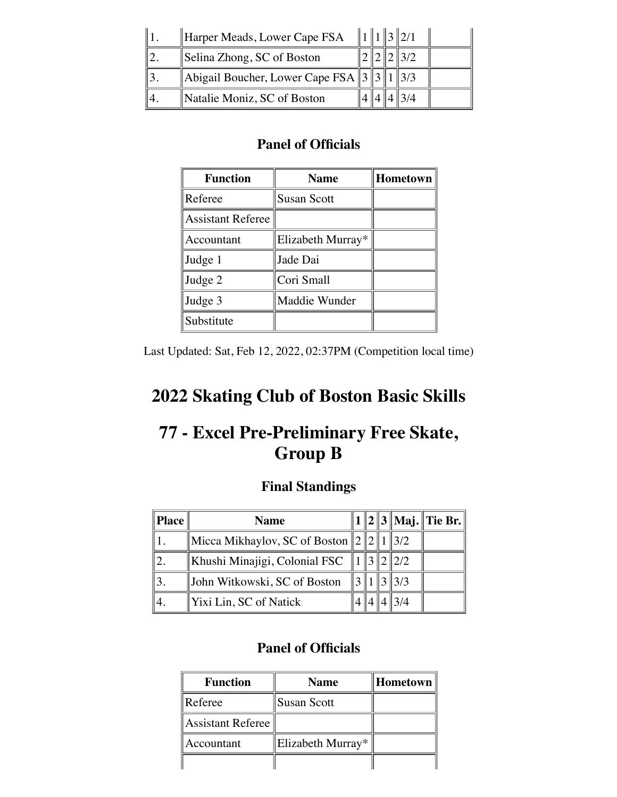| Harper Meads, Lower Cape FSA                  |  |  |  |
|-----------------------------------------------|--|--|--|
| Selina Zhong, SC of Boston                    |  |  |  |
| Abigail Boucher, Lower Cape FSA $\ 3\ 1\ 3/3$ |  |  |  |
| Natalie Moniz, SC of Boston                   |  |  |  |

| <b>Function</b>          | <b>Name</b>        | Hometown |
|--------------------------|--------------------|----------|
| Referee                  | <b>Susan Scott</b> |          |
| <b>Assistant Referee</b> |                    |          |
| Accountant               | Elizabeth Murray*  |          |
| Judge 1                  | Jade Dai           |          |
| Judge 2                  | Cori Small         |          |
| Judge 3                  | Maddie Wunder      |          |
| Substitute               |                    |          |

Last Updated: Sat, Feb 12, 2022, 02:37PM (Competition local time)

# **2022 Skating Club of Boston Basic Skills**

# **77 - Excel Pre-Preliminary Free Skate, Group B**

## **Final Standings**

| ∥Place | <b>Name</b>                                    |  |                 | 1    2    3    Maj.    Tie Br. |
|--------|------------------------------------------------|--|-----------------|--------------------------------|
|        | Micca Mikhaylov, SC of Boston $\ 2\ 2\ 1\ 3/2$ |  |                 |                                |
|        | Khushi Minajigi, Colonial FSC                  |  | $\parallel$ 2/2 |                                |
|        | John Witkowski, SC of Boston                   |  | $\frac{3}{3}$   |                                |
|        | Yixi Lin, SC of Natick                         |  | 3/4             |                                |

| <b>Function</b>   | <b>Name</b>        | Hometown |
|-------------------|--------------------|----------|
| Referee           | <b>Susan Scott</b> |          |
| Assistant Referee |                    |          |
| Accountant        | Elizabeth Murray*  |          |
|                   |                    |          |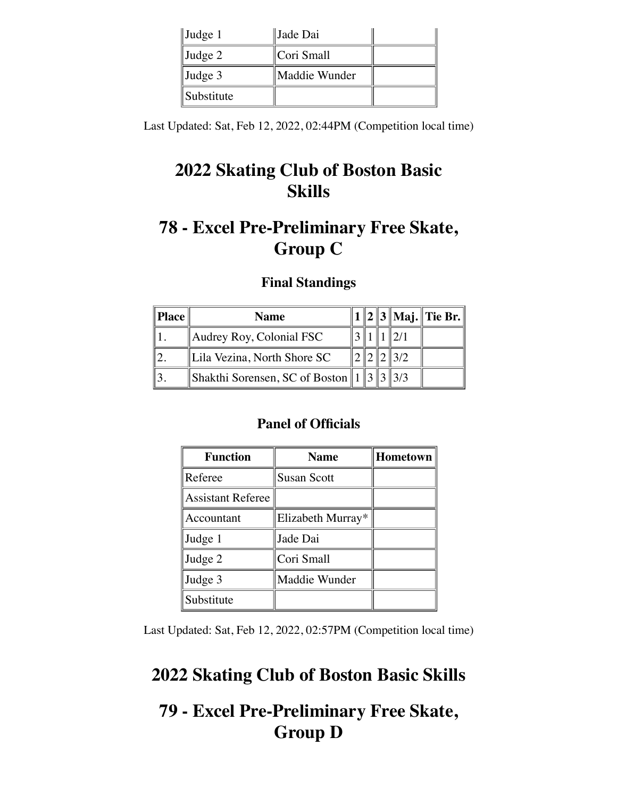| $\vert$ Judge 1   | Jade Dai      |  |
|-------------------|---------------|--|
| $\vert$ Judge 2   | Cori Small    |  |
| $\vert$ Judge 3   | Maddie Wunder |  |
| <i>Substitute</i> |               |  |

Last Updated: Sat, Feb 12, 2022, 02:44PM (Competition local time)

# **2022 Skating Club of Boston Basic Skills**

# **78 - Excel Pre-Preliminary Free Skate, Group C**

### **Final Standings**

| ∥Place | <b>Name</b>                                          |  |     | 1    2    3    Maj.    Tie Br. |
|--------|------------------------------------------------------|--|-----|--------------------------------|
|        | Audrey Roy, Colonial FSC                             |  |     |                                |
|        | Lila Vezina, North Shore SC                          |  | 3/2 |                                |
|        | Shakthi Sorensen, SC of Boston    1    3    3    3/3 |  |     |                                |

### **Panel of Officials**

| <b>Function</b>          | <b>Name</b>        | Hometown |
|--------------------------|--------------------|----------|
| Referee                  | <b>Susan Scott</b> |          |
| <b>Assistant Referee</b> |                    |          |
| Accountant               | Elizabeth Murray*  |          |
| Judge 1                  | Jade Dai           |          |
| Judge 2                  | Cori Small         |          |
| Judge 3                  | Maddie Wunder      |          |
| Substitute               |                    |          |

Last Updated: Sat, Feb 12, 2022, 02:57PM (Competition local time)

## **2022 Skating Club of Boston Basic Skills**

## **79 - Excel Pre-Preliminary Free Skate, Group D**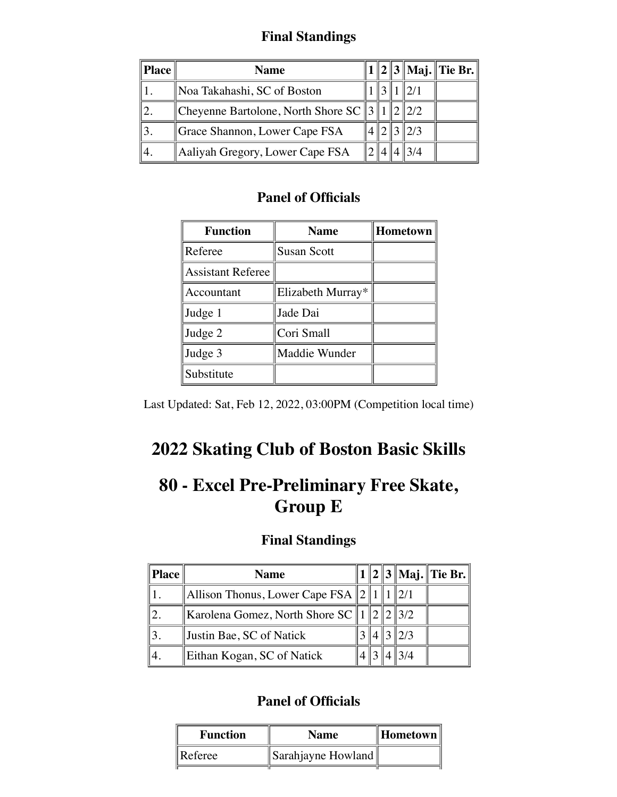### **Final Standings**

| <b>Place</b> | <b>Name</b>                                       |  |      | $  2  3  $ Maj. Tie Br. |
|--------------|---------------------------------------------------|--|------|-------------------------|
|              | Noa Takahashi, SC of Boston                       |  |      |                         |
|              | Cheyenne Bartolone, North Shore SC    3    1    2 |  | 12/2 |                         |
|              | Grace Shannon, Lower Cape FSA                     |  | 2/3  |                         |
|              | Aaliyah Gregory, Lower Cape FSA                   |  | 3/4  |                         |

### **Panel of Officials**

| <b>Function</b>          | <b>Hometown</b><br><b>Name</b> |  |  |  |
|--------------------------|--------------------------------|--|--|--|
| Referee                  | Susan Scott                    |  |  |  |
| <b>Assistant Referee</b> |                                |  |  |  |
| Accountant               | Elizabeth Murray*              |  |  |  |
| Judge 1                  | Jade Dai                       |  |  |  |
| Judge 2                  | Cori Small                     |  |  |  |
| Judge 3                  | Maddie Wunder                  |  |  |  |
| Substitute               |                                |  |  |  |

Last Updated: Sat, Feb 12, 2022, 03:00PM (Competition local time)

# **2022 Skating Club of Boston Basic Skills**

# **80 - Excel Pre-Preliminary Free Skate, Group E**

### **Final Standings**

| <b>Place</b> | <b>Name</b>                            |  |               | $1  2  3  $ Maj. Tie Br. |
|--------------|----------------------------------------|--|---------------|--------------------------|
|              | Allison Thonus, Lower Cape FSA $\ 2\ $ |  |               |                          |
|              | Karolena Gomez, North Shore SC 1       |  | $\ 2\ 2\ 3/2$ |                          |
|              | Justin Bae, SC of Natick               |  | 2/3           |                          |
|              | Eithan Kogan, SC of Natick             |  |               |                          |

| Sarahjayne Howland |
|--------------------|
|                    |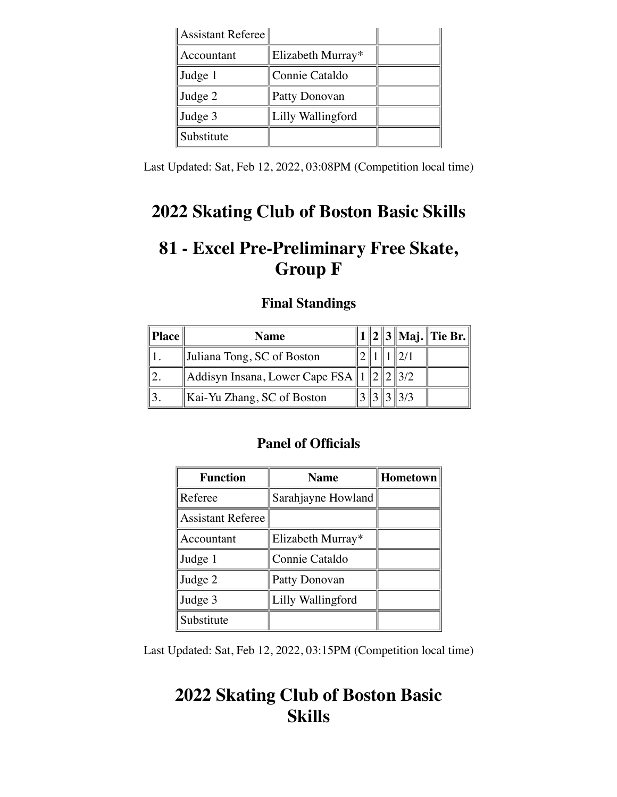| $\parallel$ Assistant Referee $\parallel$ |                   |  |
|-------------------------------------------|-------------------|--|
| Accountant                                | Elizabeth Murray* |  |
| Judge 1                                   | Connie Cataldo    |  |
| Judge 2                                   | Patty Donovan     |  |
| Judge 3                                   | Lilly Wallingford |  |
| Substitute                                |                   |  |

Last Updated: Sat, Feb 12, 2022, 03:08PM (Competition local time)

## **2022 Skating Club of Boston Basic Skills**

# **81 - Excel Pre-Preliminary Free Skate, Group F**

### **Final Standings**

| ∥Place | <b>Name</b>                                     |  |  | $1  2  3  $ Maj. Tie Br. |
|--------|-------------------------------------------------|--|--|--------------------------|
|        | Juliana Tong, SC of Boston                      |  |  |                          |
|        | Addisyn Insana, Lower Cape FSA $\ 1\ 2\ 2\ 3/2$ |  |  |                          |
|        | Kai-Yu Zhang, SC of Boston                      |  |  |                          |

### **Panel of Officials**

| <b>Function</b>          | <b>Name</b>        | <b>Hometown</b> |
|--------------------------|--------------------|-----------------|
| Referee                  | Sarahjayne Howland |                 |
| <b>Assistant Referee</b> |                    |                 |
| Accountant               | Elizabeth Murray*  |                 |
| Judge 1                  | Connie Cataldo     |                 |
| Judge 2                  | Patty Donovan      |                 |
| Judge 3                  | Lilly Wallingford  |                 |
| Substitute               |                    |                 |

Last Updated: Sat, Feb 12, 2022, 03:15PM (Competition local time)

# **2022 Skating Club of Boston Basic Skills**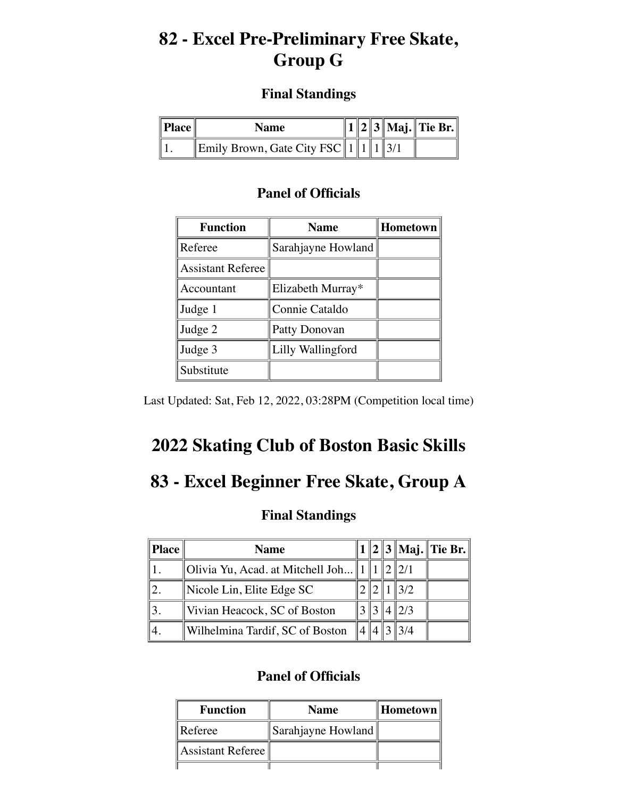## **82 - Excel Pre-Preliminary Free Skate, Group G**

### **Final Standings**

| $\ $ <b>Place</b> $\ $ | Name                                        |  |  | $  1  2  3  $ Maj. Tie Br. $  $ |
|------------------------|---------------------------------------------|--|--|---------------------------------|
|                        | Emily Brown, Gate City FSC $\ 1\ 1\ 1\ 3/1$ |  |  |                                 |

### **Panel of Officials**

| <b>Function</b>          | <b>Name</b>        | Hometown |
|--------------------------|--------------------|----------|
| Referee                  | Sarahjayne Howland |          |
| <b>Assistant Referee</b> |                    |          |
| Accountant               | Elizabeth Murray*  |          |
| Judge 1                  | Connie Cataldo     |          |
| Judge 2                  | Patty Donovan      |          |
| Judge 3                  | Lilly Wallingford  |          |
| Substitute               |                    |          |

Last Updated: Sat, Feb 12, 2022, 03:28PM (Competition local time)

# **2022 Skating Club of Boston Basic Skills**

# **83 - Excel Beginner Free Skate, Group A**

### **Final Standings**

| Place | <b>Name</b>                        |  |     | $1  2  3  $ Maj. Tie Br. |
|-------|------------------------------------|--|-----|--------------------------|
|       | Olivia Yu, Acad. at Mitchell Joh 1 |  |     |                          |
|       | Nicole Lin, Elite Edge SC          |  | 3/2 |                          |
|       | Vivian Heacock, SC of Boston       |  | 2/3 |                          |
|       | Wilhelmina Tardif, SC of Boston    |  |     |                          |

| <b>Function</b>   | <b>Name</b>        | ∥Hometown |
|-------------------|--------------------|-----------|
| Referee           | Sarahjayne Howland |           |
| Assistant Referee |                    |           |
|                   |                    |           |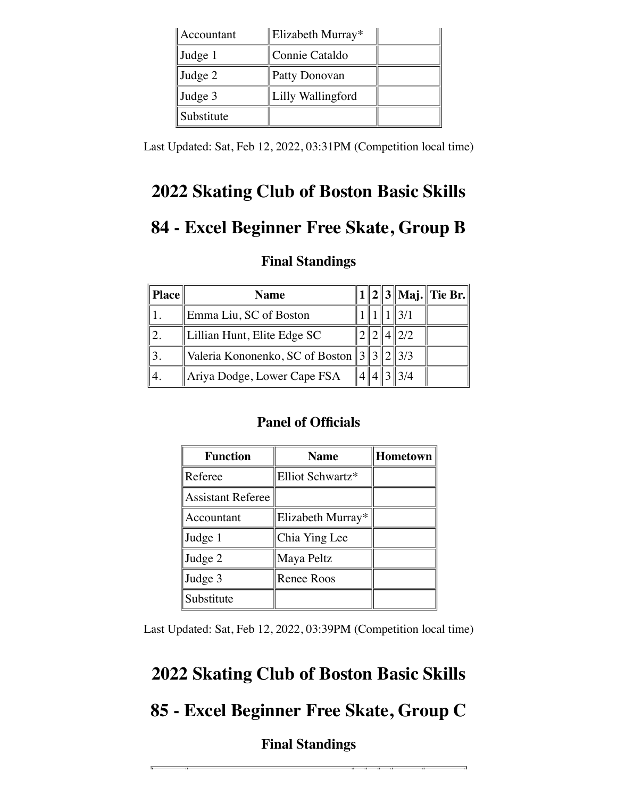| Accountant | Elizabeth Murray* |  |
|------------|-------------------|--|
| Judge 1    | Connie Cataldo    |  |
| Judge 2    | Patty Donovan     |  |
| Judge 3    | Lilly Wallingford |  |
| Substitute |                   |  |

Last Updated: Sat, Feb 12, 2022, 03:31PM (Competition local time)

# **2022 Skating Club of Boston Basic Skills**

# **84 - Excel Beginner Free Skate, Group B**

### **Final Standings**

| <b>Place</b> | <b>Name</b>                                     |  |     | $1  2  3  $ Maj. Tie Br. |
|--------------|-------------------------------------------------|--|-----|--------------------------|
|              | Emma Liu, SC of Boston                          |  |     |                          |
|              | Lillian Hunt, Elite Edge SC                     |  | 2/2 |                          |
|              | Valeria Kononenko, SC of Boston $  3  /2  /3/3$ |  |     |                          |
|              | Ariya Dodge, Lower Cape FSA                     |  | 3/4 |                          |

### **Panel of Officials**

| <b>Function</b>          | <b>Name</b>       | Hometown |
|--------------------------|-------------------|----------|
| Referee                  | Elliot Schwartz*  |          |
| <b>Assistant Referee</b> |                   |          |
| Accountant               | Elizabeth Murray* |          |
| Judge 1                  | Chia Ying Lee     |          |
| Judge 2                  | Maya Peltz        |          |
| Judge 3                  | <b>Renee Roos</b> |          |
| Substitute               |                   |          |

Last Updated: Sat, Feb 12, 2022, 03:39PM (Competition local time)

# **2022 Skating Club of Boston Basic Skills**

## **85 - Excel Beginner Free Skate, Group C**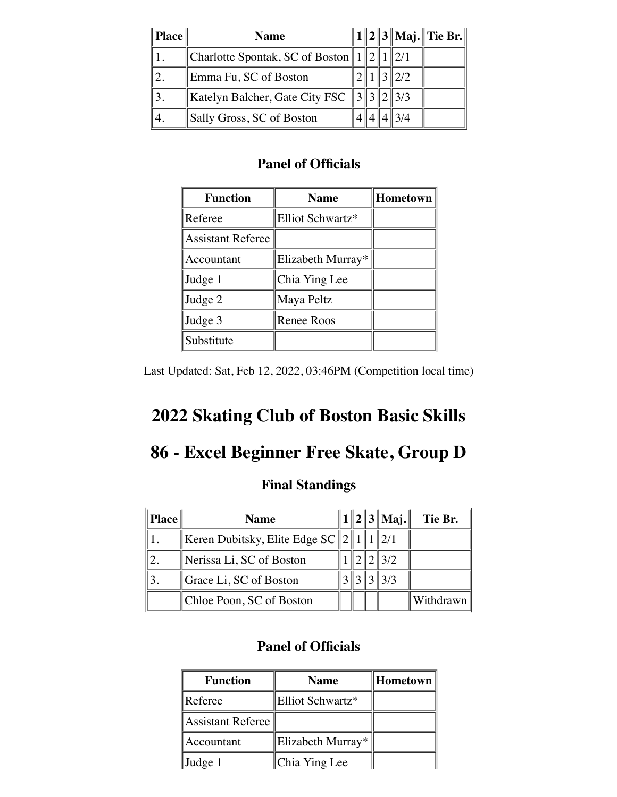| Place | <b>Name</b>                                     |  |      | $  1  2  3  $ Maj. Tie Br. $  $ |
|-------|-------------------------------------------------|--|------|---------------------------------|
|       | Charlotte Spontak, SC of Boston $  1  2  1$     |  |      |                                 |
|       | Emma Fu, SC of Boston                           |  | 12/2 |                                 |
|       | Katelyn Balcher, Gate City FSC $  3  3  2  3/3$ |  |      |                                 |
|       | Sally Gross, SC of Boston                       |  | 3/4  |                                 |

| <b>Function</b>          | <b>Name</b>       | <b>Hometown</b> |
|--------------------------|-------------------|-----------------|
| Referee                  | Elliot Schwartz*  |                 |
| <b>Assistant Referee</b> |                   |                 |
| Accountant               | Elizabeth Murray* |                 |
| Judge 1                  | Chia Ying Lee     |                 |
| Judge 2                  | Maya Peltz        |                 |
| Judge 3                  | <b>Renee Roos</b> |                 |
| Substitute               |                   |                 |

Last Updated: Sat, Feb 12, 2022, 03:46PM (Competition local time)

# **2022 Skating Club of Boston Basic Skills**

## **86 - Excel Beginner Free Skate, Group D**

### **Final Standings**

| <b>Place</b> | <b>Name</b>                            |  | $1  2  3  $ Maj. | Tie Br.   |
|--------------|----------------------------------------|--|------------------|-----------|
|              | Keren Dubitsky, Elite Edge SC $  2  1$ |  |                  |           |
|              | Nerissa Li, SC of Boston               |  | 3/2              |           |
|              | Grace Li, SC of Boston                 |  | 3/3              |           |
|              | Chloe Poon, SC of Boston               |  |                  | Withdrawn |

| <b>Function</b>   | <b>Name</b>       | Hometown |
|-------------------|-------------------|----------|
| Referee           | Elliot Schwartz*  |          |
| Assistant Referee |                   |          |
| Accountant        | Elizabeth Murray* |          |
| $\vert$ Judge 1   | Chia Ying Lee     |          |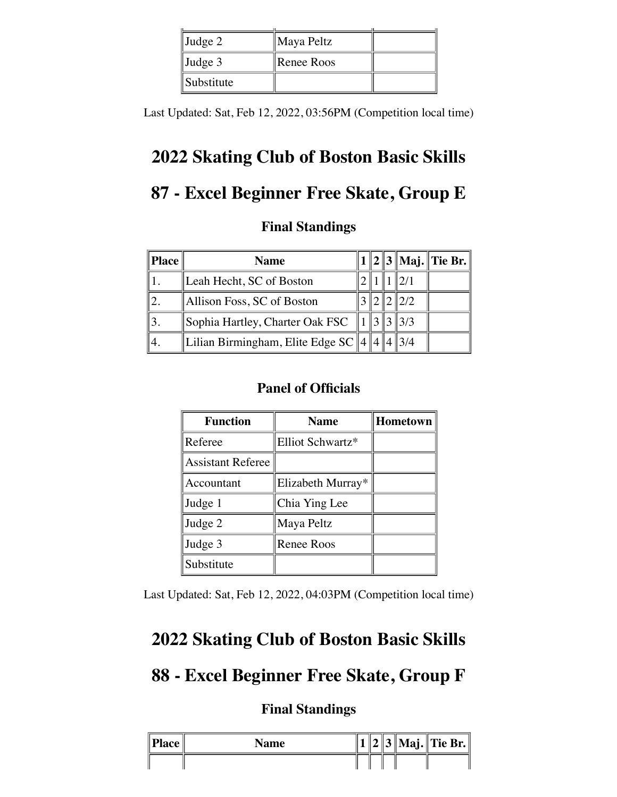| $\vert$ Judge 2 | Maya Peltz |  |
|-----------------|------------|--|
| $\vert$ Judge 3 | Renee Roos |  |
| Substitute      |            |  |

Last Updated: Sat, Feb 12, 2022, 03:56PM (Competition local time)

# **2022 Skating Club of Boston Basic Skills**

# **87 - Excel Beginner Free Skate, Group E**

### **Final Standings**

| Place | <b>Name</b>                                  |  |      | $1  2  3  $ Maj. Tie Br. |
|-------|----------------------------------------------|--|------|--------------------------|
|       | Leah Hecht, SC of Boston                     |  |      |                          |
|       | Allison Foss, SC of Boston                   |  | 2/2  |                          |
|       | Sophia Hartley, Charter Oak FSC              |  | 13/3 |                          |
|       | Lilian Birmingham, Elite Edge SC $\ 4\ 4\ 4$ |  |      |                          |

### **Panel of Officials**

| <b>Function</b>          | <b>Name</b>       | <b>Hometown</b> |
|--------------------------|-------------------|-----------------|
| Referee                  | Elliot Schwartz*  |                 |
| <b>Assistant Referee</b> |                   |                 |
| Accountant               | Elizabeth Murray* |                 |
| Judge 1                  | Chia Ying Lee     |                 |
| Judge 2                  | Maya Peltz        |                 |
| Judge 3                  | <b>Renee Roos</b> |                 |
| Substitute               |                   |                 |

Last Updated: Sat, Feb 12, 2022, 04:03PM (Competition local time)

## **2022 Skating Club of Boston Basic Skills**

## **88 - Excel Beginner Free Skate, Group F**

| $\ $ Place $\ $ | Name |  |  | $  3  $ Maj. Tie Br. |
|-----------------|------|--|--|----------------------|
|                 |      |  |  |                      |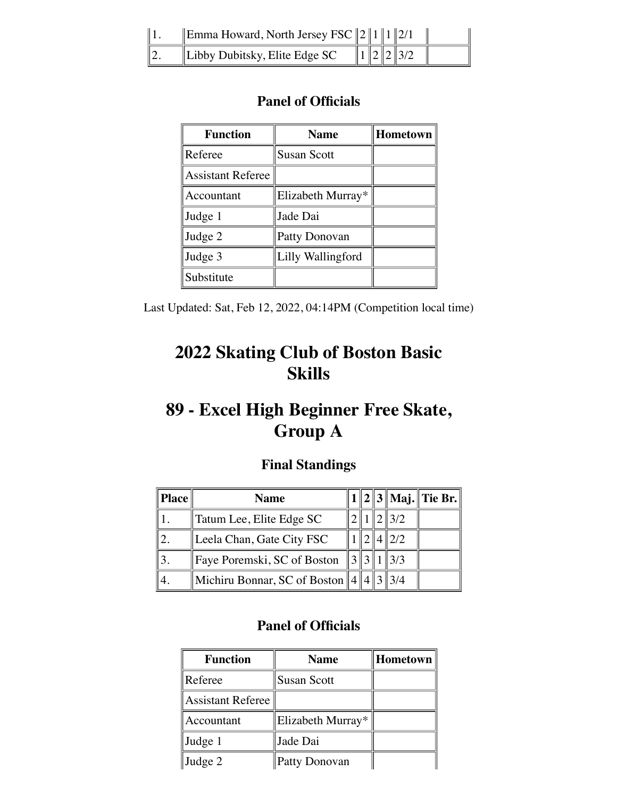| Emma Howard, North Jersey FSC $\ 2\ 1\ 1\ 2/1$ |  |       |  |
|------------------------------------------------|--|-------|--|
| Libby Dubitsky, Elite Edge $SC$                |  | 12237 |  |

| <b>Function</b>          | Hometown<br><b>Name</b> |  |  |  |  |
|--------------------------|-------------------------|--|--|--|--|
| Referee                  | <b>Susan Scott</b>      |  |  |  |  |
| <b>Assistant Referee</b> |                         |  |  |  |  |
| Accountant               | Elizabeth Murray*       |  |  |  |  |
| Judge 1                  | Jade Dai                |  |  |  |  |
| Judge 2                  | Patty Donovan           |  |  |  |  |
| Judge 3                  | Lilly Wallingford       |  |  |  |  |
| Substitute               |                         |  |  |  |  |

Last Updated: Sat, Feb 12, 2022, 04:14PM (Competition local time)

# **2022 Skating Club of Boston Basic Skills**

# **89 - Excel High Beginner Free Skate, Group A**

### **Final Standings**

| <b>Place</b> | <b>Name</b>                                   |  |                | $\ 1\ 2\ 3\ $ Maj. $\ $ Tie Br. $\ $ |
|--------------|-----------------------------------------------|--|----------------|--------------------------------------|
|              | Tatum Lee, Elite Edge SC                      |  | $\frac{13}{2}$ |                                      |
|              | Leela Chan, Gate City FSC                     |  | 2/2            |                                      |
|              | Faye Poremski, SC of Boston $\ 3\ 3\ 1\ 3/3$  |  |                |                                      |
|              | Michiru Bonnar, SC of Boston $  4  4  3  3/4$ |  |                |                                      |

| <b>Function</b>   | <b>Name</b>        | Hometown |
|-------------------|--------------------|----------|
| Referee           | <b>Susan Scott</b> |          |
| Assistant Referee |                    |          |
| Accountant        | Elizabeth Murray*  |          |
| Judge 1           | Jade Dai           |          |
| Judge 2           | Patty Donovan      |          |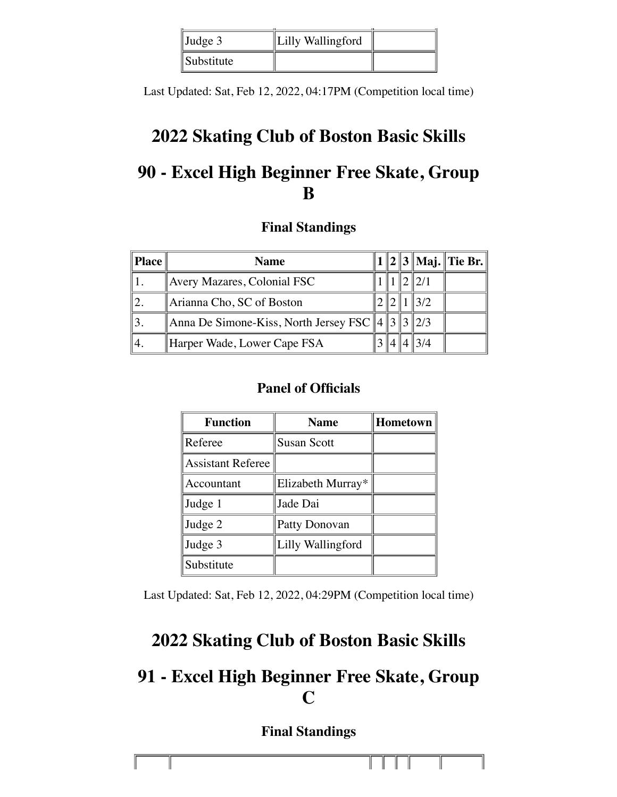| $\vert$ Judge 3   | Lilly Wallingford |  |
|-------------------|-------------------|--|
| <i>Substitute</i> |                   |  |

Last Updated: Sat, Feb 12, 2022, 04:17PM (Competition local time)

# **2022 Skating Club of Boston Basic Skills**

# **90 - Excel High Beginner Free Skate, Group B**

### **Final Standings**

| Place | <b>Name</b>                                            |  |     | $1  2  3  $ Maj. Tie Br. |
|-------|--------------------------------------------------------|--|-----|--------------------------|
|       | Avery Mazares, Colonial FSC                            |  |     |                          |
|       | Arianna Cho, SC of Boston                              |  | 3/2 |                          |
|       | Anna De Simone-Kiss, North Jersey FSC $  4  3  3  2/3$ |  |     |                          |
|       | Harper Wade, Lower Cape FSA                            |  |     |                          |

### **Panel of Officials**

| <b>Function</b>          | <b>Name</b>        | Hometown |
|--------------------------|--------------------|----------|
| Referee                  | <b>Susan Scott</b> |          |
| <b>Assistant Referee</b> |                    |          |
| Accountant               | Elizabeth Murray*  |          |
| Judge 1                  | Jade Dai           |          |
| Judge 2                  | Patty Donovan      |          |
| Judge 3                  | Lilly Wallingford  |          |
| Substitute               |                    |          |

Last Updated: Sat, Feb 12, 2022, 04:29PM (Competition local time)

## **2022 Skating Club of Boston Basic Skills**

# **91 - Excel High Beginner Free Skate, Group C**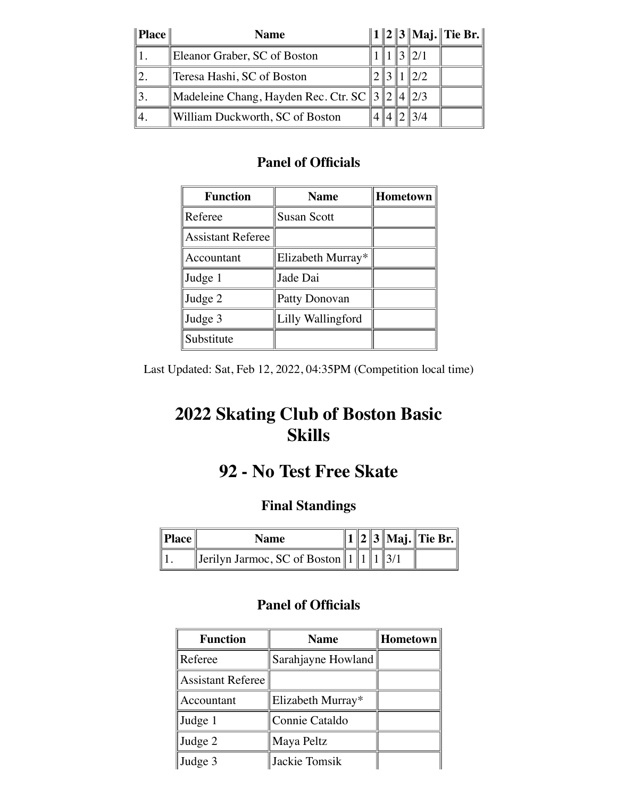| $\ $ <b>Place</b> $\ $ | <b>Name</b>                                      |  |                 | $  1  2  3  $ Maj. Tie Br. $  $ |
|------------------------|--------------------------------------------------|--|-----------------|---------------------------------|
|                        | Eleanor Graber, SC of Boston                     |  |                 |                                 |
|                        | Teresa Hashi, SC of Boston                       |  | 12/2            |                                 |
|                        | Madeleine Chang, Hayden Rec. Ctr. SC $\ 3\ 2\ 4$ |  | $\parallel$ 2/3 |                                 |
| 4.                     | William Duckworth, SC of Boston                  |  | 3/4             |                                 |

| <b>Function</b>          | <b>Name</b>        | Hometown |
|--------------------------|--------------------|----------|
| Referee                  | <b>Susan Scott</b> |          |
| <b>Assistant Referee</b> |                    |          |
| Accountant               | Elizabeth Murray*  |          |
| Judge 1                  | Jade Dai           |          |
| Judge 2                  | Patty Donovan      |          |
| Judge 3                  | Lilly Wallingford  |          |
| Substitute               |                    |          |

Last Updated: Sat, Feb 12, 2022, 04:35PM (Competition local time)

# **2022 Skating Club of Boston Basic Skills**

# **92 - No Test Free Skate**

## **Final Standings**

| Place | Name                                          |  |  | $\ 1\ 2\ 3\ $ Maj. $\ $ Tie Br. $\ $ |
|-------|-----------------------------------------------|--|--|--------------------------------------|
|       | Jerilyn Jarmoc, SC of Boston    1    1    3/1 |  |  |                                      |

| <b>Function</b>          | <b>Name</b>        | Hometown |
|--------------------------|--------------------|----------|
| Referee                  | Sarahjayne Howland |          |
| <b>Assistant Referee</b> |                    |          |
| Accountant               | Elizabeth Murray*  |          |
| Judge 1                  | Connie Cataldo     |          |
| Judge 2                  | Maya Peltz         |          |
| Judge 3                  | Jackie Tomsik      |          |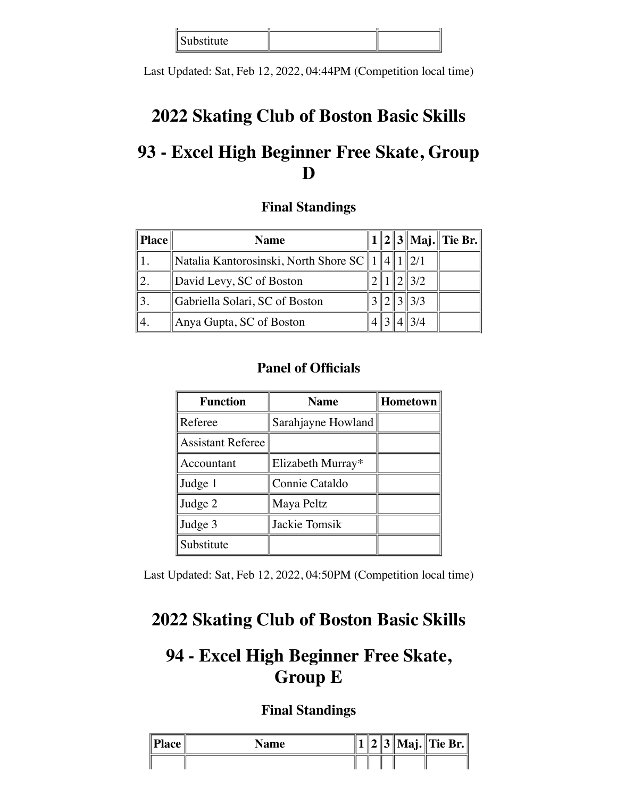| . <i>.</i><br>ገነተሉ<br>5040011000000 |  |
|-------------------------------------|--|

Last Updated: Sat, Feb 12, 2022, 04:44PM (Competition local time)

# **2022 Skating Club of Boston Basic Skills**

## **93 - Excel High Beginner Free Skate, Group D**

### **Final Standings**

| Place | <b>Name</b>                           |             |               | $1  2  3  $ Maj. Tie Br. |
|-------|---------------------------------------|-------------|---------------|--------------------------|
|       | Natalia Kantorosinski, North Shore SC | $. 14$    1 |               |                          |
|       | David Levy, SC of Boston              |             | $\frac{3}{2}$ |                          |
|       | Gabriella Solari, SC of Boston        |             | $\frac{3}{3}$ |                          |
| 4.    | Anya Gupta, SC of Boston              |             |               |                          |

### **Panel of Officials**

| <b>Function</b>          | <b>Name</b>        | Hometown |
|--------------------------|--------------------|----------|
| Referee                  | Sarahjayne Howland |          |
| <b>Assistant Referee</b> |                    |          |
| Accountant               | Elizabeth Murray*  |          |
| Judge 1                  | Connie Cataldo     |          |
| Judge 2                  | Maya Peltz         |          |
| Judge 3                  | Jackie Tomsik      |          |
| Substitute               |                    |          |

Last Updated: Sat, Feb 12, 2022, 04:50PM (Competition local time)

## **2022 Skating Club of Boston Basic Skills**

## **94 - Excel High Beginner Free Skate, Group E**

| $\ $ Place $\ $ | <b>Name</b> |  |  | 2    3    Maj.    Tie Br. |
|-----------------|-------------|--|--|---------------------------|
|                 |             |  |  |                           |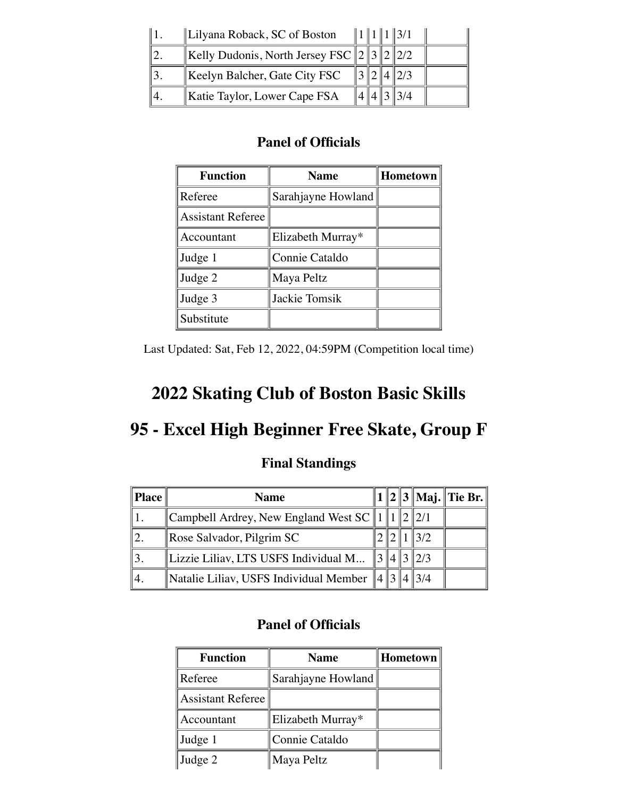| Lilyana Roback, SC of Boston                     |  | $\ 1\ 1\ 1\ 3/1$ |  |
|--------------------------------------------------|--|------------------|--|
| Kelly Dudonis, North Jersey FSC $\ 2\ 3\ 2\ 2/2$ |  |                  |  |
| Keelyn Balcher, Gate City FSC                    |  |                  |  |
| Katie Taylor, Lower Cape FSA                     |  |                  |  |

| <b>Function</b>          | <b>Name</b>        | Hometown |
|--------------------------|--------------------|----------|
| Referee                  | Sarahjayne Howland |          |
| <b>Assistant Referee</b> |                    |          |
| Accountant               | Elizabeth Murray*  |          |
| Judge 1                  | Connie Cataldo     |          |
| Judge 2                  | Maya Peltz         |          |
| Judge 3                  | Jackie Tomsik      |          |
| Substitute               |                    |          |

Last Updated: Sat, Feb 12, 2022, 04:59PM (Competition local time)

# **2022 Skating Club of Boston Basic Skills**

# **95 - Excel High Beginner Free Skate, Group F**

### **Final Standings**

| <b>Place</b> | <b>Name</b>                                             |  |               |  |
|--------------|---------------------------------------------------------|--|---------------|--|
|              | Campbell Ardrey, New England West SC    1    1          |  | 1212/1        |  |
|              | Rose Salvador, Pilgrim SC                               |  |               |  |
|              | Lizzie Liliav, LTS USFS Individual M                    |  | $\frac{2}{3}$ |  |
|              | Natalie Liliav, USFS Individual Member $\ 4\ 3\ 4\ 3/4$ |  |               |  |

| <b>Function</b>          | <b>Name</b>        | Hometown |
|--------------------------|--------------------|----------|
| Referee                  | Sarahjayne Howland |          |
| <b>Assistant Referee</b> |                    |          |
| Accountant               | Elizabeth Murray*  |          |
| Judge 1                  | Connie Cataldo     |          |
| Judge 2                  | Maya Peltz         |          |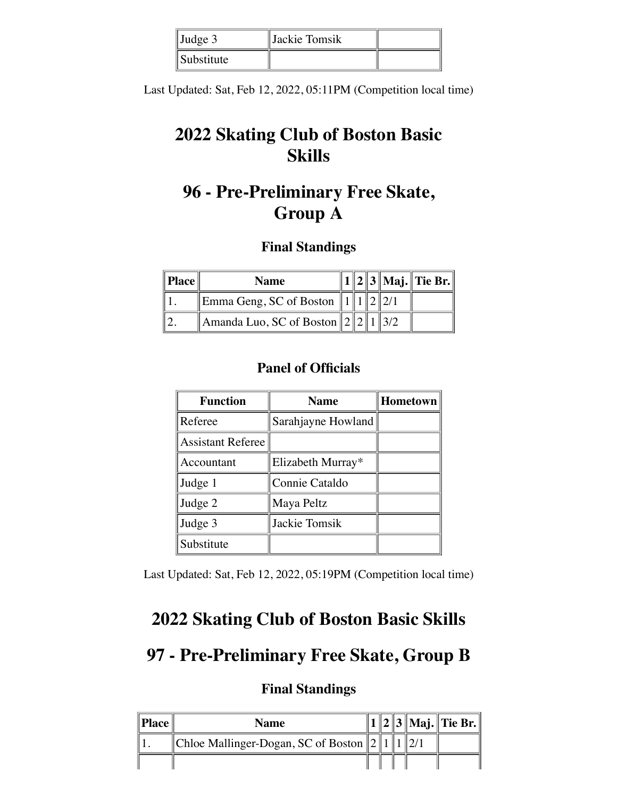| $\mathbf{J}$ Judge 3 | Jackie Tomsik |  |
|----------------------|---------------|--|
| Substitute           |               |  |

Last Updated: Sat, Feb 12, 2022, 05:11PM (Competition local time)

# **2022 Skating Club of Boston Basic Skills**

# **96 - Pre-Preliminary Free Skate, Group A**

### **Final Standings**

| $\ $ <b>Place</b> | <b>Name</b>                                                                                    |  |  | $\ 1\ 2\ 3\ $ Maj. $\ $ Tie Br. $\ $ |
|-------------------|------------------------------------------------------------------------------------------------|--|--|--------------------------------------|
|                   | Emma Geng, SC of Boston $  1  1  2  2/1$                                                       |  |  |                                      |
|                   | $\parallel$ Amanda Luo, SC of Boston $\parallel$ 2 $\parallel$ 2 $\parallel$ 1 $\parallel$ 3/2 |  |  |                                      |

### **Panel of Officials**

| <b>Function</b>          | <b>Name</b>        | Hometown |
|--------------------------|--------------------|----------|
| Referee                  | Sarahjayne Howland |          |
| <b>Assistant Referee</b> |                    |          |
| Accountant               | Elizabeth Murray*  |          |
| Judge 1                  | Connie Cataldo     |          |
| Judge 2                  | Maya Peltz         |          |
| Judge 3                  | Jackie Tomsik      |          |
| Substitute               |                    |          |

Last Updated: Sat, Feb 12, 2022, 05:19PM (Competition local time)

## **2022 Skating Club of Boston Basic Skills**

## **97 - Pre-Preliminary Free Skate, Group B**

| $\ $ <b>Place</b> $\ $ | <b>Name</b>                                 |  |  | $  2  3  $ Maj. Tie Br. |
|------------------------|---------------------------------------------|--|--|-------------------------|
|                        | Chloe Mallinger-Dogan, SC of Boston $\ 2\ $ |  |  |                         |
|                        |                                             |  |  |                         |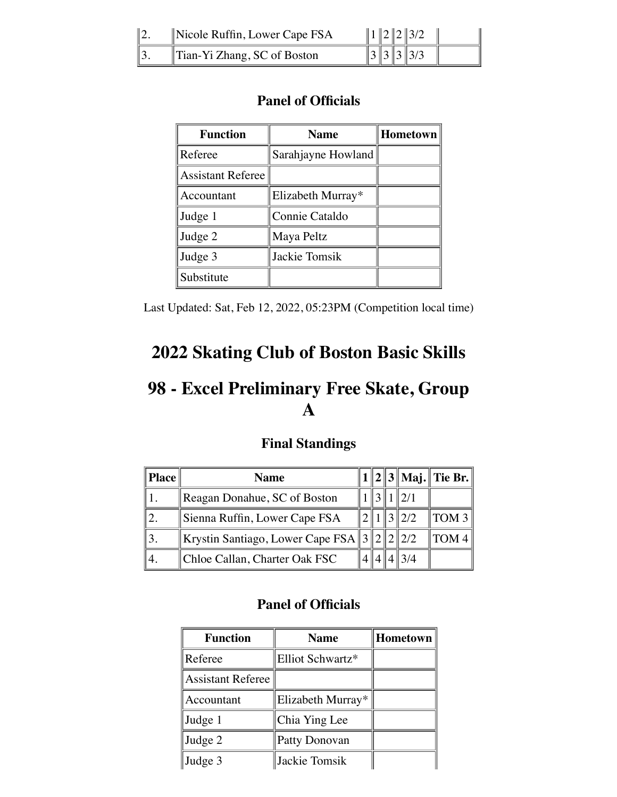| $\parallel$ Nicole Ruffin, Lower Cape FSA |  | 1223/2              |  |
|-------------------------------------------|--|---------------------|--|
| Tian-Yi Zhang, SC of Boston               |  | $\ \,3\,\ 3\,\ 3/3$ |  |

| <b>Function</b>          | <b>Name</b>        | <b>Hometown</b> |
|--------------------------|--------------------|-----------------|
| Referee                  | Sarahjayne Howland |                 |
| <b>Assistant Referee</b> |                    |                 |
| Accountant               | Elizabeth Murray*  |                 |
| Judge 1                  | Connie Cataldo     |                 |
| Judge 2                  | Maya Peltz         |                 |
| Judge 3                  | Jackie Tomsik      |                 |
| Substitute               |                    |                 |

Last Updated: Sat, Feb 12, 2022, 05:23PM (Competition local time)

# **2022 Skating Club of Boston Basic Skills**

# **98 - Excel Preliminary Free Skate, Group A**

### **Final Standings**

| <b>Place</b> | <b>Name</b>                                  |  |     | $1  2  3  $ Maj. Tie Br. |
|--------------|----------------------------------------------|--|-----|--------------------------|
|              | Reagan Donahue, SC of Boston                 |  |     |                          |
|              | Sienna Ruffin, Lower Cape FSA                |  | 2/2 | $\parallel$ TOM 3        |
|              | Krystin Santiago, Lower Cape FSA $\ 3\ 2\ 2$ |  | 2/2 | $\parallel$ TOM 4        |
|              | Chloe Callan, Charter Oak FSC                |  |     |                          |

| <b>Function</b>          | <b>Name</b>       | Hometown |
|--------------------------|-------------------|----------|
| Referee                  | Elliot Schwartz*  |          |
| <b>Assistant Referee</b> |                   |          |
| Accountant               | Elizabeth Murray* |          |
| Judge 1                  | Chia Ying Lee     |          |
| Judge 2                  | Patty Donovan     |          |
| Judge 3                  | Jackie Tomsik     |          |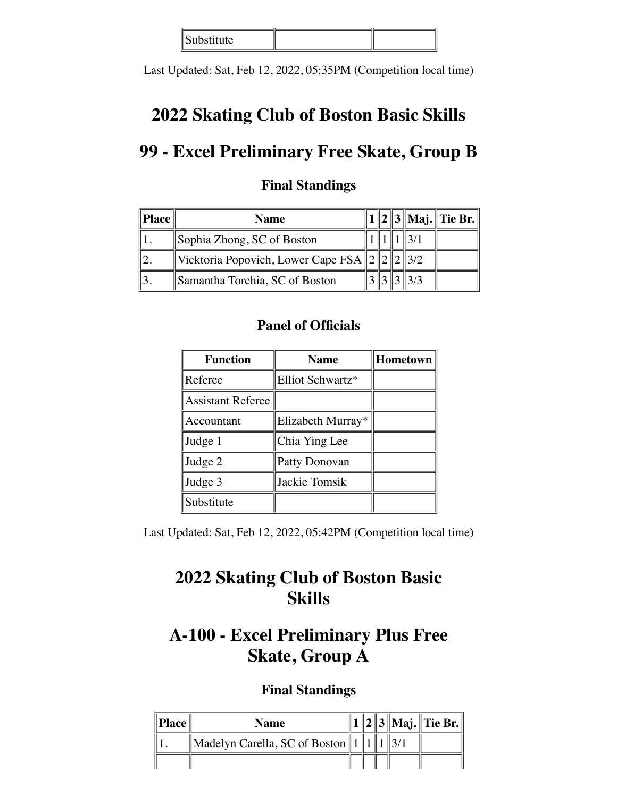| Substitute  <br>$\sim$ $\sim$ $\sim$ $\sim$ $\sim$<br>$- - -$ |  |
|---------------------------------------------------------------|--|

Last Updated: Sat, Feb 12, 2022, 05:35PM (Competition local time)

## **2022 Skating Club of Boston Basic Skills**

# **99 - Excel Preliminary Free Skate, Group B**

| Place | <b>Name</b>                                    |  |                 | $1  2  3  $ Maj. Tie Br. |
|-------|------------------------------------------------|--|-----------------|--------------------------|
|       | Sophia Zhong, SC of Boston                     |  |                 |                          |
|       | Vicktoria Popovich, Lower Cape FSA $\ 2\ 2\ 2$ |  | $\parallel$ 3/2 |                          |
|       | Samantha Torchia, SC of Boston                 |  |                 |                          |

### **Final Standings**

### **Panel of Officials**

| <b>Function</b>          | <b>Name</b>       | Hometown |
|--------------------------|-------------------|----------|
| Referee                  | Elliot Schwartz*  |          |
| <b>Assistant Referee</b> |                   |          |
| Accountant               | Elizabeth Murray* |          |
| Judge 1                  | Chia Ying Lee     |          |
| Judge 2                  | Patty Donovan     |          |
| Judge 3                  | Jackie Tomsik     |          |
| Substitute               |                   |          |

Last Updated: Sat, Feb 12, 2022, 05:42PM (Competition local time)

# **2022 Skating Club of Boston Basic Skills**

# **A-100 - Excel Preliminary Plus Free Skate, Group A**

| $\ $ <b>Place</b> $\ $ | <b>Name</b>                   |  |  | 1    2    3    Maj.    Tie Br. |
|------------------------|-------------------------------|--|--|--------------------------------|
|                        | Madelyn Carella, SC of Boston |  |  |                                |
|                        |                               |  |  |                                |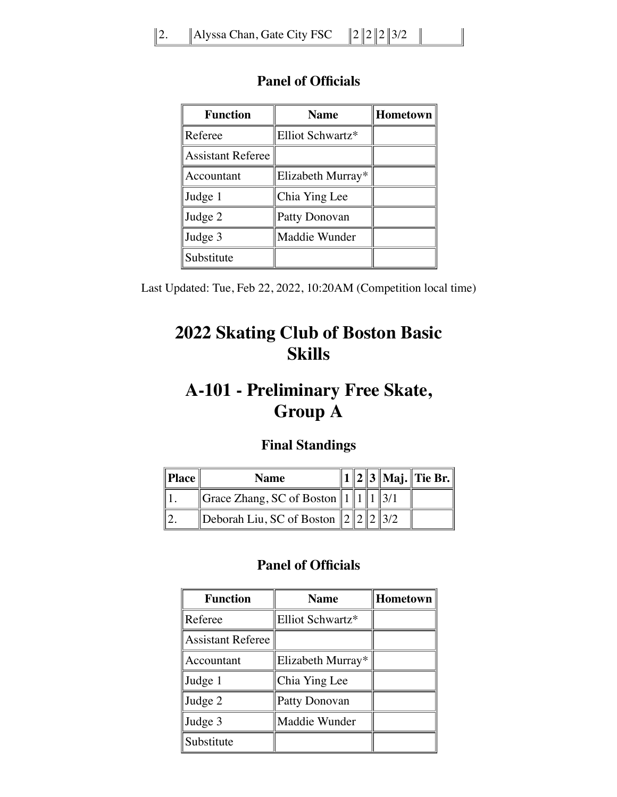| <b>Function</b>          | <b>Name</b>       | Hometown |
|--------------------------|-------------------|----------|
| Referee                  | Elliot Schwartz*  |          |
| <b>Assistant Referee</b> |                   |          |
| Accountant               | Elizabeth Murray* |          |
| Judge 1                  | Chia Ying Lee     |          |
| Judge 2                  | Patty Donovan     |          |
| Judge 3                  | Maddie Wunder     |          |
| Substitute               |                   |          |

Last Updated: Tue, Feb 22, 2022, 10:20AM (Competition local time)

# **2022 Skating Club of Boston Basic Skills**

## **A-101 - Preliminary Free Skate, Group A**

### **Final Standings**

| $\ $ <b>Place</b> | <b>Name</b>                                |  |  | $\ 1\ 2\ 3\ $ Maj. $\ $ Tie Br. $\ $ |
|-------------------|--------------------------------------------|--|--|--------------------------------------|
|                   | Grace Zhang, SC of Boston    1    1    3/1 |  |  |                                      |
|                   | Deborah Liu, SC of Boston $\ 2\ 2\ 2\ 3/2$ |  |  |                                      |

| <b>Function</b>          | <b>Name</b>       | Hometown |
|--------------------------|-------------------|----------|
| Referee                  | Elliot Schwartz*  |          |
| <b>Assistant Referee</b> |                   |          |
| Accountant               | Elizabeth Murray* |          |
| Judge 1                  | Chia Ying Lee     |          |
| Judge 2                  | Patty Donovan     |          |
| Judge 3                  | Maddie Wunder     |          |
| Substitute               |                   |          |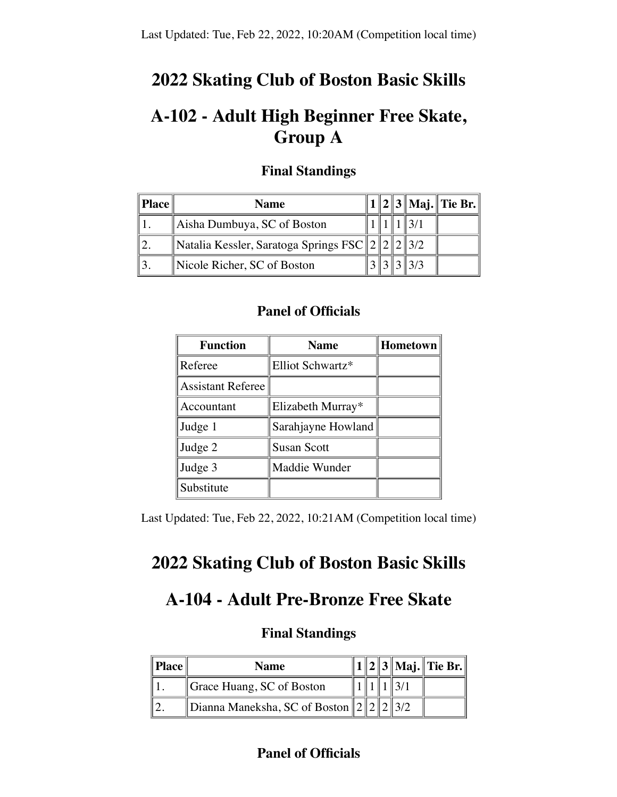## **2022 Skating Club of Boston Basic Skills**

## **A-102 - Adult High Beginner Free Skate, Group A**

| Place | <b>Name</b>                                  |  |  | $1  2  3  $ Maj. Tie Br. |
|-------|----------------------------------------------|--|--|--------------------------|
|       | Aisha Dumbuya, SC of Boston                  |  |  |                          |
|       | Natalia Kessler, Saratoga Springs FSC 2223/2 |  |  |                          |
|       | Nicole Richer, SC of Boston                  |  |  |                          |

#### **Final Standings**

#### **Panel of Officials**

| <b>Function</b>          | <b>Name</b>        | Hometown |
|--------------------------|--------------------|----------|
| Referee                  | Elliot Schwartz*   |          |
| <b>Assistant Referee</b> |                    |          |
| Accountant               | Elizabeth Murray*  |          |
| Judge 1                  | Sarahjayne Howland |          |
| Judge 2                  | <b>Susan Scott</b> |          |
| Judge 3                  | Maddie Wunder      |          |
| Substitute               |                    |          |

Last Updated: Tue, Feb 22, 2022, 10:21AM (Competition local time)

## **2022 Skating Club of Boston Basic Skills**

## **A-104 - Adult Pre-Bronze Free Skate**

#### **Final Standings**

| Place | <b>Name</b>                                    |  |  | $\ 1\ 2\ 3\ $ Maj. Tie Br. |
|-------|------------------------------------------------|--|--|----------------------------|
|       | Grace Huang, SC of Boston                      |  |  |                            |
|       | Dianna Maneksha, SC of Boston    2    2    3/2 |  |  |                            |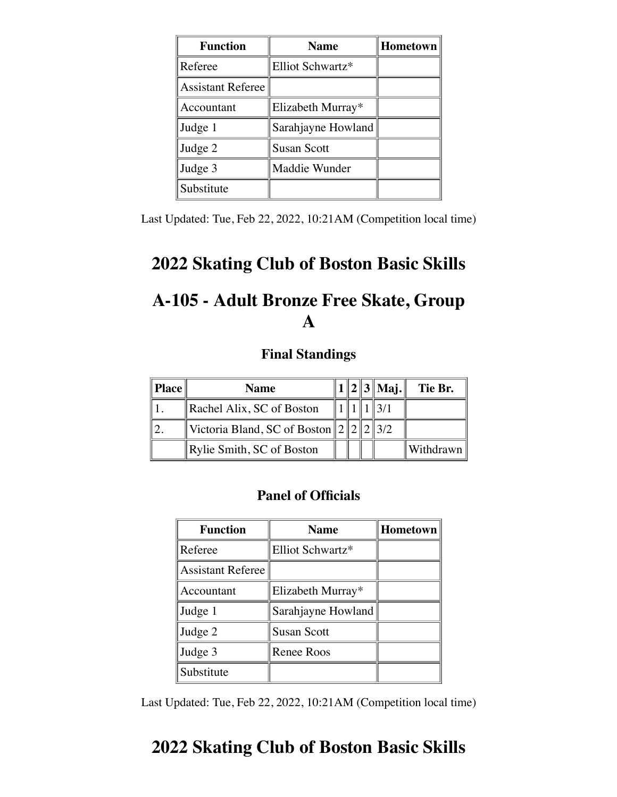| <b>Function</b>          | <b>Name</b>        | <b>Hometown</b> |
|--------------------------|--------------------|-----------------|
| Referee                  | Elliot Schwartz*   |                 |
| <b>Assistant Referee</b> |                    |                 |
| Accountant               | Elizabeth Murray*  |                 |
| Judge 1                  | Sarahjayne Howland |                 |
| Judge 2                  | <b>Susan Scott</b> |                 |
| Judge 3                  | Maddie Wunder      |                 |
| Substitute               |                    |                 |

Last Updated: Tue, Feb 22, 2022, 10:21AM (Competition local time)

## **2022 Skating Club of Boston Basic Skills**

# **A-105 - Adult Bronze Free Skate, Group A**

#### **Final Standings**

| Place | <b>Name</b>                                   |  | $1  2  3  $ Maj. | Tie Br.   |
|-------|-----------------------------------------------|--|------------------|-----------|
|       | Rachel Alix, SC of Boston                     |  |                  |           |
|       | Victoria Bland, SC of Boston $\ 2\ 2\ 2\ 3/2$ |  |                  |           |
|       | Rylie Smith, SC of Boston                     |  |                  | Withdrawn |

#### **Panel of Officials**

| <b>Function</b>          | <b>Name</b>        | Hometown |
|--------------------------|--------------------|----------|
| Referee                  | Elliot Schwartz*   |          |
| <b>Assistant Referee</b> |                    |          |
| Accountant               | Elizabeth Murray*  |          |
| Judge 1                  | Sarahjayne Howland |          |
| Judge 2                  | <b>Susan Scott</b> |          |
| Judge 3                  | Renee Roos         |          |
| Substitute               |                    |          |

Last Updated: Tue, Feb 22, 2022, 10:21AM (Competition local time)

## **2022 Skating Club of Boston Basic Skills**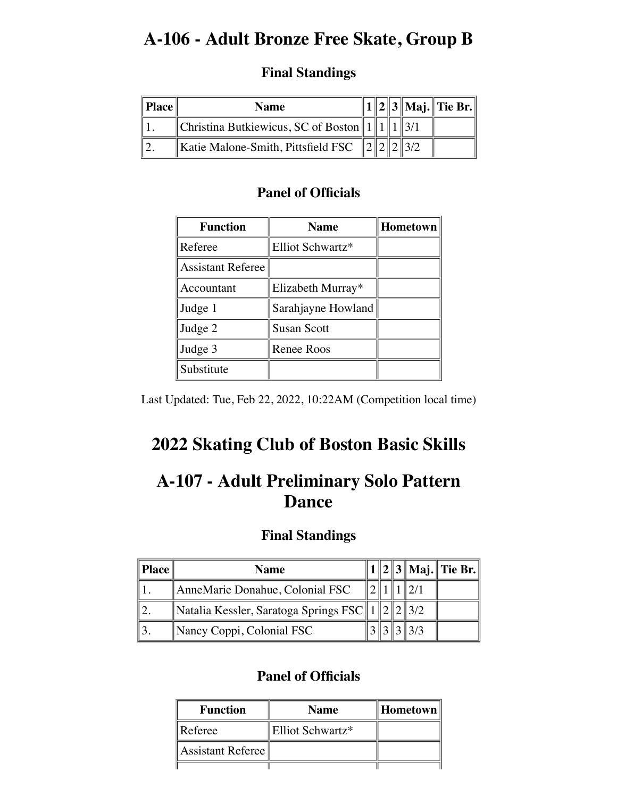## **A-106 - Adult Bronze Free Skate, Group B**

### **Final Standings**

| <b>Place</b> | <b>Name</b>                                   |  |  | 1    2    3    Maj.    Tie Br. |
|--------------|-----------------------------------------------|--|--|--------------------------------|
|              | Christina Butkiewicus, SC of Boston    1    1 |  |  |                                |
|              | Katie Malone-Smith, Pittsfield FSC            |  |  |                                |

### **Panel of Officials**

| <b>Function</b>          | <b>Name</b>        | <b>Hometown</b> |  |  |
|--------------------------|--------------------|-----------------|--|--|
| Referee                  | Elliot Schwartz*   |                 |  |  |
| <b>Assistant Referee</b> |                    |                 |  |  |
| Accountant               | Elizabeth Murray*  |                 |  |  |
| Judge 1                  | Sarahjayne Howland |                 |  |  |
| Judge 2                  | <b>Susan Scott</b> |                 |  |  |
| Judge 3                  | <b>Renee Roos</b>  |                 |  |  |
| Substitute               |                    |                 |  |  |

Last Updated: Tue, Feb 22, 2022, 10:22AM (Competition local time)

# **2022 Skating Club of Boston Basic Skills**

## **A-107 - Adult Preliminary Solo Pattern Dance**

### **Final Standings**

| Place | <b>Name</b>                                                 |  |  | 1    2    3    Maj.    Tie Br. |
|-------|-------------------------------------------------------------|--|--|--------------------------------|
|       | AnneMarie Donahue, Colonial FSC                             |  |  |                                |
|       | Natalia Kessler, Saratoga Springs FSC    1    2    2    3/2 |  |  |                                |
|       | Nancy Coppi, Colonial FSC                                   |  |  |                                |

| <b>Function</b>                           | <b>Name</b>      |  |
|-------------------------------------------|------------------|--|
| Referee                                   | Elliot Schwartz* |  |
| $\parallel$ Assistant Referee $\parallel$ |                  |  |
|                                           |                  |  |